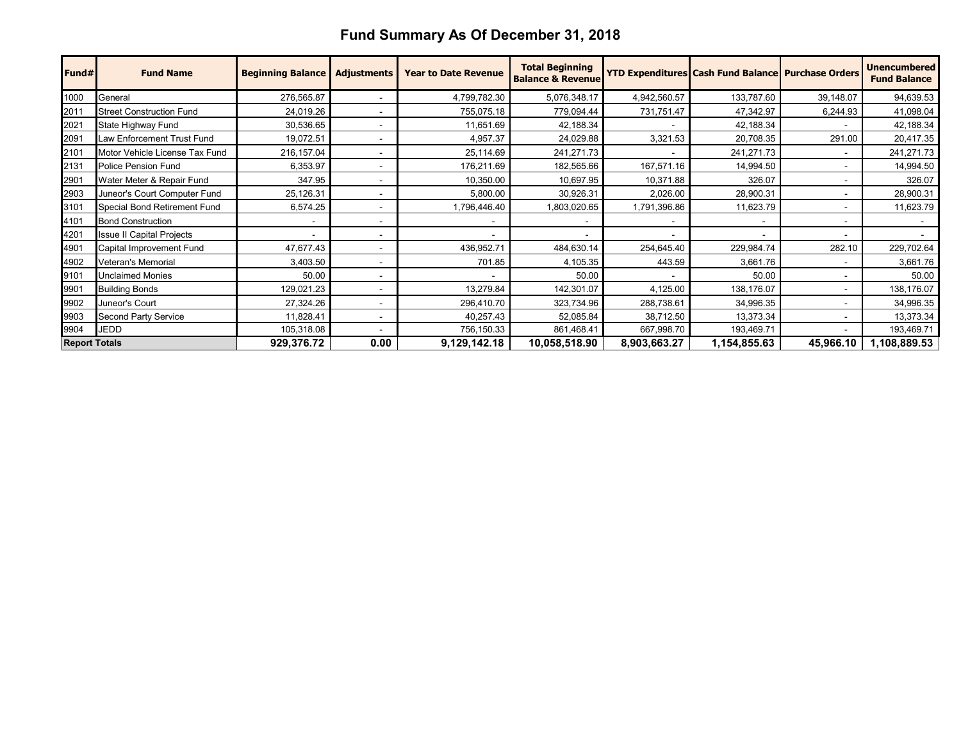## **Fund Summary As Of December 31, 2018**

| Fund#                | <b>Fund Name</b>                 | <b>Beginning Balance</b> | <b>Adjustments</b>       | <b>Year to Date Revenue</b> | <b>Total Beginning</b><br><b>Balance &amp; Revenue</b> |                          | <b>YTD Expenditures Cash Fund Balance Purchase Orders</b> |           | <b>Unencumbered</b><br><b>Fund Balance</b> |
|----------------------|----------------------------------|--------------------------|--------------------------|-----------------------------|--------------------------------------------------------|--------------------------|-----------------------------------------------------------|-----------|--------------------------------------------|
| 1000                 | General                          | 276,565.87               |                          | 4,799,782.30                | 5,076,348.17                                           | 4,942,560.57             | 133,787.60                                                | 39,148.07 | 94,639.53                                  |
| 2011                 | <b>Street Construction Fund</b>  | 24,019.26                |                          | 755,075.18                  | 779,094.44                                             | 731,751.47               | 47,342.97                                                 | 6,244.93  | 41,098.04                                  |
| 2021                 | State Highway Fund               | 30,536.65                |                          | 11,651.69                   | 42,188.34                                              |                          | 42,188.34                                                 |           | 42,188.34                                  |
| 2091                 | Law Enforcement Trust Fund       | 19,072.51                |                          | 4,957.37                    | 24,029.88                                              | 3,321.53                 | 20,708.35                                                 | 291.00    | 20,417.35                                  |
| 2101                 | Motor Vehicle License Tax Fund   | 216,157.04               |                          | 25,114.69                   | 241,271.73                                             | $\overline{\phantom{a}}$ | 241,271.73                                                |           | 241,271.73                                 |
| 2131                 | Police Pension Fund              | 6,353.97                 |                          | 176,211.69                  | 182,565.66                                             | 167,571.16               | 14,994.50                                                 |           | 14,994.50                                  |
| 2901                 | Water Meter & Repair Fund        | 347.95                   |                          | 10,350.00                   | 10,697.95                                              | 10,371.88                | 326.07                                                    |           | 326.07                                     |
| 2903                 | Juneor's Court Computer Fund     | 25,126.31                |                          | 5,800.00                    | 30,926.31                                              | 2,026.00                 | 28,900.31                                                 |           | 28,900.31                                  |
| 3101                 | Special Bond Retirement Fund     | 6,574.25                 |                          | 1,796,446.40                | 1,803,020.65                                           | 1,791,396.86             | 11,623.79                                                 |           | 11,623.79                                  |
| 4101                 | <b>Bond Construction</b>         |                          |                          |                             |                                                        |                          |                                                           |           |                                            |
| 4201                 | <b>Issue II Capital Projects</b> |                          |                          |                             |                                                        | $\overline{\phantom{a}}$ |                                                           |           |                                            |
| 4901                 | Capital Improvement Fund         | 47,677.43                |                          | 436,952.71                  | 484,630.14                                             | 254,645.40               | 229,984.74                                                | 282.10    | 229,702.64                                 |
| 4902                 | <b>Veteran's Memorial</b>        | 3,403.50                 | $\overline{\phantom{a}}$ | 701.85                      | 4,105.35                                               | 443.59                   | 3,661.76                                                  |           | 3,661.76                                   |
| 9101                 | <b>Unclaimed Monies</b>          | 50.00                    |                          |                             | 50.00                                                  |                          | 50.00                                                     |           | 50.00                                      |
| 9901                 | <b>Building Bonds</b>            | 129,021.23               |                          | 13,279.84                   | 142,301.07                                             | 4,125.00                 | 138,176.07                                                |           | 138,176.07                                 |
| 9902                 | Juneor's Court                   | 27,324.26                |                          | 296,410.70                  | 323,734.96                                             | 288,738.61               | 34,996.35                                                 |           | 34,996.35                                  |
| 9903                 | <b>Second Party Service</b>      | 11,828.41                | ۰                        | 40,257.43                   | 52,085.84                                              | 38,712.50                | 13,373.34                                                 |           | 13,373.34                                  |
| 9904                 | <b>JEDD</b>                      | 105,318.08               |                          | 756,150.33                  | 861,468.41                                             | 667,998.70               | 193,469.71                                                |           | 193,469.71                                 |
| <b>Report Totals</b> |                                  | 929,376.72               | 0.00                     | 9,129,142.18                | 10,058,518.90                                          | 8,903,663.27             | 1,154,855.63                                              | 45,966.10 | 1,108,889.53                               |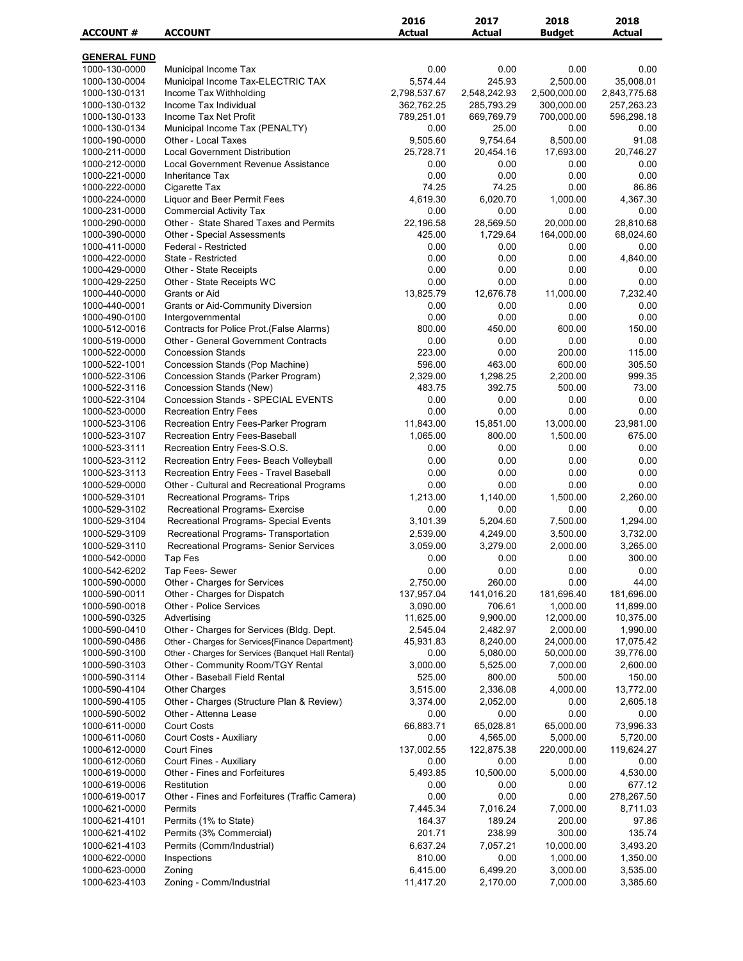| <b>ACCOUNT #</b>                     | <b>ACCOUNT</b>                                                                  | 2016<br><b>Actual</b> | 2017<br><b>Actual</b> | 2018<br><b>Budget</b> | 2018<br>Actual        |
|--------------------------------------|---------------------------------------------------------------------------------|-----------------------|-----------------------|-----------------------|-----------------------|
|                                      |                                                                                 |                       |                       |                       |                       |
| <u>GENERAL FUND</u><br>1000-130-0000 | Municipal Income Tax                                                            | 0.00                  | 0.00                  | 0.00                  | 0.00                  |
| 1000-130-0004                        | Municipal Income Tax-ELECTRIC TAX                                               | 5,574.44              | 245.93                | 2,500.00              | 35,008.01             |
| 1000-130-0131                        | Income Tax Withholding                                                          | 2,798,537.67          | 2,548,242.93          | 2,500,000.00          | 2,843,775.68          |
| 1000-130-0132                        | Income Tax Individual                                                           | 362,762.25            | 285,793.29            | 300,000.00            | 257,263.23            |
| 1000-130-0133                        | Income Tax Net Profit                                                           | 789,251.01            | 669,769.79            | 700,000.00            | 596,298.18            |
| 1000-130-0134                        | Municipal Income Tax (PENALTY)                                                  | 0.00                  | 25.00                 | 0.00                  | 0.00                  |
| 1000-190-0000                        | Other - Local Taxes                                                             | 9,505.60              | 9,754.64              | 8,500.00              | 91.08                 |
| 1000-211-0000                        | <b>Local Government Distribution</b>                                            | 25,728.71             | 20,454.16             | 17,693.00             | 20,746.27             |
| 1000-212-0000                        | Local Government Revenue Assistance                                             | 0.00                  | 0.00                  | 0.00                  | 0.00                  |
| 1000-221-0000                        | Inheritance Tax                                                                 | 0.00                  | 0.00                  | 0.00                  | 0.00                  |
| 1000-222-0000                        | Cigarette Tax                                                                   | 74.25                 | 74.25                 | 0.00                  | 86.86                 |
| 1000-224-0000                        | Liquor and Beer Permit Fees                                                     | 4,619.30<br>0.00      | 6,020.70<br>0.00      | 1,000.00<br>0.00      | 4,367.30<br>0.00      |
| 1000-231-0000<br>1000-290-0000       | <b>Commercial Activity Tax</b><br>Other - State Shared Taxes and Permits        | 22,196.58             | 28,569.50             | 20,000.00             | 28,810.68             |
| 1000-390-0000                        | Other - Special Assessments                                                     | 425.00                | 1,729.64              | 164,000.00            | 68,024.60             |
| 1000-411-0000                        | Federal - Restricted                                                            | 0.00                  | 0.00                  | 0.00                  | 0.00                  |
| 1000-422-0000                        | State - Restricted                                                              | 0.00                  | 0.00                  | 0.00                  | 4,840.00              |
| 1000-429-0000                        | <b>Other - State Receipts</b>                                                   | 0.00                  | 0.00                  | 0.00                  | 0.00                  |
| 1000-429-2250                        | Other - State Receipts WC                                                       | 0.00                  | 0.00                  | 0.00                  | 0.00                  |
| 1000-440-0000                        | Grants or Aid                                                                   | 13,825.79             | 12,676.78             | 11,000.00             | 7,232.40              |
| 1000-440-0001                        | <b>Grants or Aid-Community Diversion</b>                                        | 0.00                  | 0.00                  | 0.00                  | 0.00                  |
| 1000-490-0100                        | Intergovernmental                                                               | 0.00                  | 0.00                  | 0.00                  | 0.00                  |
| 1000-512-0016                        | Contracts for Police Prot.(False Alarms)                                        | 800.00                | 450.00                | 600.00                | 150.00                |
| 1000-519-0000                        | <b>Other - General Government Contracts</b>                                     | 0.00                  | 0.00                  | 0.00                  | 0.00                  |
| 1000-522-0000                        | <b>Concession Stands</b>                                                        | 223.00                | 0.00                  | 200.00                | 115.00                |
| 1000-522-1001<br>1000-522-3106       | Concession Stands (Pop Machine)<br>Concession Stands (Parker Program)           | 596.00<br>2,329.00    | 463.00<br>1,298.25    | 600.00<br>2,200.00    | 305.50<br>999.35      |
| 1000-522-3116                        | Concession Stands (New)                                                         | 483.75                | 392.75                | 500.00                | 73.00                 |
| 1000-522-3104                        | <b>Concession Stands - SPECIAL EVENTS</b>                                       | 0.00                  | 0.00                  | 0.00                  | 0.00                  |
| 1000-523-0000                        | <b>Recreation Entry Fees</b>                                                    | 0.00                  | 0.00                  | 0.00                  | 0.00                  |
| 1000-523-3106                        | Recreation Entry Fees-Parker Program                                            | 11,843.00             | 15,851.00             | 13,000.00             | 23,981.00             |
| 1000-523-3107                        | Recreation Entry Fees-Baseball                                                  | 1,065.00              | 800.00                | 1,500.00              | 675.00                |
| 1000-523-3111                        | Recreation Entry Fees-S.O.S.                                                    | 0.00                  | 0.00                  | 0.00                  | 0.00                  |
| 1000-523-3112                        | Recreation Entry Fees- Beach Volleyball                                         | 0.00                  | 0.00                  | 0.00                  | 0.00                  |
| 1000-523-3113                        | Recreation Entry Fees - Travel Baseball                                         | 0.00                  | 0.00                  | 0.00                  | 0.00                  |
| 1000-529-0000                        | Other - Cultural and Recreational Programs                                      | 0.00                  | 0.00                  | 0.00                  | 0.00                  |
| 1000-529-3101                        | <b>Recreational Programs- Trips</b>                                             | 1,213.00              | 1,140.00              | 1,500.00              | 2,260.00              |
| 1000-529-3102                        | Recreational Programs- Exercise                                                 | 0.00                  | 0.00                  | 0.00                  | 0.00                  |
| 1000-529-3104                        | Recreational Programs- Special Events                                           | 3,101.39              | 5,204.60              | 7,500.00              | 1,294.00              |
| 1000-529-3109<br>1000-529-3110       | Recreational Programs- Transportation<br>Recreational Programs- Senior Services | 2,539.00<br>3,059.00  | 4,249.00<br>3.279.00  | 3,500.00<br>2,000.00  | 3,732.00<br>3,265.00  |
| 1000-542-0000                        | Tap Fes                                                                         | 0.00                  | 0.00                  | 0.00                  | 300.00                |
| 1000-542-6202                        | Tap Fees- Sewer                                                                 | 0.00                  | 0.00                  | 0.00                  | 0.00                  |
| 1000-590-0000                        | Other - Charges for Services                                                    | 2,750.00              | 260.00                | 0.00                  | 44.00                 |
| 1000-590-0011                        | Other - Charges for Dispatch                                                    | 137,957.04            | 141,016.20            | 181,696.40            | 181,696.00            |
| 1000-590-0018                        | Other - Police Services                                                         | 3,090.00              | 706.61                | 1,000.00              | 11,899.00             |
| 1000-590-0325                        | Advertising                                                                     | 11,625.00             | 9,900.00              | 12,000.00             | 10,375.00             |
| 1000-590-0410                        | Other - Charges for Services (Bldg. Dept.                                       | 2,545.04              | 2,482.97              | 2,000.00              | 1,990.00              |
| 1000-590-0486                        | Other - Charges for Services{Finance Department}                                | 45,931.83             | 8,240.00              | 24,000.00             | 17,075.42             |
| 1000-590-3100                        | Other - Charges for Services {Banquet Hall Rental}                              | 0.00                  | 5,080.00              | 50,000.00             | 39,776.00             |
| 1000-590-3103                        | Other - Community Room/TGY Rental                                               | 3,000.00              | 5,525.00              | 7,000.00              | 2,600.00              |
| 1000-590-3114                        | Other - Baseball Field Rental                                                   | 525.00                | 800.00                | 500.00                | 150.00                |
| 1000-590-4104<br>1000-590-4105       | <b>Other Charges</b><br>Other - Charges (Structure Plan & Review)               | 3,515.00<br>3,374.00  | 2,336.08<br>2,052.00  | 4,000.00<br>0.00      | 13,772.00<br>2,605.18 |
| 1000-590-5002                        | Other - Attenna Lease                                                           | 0.00                  | 0.00                  | 0.00                  | 0.00                  |
| 1000-611-0000                        | <b>Court Costs</b>                                                              | 66,883.71             | 65,028.81             | 65,000.00             | 73,996.33             |
| 1000-611-0060                        | Court Costs - Auxiliary                                                         | 0.00                  | 4,565.00              | 5,000.00              | 5,720.00              |
| 1000-612-0000                        | <b>Court Fines</b>                                                              | 137,002.55            | 122,875.38            | 220,000.00            | 119,624.27            |
| 1000-612-0060                        | Court Fines - Auxiliary                                                         | 0.00                  | 0.00                  | 0.00                  | 0.00                  |
| 1000-619-0000                        | Other - Fines and Forfeitures                                                   | 5,493.85              | 10,500.00             | 5,000.00              | 4,530.00              |
| 1000-619-0006                        | Restitution                                                                     | 0.00                  | 0.00                  | 0.00                  | 677.12                |
| 1000-619-0017                        | Other - Fines and Forfeitures (Traffic Camera)                                  | 0.00                  | 0.00                  | 0.00                  | 278,267.50            |
| 1000-621-0000                        | Permits                                                                         | 7,445.34              | 7,016.24              | 7,000.00              | 8,711.03              |
| 1000-621-4101                        | Permits (1% to State)                                                           | 164.37                | 189.24                | 200.00                | 97.86                 |
| 1000-621-4102                        | Permits (3% Commercial)                                                         | 201.71                | 238.99                | 300.00                | 135.74                |
| 1000-621-4103                        | Permits (Comm/Industrial)                                                       | 6,637.24              | 7,057.21              | 10,000.00             | 3,493.20              |
| 1000-622-0000                        | Inspections                                                                     | 810.00                | 0.00                  | 1,000.00              | 1,350.00              |
| 1000-623-0000<br>1000-623-4103       | Zoning<br>Zoning - Comm/Industrial                                              | 6,415.00<br>11,417.20 | 6,499.20<br>2,170.00  | 3,000.00<br>7,000.00  | 3,535.00<br>3,385.60  |
|                                      |                                                                                 |                       |                       |                       |                       |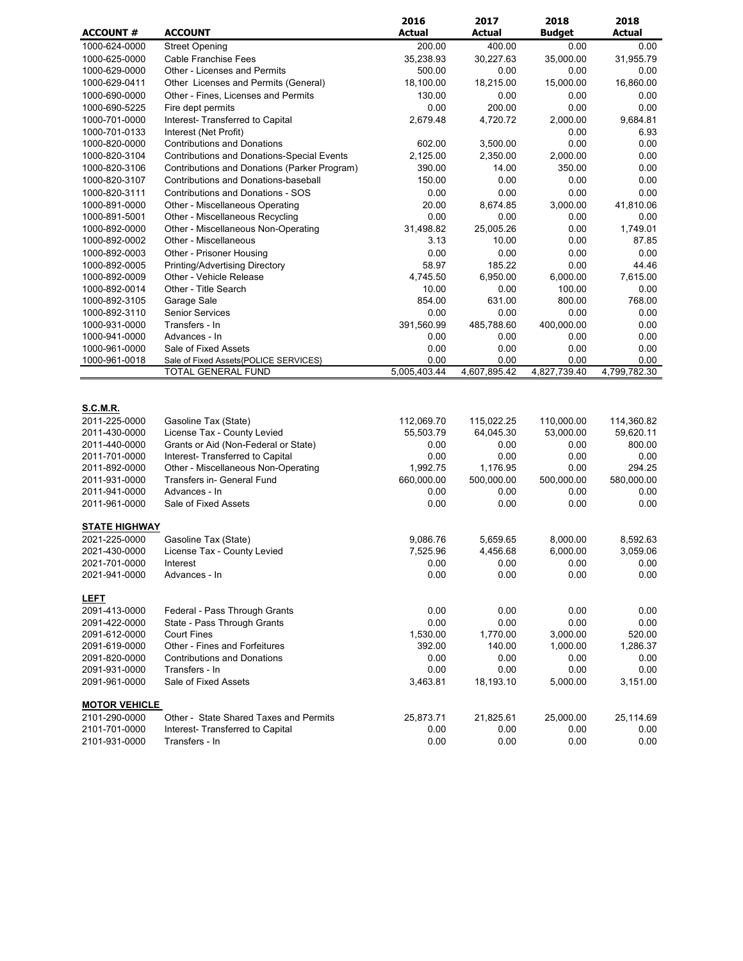| <b>ACCOUNT#</b>                | <b>ACCOUNT</b>                                       | 2016<br>Actual     | 2017<br><b>Actual</b>  | 2018               | 2018<br><b>Actual</b> |
|--------------------------------|------------------------------------------------------|--------------------|------------------------|--------------------|-----------------------|
| 1000-624-0000                  |                                                      | 200.00             | 400.00                 | <b>Budget</b>      |                       |
| 1000-625-0000                  | <b>Street Opening</b><br><b>Cable Franchise Fees</b> | 35,238.93          | 30,227.63              | 0.00<br>35,000.00  | 0.00<br>31,955.79     |
| 1000-629-0000                  | Other - Licenses and Permits                         | 500.00             | 0.00                   | 0.00               | 0.00                  |
| 1000-629-0411                  | Other Licenses and Permits (General)                 | 18,100.00          | 18,215.00              | 15,000.00          | 16,860.00             |
| 1000-690-0000                  | Other - Fines, Licenses and Permits                  | 130.00             | 0.00                   | 0.00               | 0.00                  |
| 1000-690-5225                  | Fire dept permits                                    | 0.00               | 200.00                 | 0.00               | 0.00                  |
| 1000-701-0000                  | Interest- Transferred to Capital                     | 2,679.48           | 4,720.72               | 2,000.00           | 9,684.81              |
| 1000-701-0133                  | Interest (Net Profit)                                |                    |                        | 0.00               | 6.93                  |
| 1000-820-0000                  | <b>Contributions and Donations</b>                   | 602.00             | 3,500.00               | 0.00               | 0.00                  |
| 1000-820-3104                  | <b>Contributions and Donations-Special Events</b>    | 2,125.00           | 2,350.00               | 2,000.00           | 0.00                  |
| 1000-820-3106                  | Contributions and Donations (Parker Program)         | 390.00             | 14.00                  | 350.00             | 0.00                  |
| 1000-820-3107                  | Contributions and Donations-baseball                 | 150.00             | 0.00                   | 0.00               | 0.00                  |
| 1000-820-3111                  | <b>Contributions and Donations - SOS</b>             | 0.00               | 0.00                   | 0.00               | 0.00                  |
| 1000-891-0000                  | Other - Miscellaneous Operating                      | 20.00              | 8,674.85               | 3,000.00           | 41,810.06             |
| 1000-891-5001                  | Other - Miscellaneous Recycling                      | 0.00               | 0.00                   | 0.00               | 0.00                  |
| 1000-892-0000                  | Other - Miscellaneous Non-Operating                  | 31,498.82          | 25,005.26              | 0.00               | 1,749.01              |
| 1000-892-0002                  | Other - Miscellaneous                                | 3.13               | 10.00                  | 0.00               | 87.85                 |
| 1000-892-0003                  | Other - Prisoner Housing                             | 0.00               | 0.00                   | 0.00               | 0.00                  |
| 1000-892-0005                  | Printing/Advertising Directory                       | 58.97              | 185.22                 | 0.00               | 44.46                 |
| 1000-892-0009                  | Other - Vehicle Release                              | 4,745.50           | 6,950.00               | 6,000.00           | 7,615.00              |
| 1000-892-0014                  | Other - Title Search                                 | 10.00<br>854.00    | 0.00<br>631.00         | 100.00<br>800.00   | 0.00<br>768.00        |
| 1000-892-3105<br>1000-892-3110 | Garage Sale<br><b>Senior Services</b>                | 0.00               | 0.00                   | 0.00               | 0.00                  |
| 1000-931-0000                  | Transfers - In                                       | 391,560.99         | 485,788.60             | 400,000.00         | 0.00                  |
| 1000-941-0000                  | Advances - In                                        | 0.00               | 0.00                   | 0.00               | 0.00                  |
| 1000-961-0000                  | Sale of Fixed Assets                                 | 0.00               | 0.00                   | 0.00               | 0.00                  |
| 1000-961-0018                  | Sale of Fixed Assets{POLICE SERVICES}                | 0.00               | 0.00                   | 0.00               | 0.00                  |
|                                | TOTAL GENERAL FUND                                   | 5,005,403.44       | 4,607,895.42           | 4,827,739.40       | 4,799,782.30          |
| <b>S.C.M.R.</b>                |                                                      |                    |                        |                    |                       |
| 2011-225-0000                  | Gasoline Tax (State)                                 | 112,069.70         | 115,022.25             | 110,000.00         | 114,360.82            |
| 2011-430-0000                  | License Tax - County Levied                          | 55,503.79          | 64,045.30              | 53,000.00          | 59,620.11             |
| 2011-440-0000                  | Grants or Aid (Non-Federal or State)                 | 0.00               | 0.00                   | 0.00               | 800.00                |
| 2011-701-0000                  | Interest- Transferred to Capital                     | 0.00               | 0.00                   | 0.00               | 0.00                  |
| 2011-892-0000                  | Other - Miscellaneous Non-Operating                  | 1,992.75           | 1,176.95<br>500,000.00 | 0.00               | 294.25                |
| 2011-931-0000<br>2011-941-0000 | Transfers in- General Fund<br>Advances - In          | 660,000.00<br>0.00 | 0.00                   | 500,000.00<br>0.00 | 580,000.00<br>0.00    |
| 2011-961-0000                  | Sale of Fixed Assets                                 | 0.00               | 0.00                   | 0.00               | 0.00                  |
|                                |                                                      |                    |                        |                    |                       |
| <b>STATE HIGHWAY</b>           |                                                      |                    |                        |                    |                       |
| 2021-225-0000                  | Gasoline Tax (State)                                 | 9.086.76           | 5.659.65               | 8,000.00           | 8,592.63              |
| 2021-430-0000                  | License Tax - County Levied                          | 7,525.96           | 4,456.68               | 6,000.00           | 3,059.06              |
| 2021-701-0000                  | Interest                                             | 0.00               | 0.00                   | 0.00               | 0.00                  |
| 2021-941-0000                  | Advances - In                                        | 0.00               | 0.00                   | 0.00               | 0.00                  |
| <b>LEFT</b>                    |                                                      |                    |                        |                    |                       |
| 2091-413-0000                  | Federal - Pass Through Grants                        | 0.00               | 0.00                   | 0.00               | 0.00                  |
| 2091-422-0000                  | State - Pass Through Grants                          | 0.00               | 0.00                   | 0.00               | 0.00                  |
| 2091-612-0000                  | <b>Court Fines</b>                                   | 1,530.00           | 1,770.00               | 3,000.00           | 520.00                |
| 2091-619-0000                  | Other - Fines and Forfeitures                        | 392.00             | 140.00                 | 1,000.00           | 1,286.37              |
| 2091-820-0000                  | <b>Contributions and Donations</b>                   | 0.00               | 0.00                   | 0.00               | 0.00                  |
| 2091-931-0000                  | Transfers - In                                       | 0.00               | 0.00                   | 0.00               | 0.00                  |
| 2091-961-0000                  | Sale of Fixed Assets                                 | 3,463.81           | 18,193.10              | 5,000.00           | 3,151.00              |
| <b>MOTOR VEHICLE</b>           |                                                      |                    |                        |                    |                       |
| 2101-290-0000                  | Other - State Shared Taxes and Permits               | 25,873.71          | 21,825.61              | 25,000.00          | 25,114.69             |
| 2101-701-0000                  | Interest- Transferred to Capital                     | 0.00               | 0.00                   | 0.00               | 0.00                  |
| 2101-931-0000                  | Transfers - In                                       | 0.00               | 0.00                   | 0.00               | 0.00                  |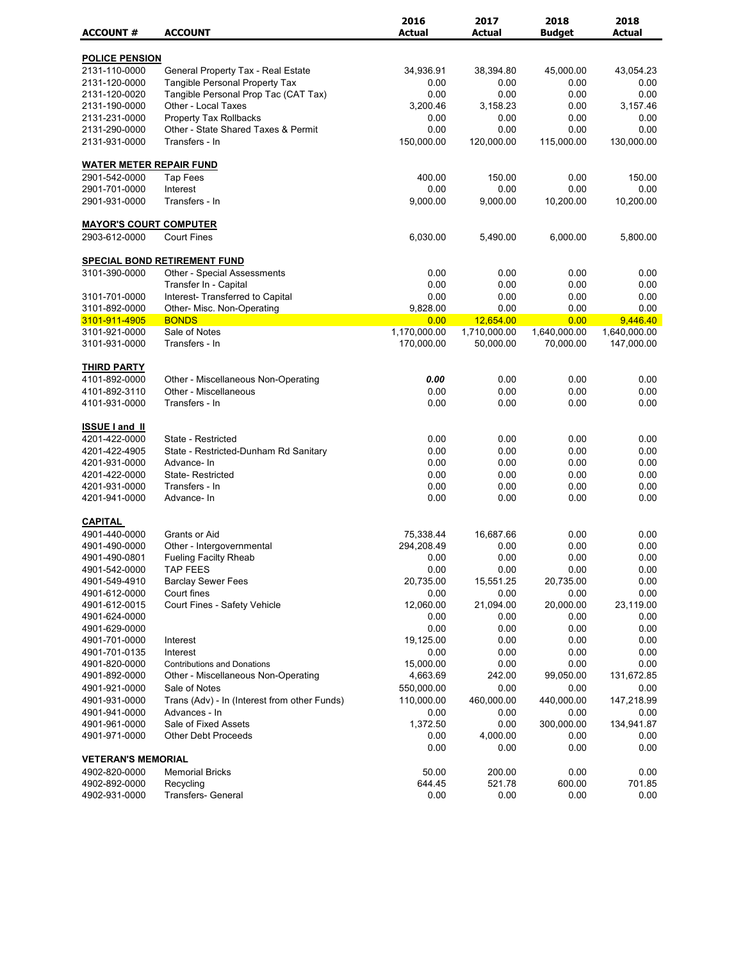|                                |                                                                    | 2016          | 2017             | 2018           | 2018           |
|--------------------------------|--------------------------------------------------------------------|---------------|------------------|----------------|----------------|
| <b>ACCOUNT #</b>               | <b>ACCOUNT</b>                                                     | <b>Actual</b> | <b>Actual</b>    | <b>Budget</b>  | <b>Actual</b>  |
| <b>POLICE PENSION</b>          |                                                                    |               |                  |                |                |
| 2131-110-0000                  | General Property Tax - Real Estate                                 | 34,936.91     | 38,394.80        | 45,000.00      | 43,054.23      |
| 2131-120-0000                  | <b>Tangible Personal Property Tax</b>                              | 0.00          | 0.00             | 0.00           | 0.00           |
| 2131-120-0020                  | Tangible Personal Prop Tac (CAT Tax)                               | 0.00          | 0.00             | 0.00           | 0.00           |
| 2131-190-0000                  | Other - Local Taxes                                                | 3,200.46      | 3,158.23         | 0.00           | 3,157.46       |
| 2131-231-0000                  | Property Tax Rollbacks                                             | 0.00          | 0.00             | 0.00           | 0.00           |
| 2131-290-0000                  | Other - State Shared Taxes & Permit                                | 0.00          | 0.00             | 0.00           | 0.00           |
| 2131-931-0000                  | Transfers - In                                                     | 150,000.00    | 120,000.00       | 115,000.00     | 130,000.00     |
| <b>WATER METER REPAIR FUND</b> |                                                                    |               |                  |                |                |
| 2901-542-0000                  | Tap Fees                                                           | 400.00        | 150.00           | 0.00           | 150.00         |
| 2901-701-0000                  | Interest                                                           | 0.00          | 0.00             | 0.00           | 0.00           |
| 2901-931-0000                  | Transfers - In                                                     | 9,000.00      | 9,000.00         | 10,200.00      | 10,200.00      |
| <b>MAYOR'S COURT COMPUTER</b>  |                                                                    |               |                  |                |                |
| 2903-612-0000                  | <b>Court Fines</b>                                                 | 6,030.00      | 5,490.00         | 6,000.00       | 5,800.00       |
|                                |                                                                    |               |                  |                |                |
| 3101-390-0000                  | <b>SPECIAL BOND RETIREMENT FUND</b><br>Other - Special Assessments | 0.00          | 0.00             | 0.00           | 0.00           |
|                                | Transfer In - Capital                                              | 0.00          | 0.00             | 0.00           | 0.00           |
| 3101-701-0000                  | Interest- Transferred to Capital                                   | 0.00          | 0.00             | 0.00           | 0.00           |
| 3101-892-0000                  | Other- Misc. Non-Operating                                         | 9,828.00      | 0.00             | 0.00           | 0.00           |
| 3101-911-4905                  | <b>BONDS</b>                                                       | 0.00          | 12,654.00        | 0.00           | 9,446.40       |
| 3101-921-0000                  | Sale of Notes                                                      | 1,170,000.00  | 1,710,000.00     | 1,640,000.00   | 1,640,000.00   |
| 3101-931-0000                  | Transfers - In                                                     | 170,000.00    | 50,000.00        | 70,000.00      | 147,000.00     |
|                                |                                                                    |               |                  |                |                |
| <b>THIRD PARTY</b>             |                                                                    |               |                  |                |                |
| 4101-892-0000                  | Other - Miscellaneous Non-Operating                                | 0.00          | 0.00             | 0.00           | 0.00           |
| 4101-892-3110                  | Other - Miscellaneous                                              | 0.00          | 0.00             | 0.00           | 0.00           |
| 4101-931-0000                  | Transfers - In                                                     | 0.00          | 0.00             | 0.00           | 0.00           |
| <b>ISSUE I and II</b>          |                                                                    |               |                  |                |                |
| 4201-422-0000                  | State - Restricted                                                 | 0.00          | 0.00             | 0.00           | 0.00           |
| 4201-422-4905                  | State - Restricted-Dunham Rd Sanitary                              | 0.00          | 0.00             | 0.00           | 0.00           |
| 4201-931-0000                  | Advance-In                                                         | 0.00          | 0.00             | 0.00           | 0.00           |
| 4201-422-0000                  | State-Restricted                                                   | 0.00          | 0.00             | 0.00           | 0.00           |
| 4201-931-0000                  | Transfers - In                                                     | 0.00          | 0.00             | 0.00           | 0.00           |
| 4201-941-0000                  | Advance-In                                                         | 0.00          | 0.00             | 0.00           | 0.00           |
| <b>CAPITAL</b>                 |                                                                    |               |                  |                |                |
| 4901-440-0000                  | Grants or Aid                                                      | 75,338.44     | 16,687.66        | 0.00           | 0.00           |
| 4901-490-0000                  | Other - Intergovernmental                                          | 294,208.49    | 0.00             | 0.00           | 0.00           |
| 4901-490-0801                  | <b>Fueling Facilty Rheab</b>                                       | 0.00          | 0.00             | 0.00           | 0.00           |
| 4901-542-0000                  | <b>TAP FEES</b>                                                    | 0.00          | 0.00             | 0.00           | 0.00           |
| 4901-549-4910                  | <b>Barclay Sewer Fees</b>                                          | 20,735.00     | 15,551.25        | 20,735.00      | 0.00           |
| 4901-612-0000                  | Court fines                                                        | 0.00          | 0.00             | 0.00           | 0.00           |
| 4901-612-0015                  | Court Fines - Safety Vehicle                                       | 12,060.00     | 21,094.00        | 20,000.00      | 23,119.00      |
| 4901-624-0000                  |                                                                    | 0.00          | 0.00             | 0.00           | 0.00           |
| 4901-629-0000                  |                                                                    | 0.00          | 0.00             | 0.00           | 0.00           |
| 4901-701-0000                  | Interest                                                           | 19,125.00     | 0.00             | 0.00           | 0.00           |
| 4901-701-0135                  | Interest                                                           | 0.00          | 0.00             | 0.00           | 0.00           |
| 4901-820-0000                  | <b>Contributions and Donations</b>                                 | 15,000.00     | 0.00             | 0.00           | 0.00           |
| 4901-892-0000                  | Other - Miscellaneous Non-Operating                                | 4,663.69      | 242.00           | 99,050.00      | 131,672.85     |
| 4901-921-0000                  | Sale of Notes                                                      | 550,000.00    | 0.00             | 0.00           | 0.00           |
| 4901-931-0000                  | Trans (Adv) - In (Interest from other Funds)                       | 110,000.00    | 460,000.00       | 440,000.00     | 147,218.99     |
| 4901-941-0000                  | Advances - In                                                      | 0.00          | 0.00             | 0.00           | 0.00           |
| 4901-961-0000                  | Sale of Fixed Assets                                               | 1,372.50      | 0.00             | 300,000.00     | 134,941.87     |
| 4901-971-0000                  | <b>Other Debt Proceeds</b>                                         | 0.00          | 4,000.00         | 0.00           | 0.00           |
|                                |                                                                    | 0.00          | 0.00             | 0.00           | 0.00           |
| <b>VETERAN'S MEMORIAL</b>      | <b>Memorial Bricks</b>                                             | 50.00         |                  |                |                |
| 4902-820-0000<br>4902-892-0000 | Recycling                                                          | 644.45        | 200.00<br>521.78 | 0.00<br>600.00 | 0.00<br>701.85 |
| 4902-931-0000                  | Transfers- General                                                 | 0.00          | 0.00             | 0.00           | 0.00           |
|                                |                                                                    |               |                  |                |                |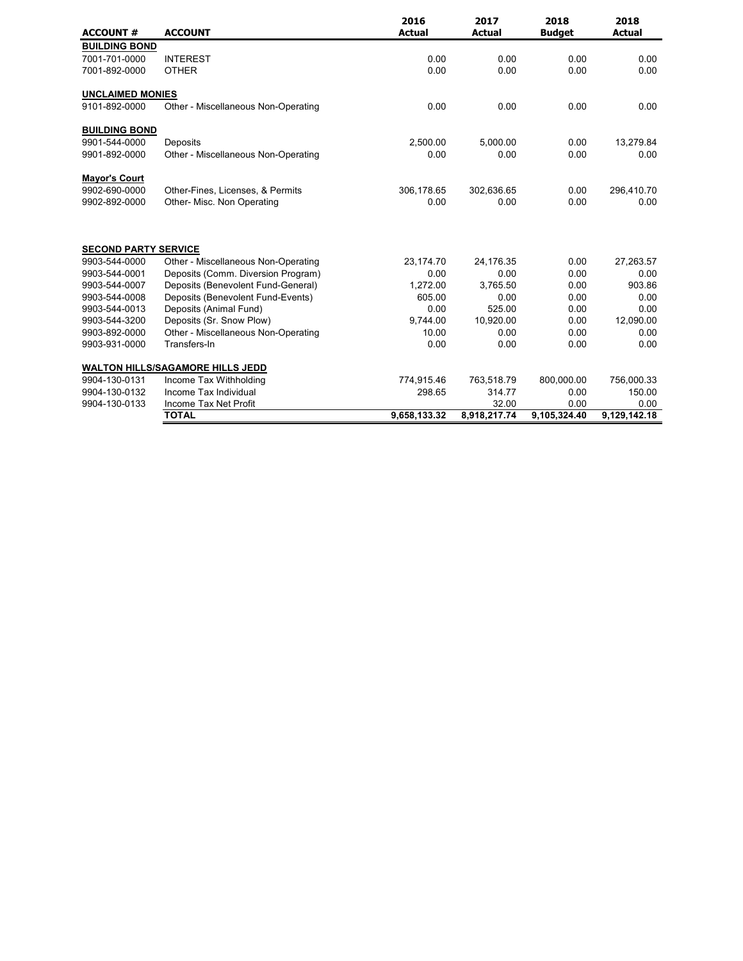| <b>ACCOUNT #</b>            | <b>ACCOUNT</b>                          | 2016<br><b>Actual</b> | 2017<br><b>Actual</b> | 2018<br><b>Budget</b> | 2018<br><b>Actual</b> |
|-----------------------------|-----------------------------------------|-----------------------|-----------------------|-----------------------|-----------------------|
| <b>BUILDING BOND</b>        |                                         |                       |                       |                       |                       |
| 7001-701-0000               | <b>INTEREST</b>                         | 0.00                  | 0.00                  | 0.00                  | 0.00                  |
| 7001-892-0000               | <b>OTHER</b>                            | 0.00                  | 0.00                  | 0.00                  | 0.00                  |
| <b>UNCLAIMED MONIES</b>     |                                         |                       |                       |                       |                       |
| 9101-892-0000               | Other - Miscellaneous Non-Operating     | 0.00                  | 0.00                  | 0.00                  | 0.00                  |
| <b>BUILDING BOND</b>        |                                         |                       |                       |                       |                       |
| 9901-544-0000               | Deposits                                | 2,500.00              | 5,000.00              | 0.00                  | 13,279.84             |
| 9901-892-0000               | Other - Miscellaneous Non-Operating     | 0.00                  | 0.00                  | 0.00                  | 0.00                  |
| <b>Mayor's Court</b>        |                                         |                       |                       |                       |                       |
| 9902-690-0000               | Other-Fines, Licenses, & Permits        | 306,178.65            | 302,636.65            | 0.00                  | 296,410.70            |
| 9902-892-0000               | Other- Misc. Non Operating              | 0.00                  | 0.00                  | 0.00                  | 0.00                  |
| <b>SECOND PARTY SERVICE</b> |                                         |                       |                       |                       |                       |
| 9903-544-0000               | Other - Miscellaneous Non-Operating     | 23,174.70             | 24,176.35             | 0.00                  | 27,263.57             |
| 9903-544-0001               | Deposits (Comm. Diversion Program)      | 0.00                  | 0.00                  | 0.00                  | 0.00                  |
| 9903-544-0007               | Deposits (Benevolent Fund-General)      | 1,272.00              | 3,765.50              | 0.00                  | 903.86                |
| 9903-544-0008               | Deposits (Benevolent Fund-Events)       | 605.00                | 0.00                  | 0.00                  | 0.00                  |
| 9903-544-0013               | Deposits (Animal Fund)                  | 0.00                  | 525.00                | 0.00                  | 0.00                  |
| 9903-544-3200               | Deposits (Sr. Snow Plow)                | 9,744.00              | 10,920.00             | 0.00                  | 12,090.00             |
| 9903-892-0000               | Other - Miscellaneous Non-Operating     | 10.00                 | 0.00                  | 0.00                  | 0.00                  |
| 9903-931-0000               | Transfers-In                            | 0.00                  | 0.00                  | 0.00                  | 0.00                  |
|                             | <b>WALTON HILLS/SAGAMORE HILLS JEDD</b> |                       |                       |                       |                       |
| 9904-130-0131               | Income Tax Withholding                  | 774,915.46            | 763,518.79            | 800,000.00            | 756,000.33            |
| 9904-130-0132               | Income Tax Individual                   | 298.65                | 314.77                | 0.00                  | 150.00                |
| 9904-130-0133               | Income Tax Net Profit                   |                       | 32.00                 | 0.00                  | 0.00                  |
|                             | <b>TOTAL</b>                            | 9,658,133.32          | 8,918,217.74          | 9,105,324.40          | 9,129,142.18          |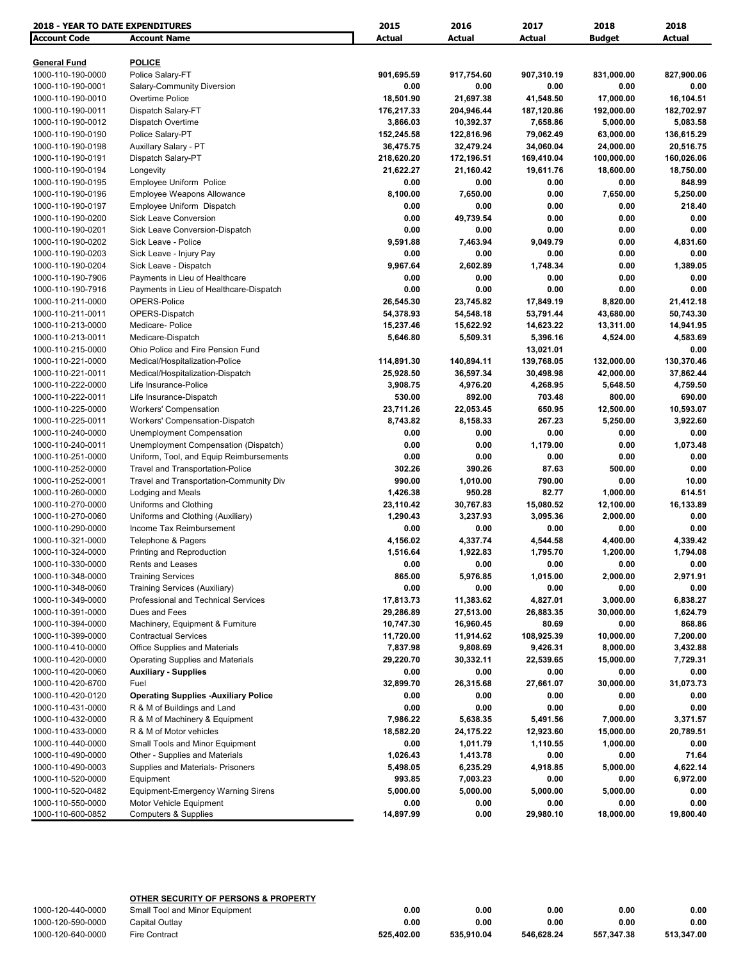| <b>2018 - YEAR TO DATE EXPENDITURES</b> |                                             | 2015           | 2016          | 2017       | 2018          | 2018             |
|-----------------------------------------|---------------------------------------------|----------------|---------------|------------|---------------|------------------|
| <b>Account Code</b>                     | <b>Account Name</b>                         | Actual         | <b>Actual</b> | Actual     | <b>Budget</b> | <b>Actual</b>    |
| <b>General Fund</b>                     | <b>POLICE</b>                               |                |               |            |               |                  |
| 1000-110-190-0000                       | Police Salary-FT                            | 901,695.59     | 917,754.60    | 907,310.19 | 831,000.00    | 827,900.06       |
| 1000-110-190-0001                       | Salary-Community Diversion                  | 0.00           | 0.00          | 0.00       | 0.00          | 0.00             |
| 1000-110-190-0010                       | Overtime Police                             | 18,501.90      | 21,697.38     | 41,548.50  | 17,000.00     | 16,104.51        |
| 1000-110-190-0011                       | Dispatch Salary-FT                          | 176,217.33     | 204,946.44    | 187,120.86 | 192,000.00    | 182,702.97       |
| 1000-110-190-0012                       | Dispatch Overtime                           | 3,866.03       | 10,392.37     | 7,658.86   | 5,000.00      | 5,083.58         |
| 1000-110-190-0190                       | Police Salary-PT                            | 152,245.58     | 122,816.96    | 79,062.49  | 63,000.00     | 136,615.29       |
| 1000-110-190-0198                       | Auxillary Salary - PT                       | 36,475.75      | 32,479.24     | 34,060.04  | 24,000.00     | 20,516.75        |
| 1000-110-190-0191                       | Dispatch Salary-PT                          | 218,620.20     | 172,196.51    | 169,410.04 | 100,000.00    | 160,026.06       |
| 1000-110-190-0194                       | Longevity                                   | 21,622.27      | 21,160.42     | 19,611.76  | 18,600.00     | 18,750.00        |
| 1000-110-190-0195                       | Employee Uniform Police                     | 0.00           | 0.00          | 0.00       | 0.00          | 848.99           |
| 1000-110-190-0196                       | <b>Employee Weapons Allowance</b>           | 8,100.00       | 7,650.00      | 0.00       | 7,650.00      | 5,250.00         |
| 1000-110-190-0197                       | Employee Uniform Dispatch                   | 0.00           | 0.00          | 0.00       | 0.00          | 218.40           |
| 1000-110-190-0200                       | <b>Sick Leave Conversion</b>                | 0.00           | 49,739.54     | 0.00       | 0.00          | 0.00             |
| 1000-110-190-0201                       | Sick Leave Conversion-Dispatch              | 0.00           | 0.00          | 0.00       | 0.00          | 0.00             |
| 1000-110-190-0202                       | Sick Leave - Police                         | 9,591.88       | 7,463.94      | 9,049.79   | 0.00          | 4,831.60         |
| 1000-110-190-0203                       | Sick Leave - Injury Pay                     | 0.00           | 0.00          | 0.00       | 0.00          | 0.00             |
| 1000-110-190-0204                       | Sick Leave - Dispatch                       | 9,967.64       | 2,602.89      | 1,748.34   | 0.00          | 1,389.05         |
| 1000-110-190-7906                       | Payments in Lieu of Healthcare              | 0.00           | 0.00          | 0.00       | 0.00          | 0.00             |
| 1000-110-190-7916                       | Payments in Lieu of Healthcare-Dispatch     | 0.00           | 0.00          | 0.00       | 0.00          | 0.00             |
| 1000-110-211-0000                       | OPERS-Police                                | 26,545.30      | 23,745.82     | 17,849.19  | 8,820.00      | 21,412.18        |
| 1000-110-211-0011                       | OPERS-Dispatch                              | 54,378.93      | 54,548.18     | 53,791.44  | 43,680.00     | 50,743.30        |
| 1000-110-213-0000                       | Medicare-Police                             | 15,237.46      | 15,622.92     | 14,623.22  | 13,311.00     | 14,941.95        |
| 1000-110-213-0011                       | Medicare-Dispatch                           | 5,646.80       | 5,509.31      | 5,396.16   | 4,524.00      | 4,583.69         |
| 1000-110-215-0000                       | Ohio Police and Fire Pension Fund           |                |               | 13,021.01  |               | 0.00             |
| 1000-110-221-0000                       | Medical/Hospitalization-Police              | 114,891.30     | 140,894.11    | 139,768.05 | 132,000.00    | 130,370.46       |
| 1000-110-221-0011                       | Medical/Hospitalization-Dispatch            | 25,928.50      | 36,597.34     | 30,498.98  | 42,000.00     | 37,862.44        |
| 1000-110-222-0000                       | Life Insurance-Police                       | 3,908.75       | 4,976.20      | 4,268.95   | 5,648.50      | 4,759.50         |
| 1000-110-222-0011                       | Life Insurance-Dispatch                     | 530.00         | 892.00        | 703.48     | 800.00        | 690.00           |
| 1000-110-225-0000                       | <b>Workers' Compensation</b>                | 23,711.26      | 22,053.45     | 650.95     | 12,500.00     | 10,593.07        |
| 1000-110-225-0011                       | Workers' Compensation-Dispatch              | 8,743.82       | 8,158.33      | 267.23     | 5,250.00      | 3,922.60         |
| 1000-110-240-0000                       | <b>Unemployment Compensation</b>            | 0.00           | 0.00          | 0.00       | 0.00          | 0.00             |
| 1000-110-240-0011                       | Unemployment Compensation (Dispatch)        | 0.00           | 0.00          | 1,179.00   | 0.00          | 1,073.48         |
| 1000-110-251-0000                       | Uniform, Tool, and Equip Reimbursements     | 0.00           | 0.00          | 0.00       | 0.00          | 0.00             |
| 1000-110-252-0000                       | Travel and Transportation-Police            | 302.26         | 390.26        | 87.63      | 500.00        | 0.00             |
| 1000-110-252-0001                       | Travel and Transportation-Community Div     | 990.00         | 1,010.00      | 790.00     | 0.00          | 10.00            |
| 1000-110-260-0000                       | Lodging and Meals                           | 1,426.38       | 950.28        | 82.77      | 1,000.00      | 614.51           |
| 1000-110-270-0000                       | Uniforms and Clothing                       | 23,110.42      | 30,767.83     | 15,080.52  | 12,100.00     | 16,133.89        |
| 1000-110-270-0060                       | Uniforms and Clothing (Auxiliary)           | 1,290.43       | 3,237.93      | 3,095.36   | 2,000.00      | 0.00             |
| 1000-110-290-0000                       | Income Tax Reimbursement                    | 0.00           | 0.00          | 0.00       | 0.00          | 0.00             |
| 1000-110-321-0000                       | Telephone & Pagers                          | 4,156.02       | 4,337.74      | 4,544.58   | 4,400.00      | 4,339.42         |
| 1000-110-324-0000                       | Printing and Reproduction                   | 1,516.64       | 1,922.83      | 1,795.70   | 1,200.00      | 1,794.08         |
|                                         | Rents and Leases                            |                |               |            |               |                  |
| 1000-110-330-0000                       |                                             | 0.00           | 0.00          | 0.00       | 0.00          | 0.00             |
| 1000-110-348-0000<br>1000-110-348-0060  | <b>Training Services</b>                    | 865.00<br>0.00 | 5,976.85      | 1,015.00   | 2,000.00      | 2,971.91         |
|                                         | Training Services (Auxiliary)               |                | 0.00          | 0.00       | 0.00          | 0.00<br>6,838.27 |
| 1000-110-349-0000                       | Professional and Technical Services         | 17,813.73      | 11,383.62     | 4,827.01   | 3,000.00      |                  |
| 1000-110-391-0000                       | Dues and Fees                               | 29,286.89      | 27,513.00     | 26,883.35  | 30,000.00     | 1,624.79         |
| 1000-110-394-0000<br>1000-110-399-0000  | Machinery, Equipment & Furniture            | 10,747.30      | 16,960.45     | 80.69      | 0.00          | 868.86           |
|                                         | <b>Contractual Services</b>                 | 11,720.00      | 11,914.62     | 108,925.39 | 10,000.00     | 7,200.00         |
| 1000-110-410-0000                       | <b>Office Supplies and Materials</b>        | 7,837.98       | 9,808.69      | 9,426.31   | 8,000.00      | 3,432.88         |
| 1000-110-420-0000                       | <b>Operating Supplies and Materials</b>     | 29,220.70      | 30,332.11     | 22,539.65  | 15,000.00     | 7,729.31         |
| 1000-110-420-0060                       | <b>Auxiliary - Supplies</b>                 | 0.00           | 0.00          | 0.00       | 0.00          | 0.00             |
| 1000-110-420-6700                       | Fuel                                        | 32,899.70      | 26,315.68     | 27,661.07  | 30,000.00     | 31,073.73        |
| 1000-110-420-0120                       | <b>Operating Supplies -Auxiliary Police</b> | 0.00           | 0.00          | 0.00       | 0.00          | 0.00             |
| 1000-110-431-0000                       | R & M of Buildings and Land                 | 0.00           | 0.00          | 0.00       | 0.00          | 0.00             |
| 1000-110-432-0000                       | R & M of Machinery & Equipment              | 7,986.22       | 5,638.35      | 5,491.56   | 7,000.00      | 3,371.57         |
| 1000-110-433-0000                       | R & M of Motor vehicles                     | 18,582.20      | 24,175.22     | 12,923.60  | 15,000.00     | 20,789.51        |
| 1000-110-440-0000                       | Small Tools and Minor Equipment             | 0.00           | 1,011.79      | 1,110.55   | 1,000.00      | 0.00             |
| 1000-110-490-0000                       | Other - Supplies and Materials              | 1,026.43       | 1,413.78      | 0.00       | 0.00          | 71.64            |
| 1000-110-490-0003                       | Supplies and Materials- Prisoners           | 5,498.05       | 6,235.29      | 4,918.85   | 5,000.00      | 4,622.14         |
| 1000-110-520-0000                       | Equipment                                   | 993.85         | 7,003.23      | 0.00       | 0.00          | 6,972.00         |
| 1000-110-520-0482                       | <b>Equipment-Emergency Warning Sirens</b>   | 5,000.00       | 5,000.00      | 5,000.00   | 5,000.00      | 0.00             |
| 1000-110-550-0000                       | Motor Vehicle Equipment                     | 0.00           | 0.00          | 0.00       | 0.00          | 0.00             |
| 1000-110-600-0852                       | <b>Computers &amp; Supplies</b>             | 14,897.99      | 0.00          | 29,980.10  | 18,000.00     | 19,800.40        |

|                   | OTHER SECURITY OF PERSONS & PROPERTY |            |            |            |            |            |
|-------------------|--------------------------------------|------------|------------|------------|------------|------------|
| 1000-120-440-0000 | Small Tool and Minor Equipment       | 0.00       | 0.00       | 0.00       | 0.00       | 0.00       |
| 1000-120-590-0000 | Capital Outlav                       | 0.00       | 0.00       | 0.00       | 0.00       | 0.00       |
| 1000-120-640-0000 | Fire Contract                        | 525.402.00 | 535.910.04 | 546.628.24 | 557.347.38 | 513.347.00 |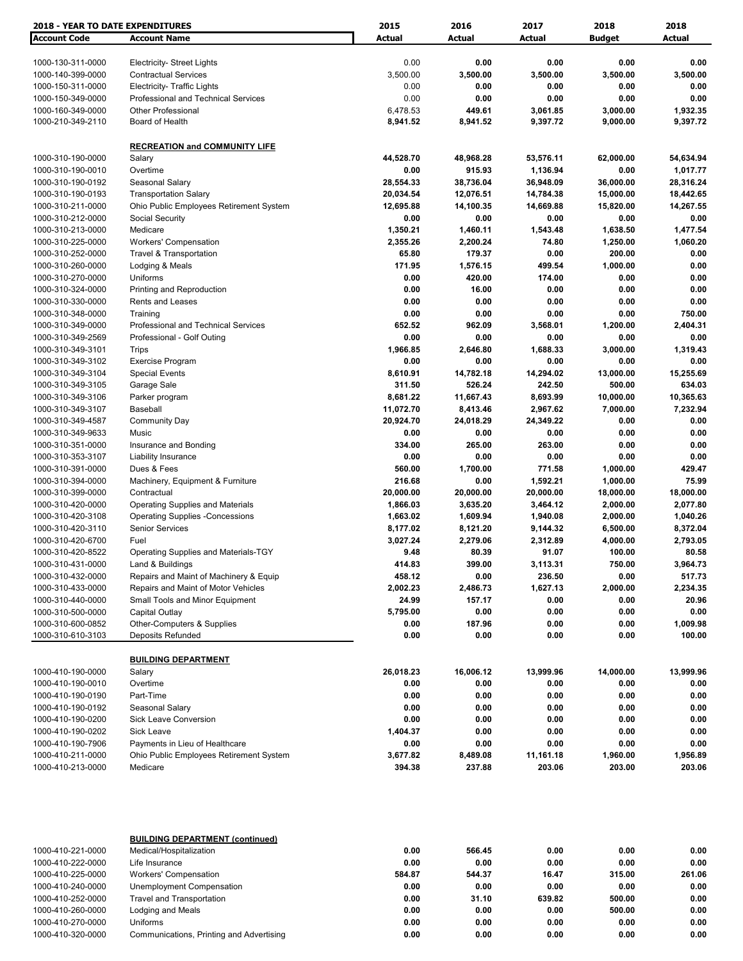| <b>2018 - YEAR TO DATE EXPENDITURES</b> |                                                                  | 2015           | 2016           | 2017           | 2018           | 2018           |
|-----------------------------------------|------------------------------------------------------------------|----------------|----------------|----------------|----------------|----------------|
| <b>Account Code</b>                     | <b>Account Name</b>                                              | Actual         | <b>Actual</b>  | <b>Actual</b>  | <b>Budget</b>  | Actual         |
|                                         |                                                                  |                |                |                |                |                |
| 1000-130-311-0000                       | <b>Electricity- Street Lights</b>                                | 0.00           | 0.00           | 0.00           | 0.00           | 0.00           |
| 1000-140-399-0000                       | <b>Contractual Services</b>                                      | 3,500.00       | 3,500.00       | 3,500.00       | 3,500.00       | 3,500.00       |
| 1000-150-311-0000                       | Electricity- Traffic Lights                                      | 0.00           | 0.00           | 0.00           | 0.00           | 0.00           |
| 1000-150-349-0000                       | Professional and Technical Services                              | 0.00           | 0.00           | 0.00           | 0.00           | 0.00           |
| 1000-160-349-0000                       | <b>Other Professional</b>                                        | 6,478.53       | 449.61         | 3,061.85       | 3,000.00       | 1,932.35       |
| 1000-210-349-2110                       | Board of Health                                                  | 8,941.52       | 8,941.52       | 9,397.72       | 9,000.00       | 9,397.72       |
|                                         | <b>RECREATION and COMMUNITY LIFE</b>                             |                |                |                |                |                |
| 1000-310-190-0000                       | Salary                                                           | 44,528.70      | 48,968.28      | 53,576.11      | 62,000.00      | 54,634.94      |
| 1000-310-190-0010                       | Overtime                                                         | 0.00           | 915.93         | 1,136.94       | 0.00           | 1,017.77       |
| 1000-310-190-0192                       | Seasonal Salary                                                  | 28,554.33      | 38,736.04      | 36,948.09      | 36,000.00      | 28,316.24      |
| 1000-310-190-0193                       | <b>Transportation Salary</b>                                     | 20,034.54      | 12,076.51      | 14,784.38      | 15,000.00      | 18,442.65      |
| 1000-310-211-0000                       | Ohio Public Employees Retirement System                          | 12,695.88      | 14,100.35      | 14,669.88      | 15,820.00      | 14,267.55      |
| 1000-310-212-0000                       | Social Security                                                  | 0.00           | 0.00           | 0.00           | 0.00           | 0.00           |
| 1000-310-213-0000                       | Medicare                                                         | 1,350.21       | 1,460.11       | 1,543.48       | 1,638.50       | 1,477.54       |
| 1000-310-225-0000                       | <b>Workers' Compensation</b>                                     | 2,355.26       | 2,200.24       | 74.80          | 1,250.00       | 1,060.20       |
| 1000-310-252-0000                       | <b>Travel &amp; Transportation</b>                               | 65.80          | 179.37         | 0.00           | 200.00         | 0.00           |
| 1000-310-260-0000                       | Lodging & Meals                                                  | 171.95         | 1,576.15       | 499.54         | 1,000.00       | 0.00           |
| 1000-310-270-0000                       | Uniforms                                                         | 0.00           | 420.00         | 174.00         | 0.00           | 0.00           |
| 1000-310-324-0000                       | Printing and Reproduction                                        | 0.00           | 16.00          | 0.00           | 0.00           | 0.00           |
| 1000-310-330-0000                       | Rents and Leases                                                 | 0.00           | 0.00           | 0.00           | 0.00           | 0.00           |
| 1000-310-348-0000                       | Training                                                         | 0.00           | 0.00           | 0.00           | 0.00           | 750.00         |
| 1000-310-349-0000                       | Professional and Technical Services                              | 652.52         | 962.09         | 3,568.01       | 1,200.00       | 2,404.31       |
| 1000-310-349-2569                       | Professional - Golf Outing                                       | 0.00           | 0.00           | 0.00           | 0.00           | 0.00           |
| 1000-310-349-3101                       | Trips                                                            | 1,966.85       | 2,646.80       | 1,688.33       | 3,000.00       | 1,319.43       |
| 1000-310-349-3102                       | Exercise Program                                                 | 0.00           | 0.00           | 0.00           | 0.00           | 0.00           |
| 1000-310-349-3104                       | <b>Special Events</b>                                            | 8,610.91       | 14,782.18      | 14,294.02      | 13,000.00      | 15,255.69      |
| 1000-310-349-3105                       | Garage Sale                                                      | 311.50         | 526.24         | 242.50         | 500.00         | 634.03         |
| 1000-310-349-3106                       | Parker program                                                   | 8,681.22       | 11,667.43      | 8,693.99       | 10,000.00      | 10,365.63      |
| 1000-310-349-3107                       | Baseball                                                         | 11,072.70      | 8,413.46       | 2,967.62       | 7,000.00       | 7,232.94       |
| 1000-310-349-4587                       | <b>Community Day</b>                                             | 20,924.70      | 24,018.29      | 24,349.22      | 0.00           | 0.00           |
| 1000-310-349-9633<br>1000-310-351-0000  | Music<br>Insurance and Bonding                                   | 0.00<br>334.00 | 0.00<br>265.00 | 0.00<br>263.00 | 0.00<br>0.00   | 0.00<br>0.00   |
| 1000-310-353-3107                       | Liability Insurance                                              | 0.00           | 0.00           | 0.00           | 0.00           | 0.00           |
| 1000-310-391-0000                       | Dues & Fees                                                      | 560.00         | 1,700.00       | 771.58         | 1,000.00       | 429.47         |
| 1000-310-394-0000                       | Machinery, Equipment & Furniture                                 | 216.68         | 0.00           | 1,592.21       | 1,000.00       | 75.99          |
| 1000-310-399-0000                       | Contractual                                                      | 20,000.00      | 20,000.00      | 20,000.00      | 18,000.00      | 18,000.00      |
| 1000-310-420-0000                       | <b>Operating Supplies and Materials</b>                          | 1,866.03       | 3,635.20       | 3,464.12       | 2,000.00       | 2,077.80       |
| 1000-310-420-3108                       | <b>Operating Supplies -Concessions</b>                           | 1,663.02       | 1,609.94       | 1,940.08       | 2,000.00       | 1,040.26       |
| 1000-310-420-3110                       | <b>Senior Services</b>                                           | 8,177.02       | 8,121.20       | 9,144.32       | 6,500.00       | 8,372.04       |
| 1000-310-420-6700                       | Fuel                                                             | 3,027.24       | 2,279.06       | 2,312.89       | 4,000.00       | 2,793.05       |
| 1000-310-420-8522                       | Operating Supplies and Materials-TGY                             | 9.48           | 80.39          | 91.07          | 100.00         | 80.58          |
| 1000-310-431-0000                       | Land & Buildings                                                 | 414.83         | 399.00         | 3,113.31       | 750.00         | 3,964.73       |
| 1000-310-432-0000                       | Repairs and Maint of Machinery & Equip                           | 458.12         | 0.00           | 236.50         | 0.00           | 517.73         |
| 1000-310-433-0000                       | Repairs and Maint of Motor Vehicles                              | 2,002.23       | 2,486.73       | 1,627.13       | 2,000.00       | 2,234.35       |
| 1000-310-440-0000                       | Small Tools and Minor Equipment                                  | 24.99          | 157.17         | 0.00           | 0.00           | 20.96          |
| 1000-310-500-0000                       | Capital Outlay                                                   | 5,795.00       | 0.00           | 0.00           | 0.00           | 0.00           |
| 1000-310-600-0852                       | Other-Computers & Supplies                                       | 0.00           | 187.96         | 0.00           | 0.00           | 1,009.98       |
| 1000-310-610-3103                       | Deposits Refunded                                                | 0.00           | 0.00           | 0.00           | 0.00           | 100.00         |
|                                         | <b>BUILDING DEPARTMENT</b>                                       |                |                |                |                |                |
| 1000-410-190-0000                       | Salary                                                           | 26,018.23      | 16,006.12      | 13,999.96      | 14,000.00      | 13,999.96      |
| 1000-410-190-0010                       | Overtime                                                         | 0.00           | 0.00           | 0.00           | 0.00           | 0.00           |
| 1000-410-190-0190                       | Part-Time                                                        | 0.00           | 0.00           | 0.00           | 0.00           | 0.00           |
| 1000-410-190-0192                       | Seasonal Salary                                                  | 0.00           | 0.00           | 0.00           | 0.00           | 0.00           |
| 1000-410-190-0200                       | Sick Leave Conversion                                            | 0.00           | 0.00           | 0.00           | 0.00           | 0.00           |
| 1000-410-190-0202                       | Sick Leave                                                       | 1,404.37       | 0.00           | 0.00           | 0.00           | 0.00           |
| 1000-410-190-7906                       | Payments in Lieu of Healthcare                                   | 0.00           | 0.00           | 0.00           | 0.00           | 0.00           |
| 1000-410-211-0000                       | Ohio Public Employees Retirement System                          | 3,677.82       | 8,489.08       | 11,161.18      | 1,960.00       | 1,956.89       |
| 1000-410-213-0000                       | Medicare                                                         | 394.38         | 237.88         | 203.06         | 203.00         | 203.06         |
|                                         |                                                                  |                |                |                |                |                |
|                                         | <b>BUILDING DEPARTMENT (continued)</b>                           |                |                |                |                |                |
| 1000-410-221-0000                       | Medical/Hospitalization                                          | 0.00           | 566.45         | 0.00           | 0.00           | 0.00           |
| 1000-410-222-0000                       | Life Insurance                                                   | 0.00           | 0.00           | 0.00           | 0.00           | 0.00           |
| 1000-410-225-0000<br>1000-410-240-0000  | <b>Workers' Compensation</b><br><b>Unemployment Compensation</b> | 584.87<br>0.00 | 544.37<br>0.00 | 16.47<br>0.00  | 315.00<br>0.00 | 261.06<br>0.00 |
| 1000-410-252-0000                       | <b>Travel and Transportation</b>                                 | 0.00           | 31.10          | 639.82         | 500.00         | 0.00           |
| 1000-410-260-0000                       | Lodging and Meals                                                | 0.00           | 0.00           | 0.00           | 500.00         | 0.00           |
| 1000-410-270-0000                       | Uniforms                                                         | 0.00           | 0.00           | 0.00           | 0.00           | 0.00           |
| 1000-410-320-0000                       | Communications, Printing and Advertising                         | 0.00           | 0.00           | 0.00           | 0.00           | 0.00           |

1000-410-320-0000 Communications, Printing and Advertising **0.00 0.00 0.00 0.00 0.00**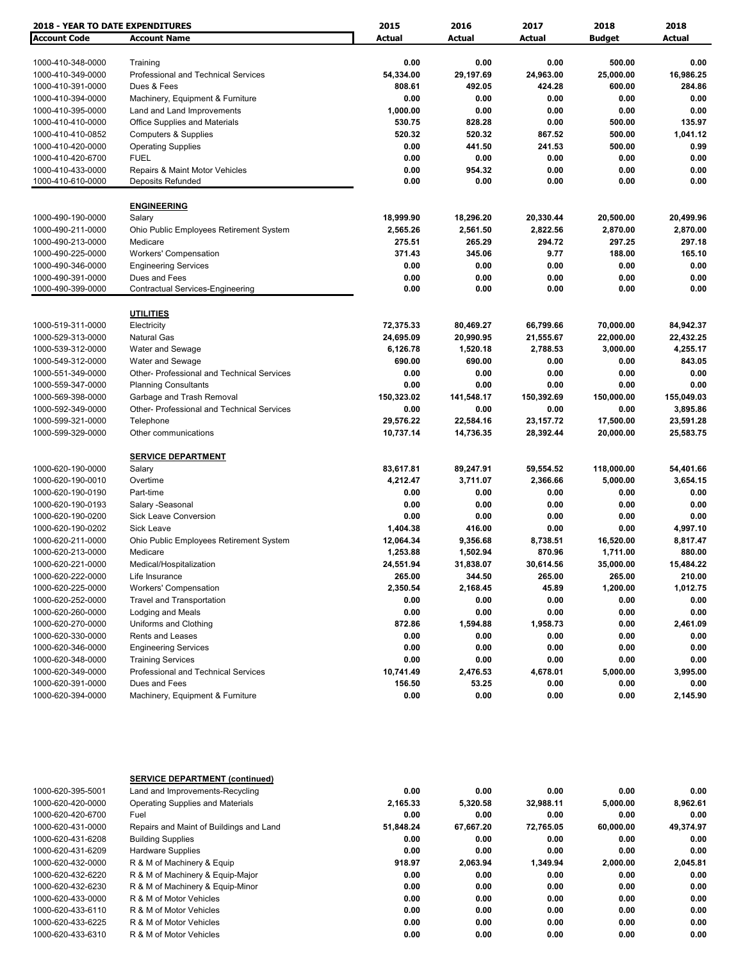| <b>2018 - YEAR TO DATE EXPENDITURES</b> |                                                     | 2015                | 2016                | 2017                | 2018                | 2018                |
|-----------------------------------------|-----------------------------------------------------|---------------------|---------------------|---------------------|---------------------|---------------------|
| <b>Account Code</b>                     | <b>Account Name</b>                                 | Actual              | <b>Actual</b>       | Actual              | <b>Budget</b>       | <b>Actual</b>       |
|                                         |                                                     | 0.00                | 0.00                | 0.00                | 500.00              | 0.00                |
| 1000-410-348-0000                       | Training<br>Professional and Technical Services     |                     |                     |                     |                     |                     |
| 1000-410-349-0000<br>1000-410-391-0000  | Dues & Fees                                         | 54,334.00<br>808.61 | 29,197.69<br>492.05 | 24,963.00<br>424.28 | 25,000.00<br>600.00 | 16,986.25<br>284.86 |
|                                         |                                                     |                     |                     |                     |                     |                     |
| 1000-410-394-0000                       | Machinery, Equipment & Furniture                    | 0.00                | 0.00                | 0.00                | 0.00                | 0.00                |
| 1000-410-395-0000                       | Land and Land Improvements                          | 1,000.00            | 0.00                | 0.00                | 0.00                | 0.00                |
| 1000-410-410-0000                       | Office Supplies and Materials                       | 530.75              | 828.28              | 0.00                | 500.00              | 135.97              |
| 1000-410-410-0852                       | <b>Computers &amp; Supplies</b>                     | 520.32              | 520.32              | 867.52              | 500.00              | 1,041.12            |
| 1000-410-420-0000                       | <b>Operating Supplies</b>                           | 0.00                | 441.50              | 241.53              | 500.00              | 0.99                |
| 1000-410-420-6700                       | <b>FUEL</b>                                         | 0.00                | 0.00                | 0.00                | 0.00                | 0.00                |
| 1000-410-433-0000<br>1000-410-610-0000  | Repairs & Maint Motor Vehicles<br>Deposits Refunded | 0.00<br>0.00        | 954.32<br>0.00      | 0.00<br>0.00        | 0.00<br>0.00        | 0.00<br>0.00        |
|                                         | <b>ENGINEERING</b>                                  |                     |                     |                     |                     |                     |
| 1000-490-190-0000                       | Salary                                              | 18,999.90           | 18,296.20           | 20,330.44           | 20,500.00           | 20,499.96           |
| 1000-490-211-0000                       | Ohio Public Employees Retirement System             | 2,565.26            | 2,561.50            | 2,822.56            | 2,870.00            | 2,870.00            |
| 1000-490-213-0000                       | Medicare                                            | 275.51              | 265.29              | 294.72              | 297.25              | 297.18              |
| 1000-490-225-0000                       | <b>Workers' Compensation</b>                        | 371.43              | 345.06              | 9.77                | 188.00              | 165.10              |
| 1000-490-346-0000                       | <b>Engineering Services</b>                         | 0.00                | 0.00                | 0.00                | 0.00                | 0.00                |
| 1000-490-391-0000                       | Dues and Fees                                       | 0.00                | 0.00                | 0.00                | 0.00                | 0.00                |
| 1000-490-399-0000                       | Contractual Services-Engineering                    | 0.00                | 0.00                | 0.00                | 0.00                | 0.00                |
|                                         |                                                     |                     |                     |                     |                     |                     |
|                                         | <b>UTILITIES</b>                                    |                     |                     |                     |                     |                     |
| 1000-519-311-0000                       | Electricity                                         | 72,375.33           | 80,469.27           | 66,799.66           | 70,000.00           | 84,942.37           |
| 1000-529-313-0000                       | <b>Natural Gas</b>                                  | 24,695.09           | 20,990.95           | 21,555.67           | 22,000.00           | 22,432.25           |
| 1000-539-312-0000                       | Water and Sewage                                    | 6,126.78            | 1,520.18            | 2,788.53            | 3,000.00            | 4,255.17            |
| 1000-549-312-0000                       | Water and Sewage                                    | 690.00              | 690.00              | 0.00                | 0.00                | 843.05              |
| 1000-551-349-0000                       | Other- Professional and Technical Services          | 0.00                | 0.00                | 0.00                | 0.00                | 0.00                |
| 1000-559-347-0000                       | <b>Planning Consultants</b>                         | 0.00                | 0.00                | 0.00                | 0.00                | 0.00                |
| 1000-569-398-0000                       | Garbage and Trash Removal                           | 150,323.02          | 141,548.17          | 150,392.69          | 150,000.00          | 155,049.03          |
| 1000-592-349-0000                       | Other- Professional and Technical Services          | 0.00                | 0.00                | 0.00                | 0.00                | 3,895.86            |
| 1000-599-321-0000                       | Telephone                                           | 29,576.22           | 22,584.16           | 23,157.72           | 17,500.00           | 23,591.28           |
| 1000-599-329-0000                       | Other communications                                | 10,737.14           | 14,736.35           | 28,392.44           | 20,000.00           | 25,583.75           |
|                                         | <b>SERVICE DEPARTMENT</b>                           |                     |                     |                     |                     |                     |
| 1000-620-190-0000                       | Salary                                              | 83,617.81           | 89,247.91           | 59,554.52           | 118,000.00          | 54,401.66           |
| 1000-620-190-0010                       | Overtime                                            | 4,212.47            | 3,711.07            | 2,366.66            | 5,000.00            | 3,654.15            |
| 1000-620-190-0190                       | Part-time                                           | 0.00                | 0.00                | 0.00                | 0.00                | 0.00                |
| 1000-620-190-0193                       | Salary -Seasonal                                    | 0.00                | 0.00                | 0.00                | 0.00                | 0.00                |
| 1000-620-190-0200                       | <b>Sick Leave Conversion</b>                        | 0.00                | 0.00                | 0.00                | 0.00                | 0.00                |
| 1000-620-190-0202                       | <b>Sick Leave</b>                                   | 1,404.38            | 416.00              | 0.00                | 0.00                | 4,997.10            |
| 1000-620-211-0000                       | Ohio Public Employees Retirement System             | 12,064.34           | 9,356.68            | 8,738.51            | 16,520.00           | 8,817.47            |
| 1000-620-213-0000                       | Medicare                                            | 1,253.88            | 1,502.94            | 870.96              | 1,711.00            | 880.00              |
| 1000-620-221-0000                       | Medical/Hospitalization                             | 24,551.94           | 31,838.07           | 30,614.56           | 35,000.00           | 15,484.22           |
| 1000-620-222-0000                       | Life Insurance                                      | 265.00              | 344.50              | 265.00              | 265.00              | 210.00              |
| 1000-620-225-0000                       | <b>Workers' Compensation</b>                        | 2,350.54            | 2,168.45            | 45.89               | 1,200.00            | 1,012.75            |
| 1000-620-252-0000                       | <b>Travel and Transportation</b>                    | 0.00                | 0.00                | 0.00                | 0.00                | 0.00                |
| 1000-620-260-0000                       | Lodging and Meals                                   | 0.00                | 0.00                | 0.00                | 0.00                | 0.00                |
| 1000-620-270-0000                       | Uniforms and Clothing                               | 872.86              | 1,594.88            | 1,958.73            | 0.00                | 2,461.09            |
| 1000-620-330-0000                       | <b>Rents and Leases</b>                             | 0.00                | 0.00                | 0.00                | 0.00                | 0.00                |
| 1000-620-346-0000                       | <b>Engineering Services</b>                         | 0.00                | 0.00                | 0.00                | 0.00                | 0.00                |
| 1000-620-348-0000                       | <b>Training Services</b>                            | 0.00                | 0.00                | 0.00                | 0.00                | 0.00                |
| 1000-620-349-0000                       | Professional and Technical Services                 | 10,741.49           | 2,476.53            | 4,678.01            | 5,000.00            | 3,995.00            |
| 1000-620-391-0000                       | Dues and Fees                                       | 156.50              | 53.25               | 0.00                | 0.00                | 0.00                |
| 1000-620-394-0000                       | Machinery, Equipment & Furniture                    | 0.00                | 0.00                | 0.00                | 0.00                | 2,145.90            |
|                                         |                                                     |                     |                     |                     |                     |                     |

|                   | <b>SERVICE DEPARTMENT (continued)</b>   |           |           |           |           |           |
|-------------------|-----------------------------------------|-----------|-----------|-----------|-----------|-----------|
| 1000-620-395-5001 | Land and Improvements-Recycling         | 0.00      | 0.00      | 0.00      | 0.00      | 0.00      |
| 1000-620-420-0000 | <b>Operating Supplies and Materials</b> | 2,165.33  | 5,320.58  | 32.988.11 | 5,000.00  | 8,962.61  |
| 1000-620-420-6700 | Fuel                                    | 0.00      | 0.00      | 0.00      | 0.00      | 0.00      |
| 1000-620-431-0000 | Repairs and Maint of Buildings and Land | 51.848.24 | 67.667.20 | 72.765.05 | 60.000.00 | 49,374.97 |
| 1000-620-431-6208 | <b>Building Supplies</b>                | 0.00      | 0.00      | 0.00      | 0.00      | 0.00      |
| 1000-620-431-6209 | <b>Hardware Supplies</b>                | 0.00      | 0.00      | 0.00      | 0.00      | 0.00      |
| 1000-620-432-0000 | R & M of Machinery & Equip              | 918.97    | 2.063.94  | 1.349.94  | 2.000.00  | 2,045.81  |
| 1000-620-432-6220 | R & M of Machinery & Equip-Major        | 0.00      | 0.00      | 0.00      | 0.00      | 0.00      |
| 1000-620-432-6230 | R & M of Machinery & Equip-Minor        | 0.00      | 0.00      | 0.00      | 0.00      | 0.00      |
| 1000-620-433-0000 | R & M of Motor Vehicles                 | 0.00      | 0.00      | 0.00      | 0.00      | 0.00      |
| 1000-620-433-6110 | R & M of Motor Vehicles                 | 0.00      | 0.00      | 0.00      | 0.00      | 0.00      |
| 1000-620-433-6225 | R & M of Motor Vehicles                 | 0.00      | 0.00      | 0.00      | 0.00      | 0.00      |
| 1000-620-433-6310 | R & M of Motor Vehicles                 | 0.00      | 0.00      | 0.00      | 0.00      | 0.00      |
|                   |                                         |           |           |           |           |           |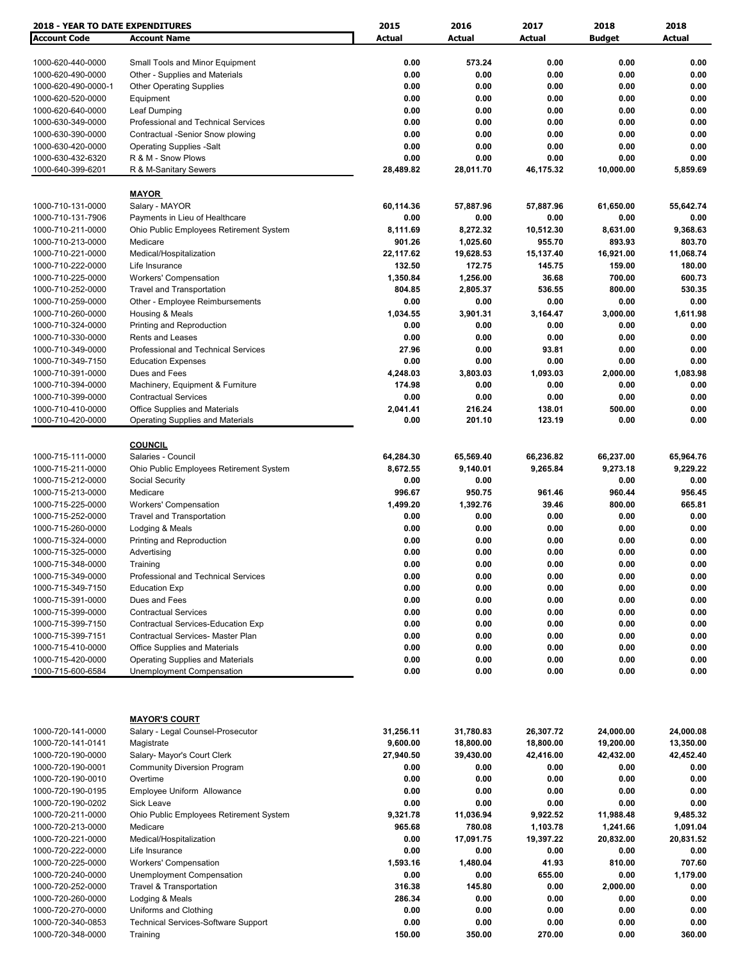| <b>2018 - YEAR TO DATE EXPENDITURES</b> |                                            | 2015      | 2016      | 2017          | 2018          | 2018      |
|-----------------------------------------|--------------------------------------------|-----------|-----------|---------------|---------------|-----------|
| <b>Account Code</b>                     | <b>Account Name</b>                        | Actual    | Actual    | <b>Actual</b> | <b>Budget</b> | Actual    |
|                                         |                                            |           |           |               |               |           |
| 1000-620-440-0000                       | Small Tools and Minor Equipment            | 0.00      | 573.24    | 0.00          | 0.00          | 0.00      |
| 1000-620-490-0000                       | Other - Supplies and Materials             | 0.00      | 0.00      | 0.00          | 0.00          | 0.00      |
| 1000-620-490-0000-1                     | <b>Other Operating Supplies</b>            | 0.00      | 0.00      | 0.00          | 0.00          | 0.00      |
| 1000-620-520-0000                       | Equipment                                  | 0.00      | 0.00      | 0.00          | 0.00          | 0.00      |
| 1000-620-640-0000                       | Leaf Dumping                               | 0.00      | 0.00      | 0.00          | 0.00          | 0.00      |
| 1000-630-349-0000                       | Professional and Technical Services        | 0.00      | 0.00      | 0.00          | 0.00          | 0.00      |
| 1000-630-390-0000                       | Contractual -Senior Snow plowing           | 0.00      | 0.00      | 0.00          | 0.00          | 0.00      |
| 1000-630-420-0000                       | <b>Operating Supplies -Salt</b>            | 0.00      | 0.00      | 0.00          | 0.00          | 0.00      |
| 1000-630-432-6320                       | R & M - Snow Plows                         | 0.00      | 0.00      | 0.00          | 0.00          | 0.00      |
| 1000-640-399-6201                       | R & M-Sanitary Sewers                      | 28,489.82 | 28,011.70 | 46,175.32     | 10,000.00     | 5,859.69  |
|                                         |                                            |           |           |               |               |           |
|                                         | <b>MAYOR</b>                               |           |           |               |               |           |
| 1000-710-131-0000                       | Salary - MAYOR                             | 60,114.36 | 57,887.96 | 57,887.96     | 61,650.00     | 55,642.74 |
| 1000-710-131-7906                       | Payments in Lieu of Healthcare             | 0.00      | 0.00      | 0.00          | 0.00          | 0.00      |
| 1000-710-211-0000                       | Ohio Public Employees Retirement System    | 8,111.69  | 8,272.32  | 10,512.30     | 8,631.00      | 9,368.63  |
| 1000-710-213-0000                       | Medicare                                   | 901.26    | 1,025.60  | 955.70        | 893.93        | 803.70    |
|                                         |                                            |           |           |               |               |           |
| 1000-710-221-0000                       | Medical/Hospitalization                    | 22,117.62 | 19,628.53 | 15,137.40     | 16,921.00     | 11,068.74 |
| 1000-710-222-0000                       | Life Insurance                             | 132.50    | 172.75    | 145.75        | 159.00        | 180.00    |
| 1000-710-225-0000                       | <b>Workers' Compensation</b>               | 1,350.84  | 1,256.00  | 36.68         | 700.00        | 600.73    |
| 1000-710-252-0000                       | <b>Travel and Transportation</b>           | 804.85    | 2,805.37  | 536.55        | 800.00        | 530.35    |
| 1000-710-259-0000                       | Other - Employee Reimbursements            | 0.00      | 0.00      | 0.00          | 0.00          | 0.00      |
| 1000-710-260-0000                       | Housing & Meals                            | 1,034.55  | 3,901.31  | 3,164.47      | 3,000.00      | 1,611.98  |
| 1000-710-324-0000                       | Printing and Reproduction                  | 0.00      | 0.00      | 0.00          | 0.00          | 0.00      |
| 1000-710-330-0000                       | Rents and Leases                           | 0.00      | 0.00      | 0.00          | 0.00          | 0.00      |
| 1000-710-349-0000                       | Professional and Technical Services        | 27.96     | 0.00      | 93.81         | 0.00          | 0.00      |
| 1000-710-349-7150                       | <b>Education Expenses</b>                  | 0.00      | 0.00      | 0.00          | 0.00          | 0.00      |
| 1000-710-391-0000                       | Dues and Fees                              | 4,248.03  | 3,803.03  | 1,093.03      | 2,000.00      | 1,083.98  |
| 1000-710-394-0000                       | Machinery, Equipment & Furniture           | 174.98    | 0.00      | 0.00          | 0.00          | 0.00      |
| 1000-710-399-0000                       | <b>Contractual Services</b>                | 0.00      | 0.00      | 0.00          | 0.00          | 0.00      |
| 1000-710-410-0000                       | <b>Office Supplies and Materials</b>       | 2,041.41  | 216.24    | 138.01        | 500.00        | 0.00      |
| 1000-710-420-0000                       | Operating Supplies and Materials           | 0.00      | 201.10    | 123.19        | 0.00          | 0.00      |
|                                         |                                            |           |           |               |               |           |
|                                         | <b>COUNCIL</b>                             |           |           |               |               |           |
| 1000-715-111-0000                       | Salaries - Council                         | 64,284.30 | 65,569.40 | 66,236.82     | 66,237.00     | 65,964.76 |
| 1000-715-211-0000                       | Ohio Public Employees Retirement System    | 8,672.55  | 9,140.01  | 9,265.84      | 9,273.18      | 9,229.22  |
| 1000-715-212-0000                       | Social Security                            | 0.00      | 0.00      |               | 0.00          | 0.00      |
| 1000-715-213-0000                       | Medicare                                   | 996.67    | 950.75    | 961.46        | 960.44        | 956.45    |
| 1000-715-225-0000                       | <b>Workers' Compensation</b>               | 1,499.20  | 1,392.76  | 39.46         | 800.00        | 665.81    |
| 1000-715-252-0000                       | <b>Travel and Transportation</b>           | 0.00      | 0.00      | 0.00          | 0.00          | 0.00      |
| 1000-715-260-0000                       | Lodging & Meals                            | 0.00      | 0.00      | 0.00          | 0.00          | 0.00      |
| 1000-715-324-0000                       | Printing and Reproduction                  | 0.00      | 0.00      | 0.00          | 0.00          | 0.00      |
| 1000-715-325-0000                       | Advertising                                | 0.00      | 0.00      | 0.00          | 0.00          | 0.00      |
| 1000-715-348-0000                       | Training                                   | 0.00      | 0.00      | 0.00          | 0.00          | 0.00      |
| 1000-715-349-0000                       | Professional and Technical Services        | 0.00      | 0.00      | 0.00          | 0.00          | 0.00      |
| 1000-715-349-7150                       | <b>Education Exp</b>                       | 0.00      | 0.00      | 0.00          | 0.00          | 0.00      |
| 1000-715-391-0000                       | Dues and Fees                              | 0.00      | 0.00      | 0.00          | 0.00          | 0.00      |
| 1000-715-399-0000                       | <b>Contractual Services</b>                | 0.00      | 0.00      | 0.00          | 0.00          | 0.00      |
| 1000-715-399-7150                       | <b>Contractual Services-Education Exp</b>  | 0.00      | 0.00      | 0.00          | 0.00          | 0.00      |
| 1000-715-399-7151                       | Contractual Services- Master Plan          | 0.00      | 0.00      | 0.00          | 0.00          | 0.00      |
| 1000-715-410-0000                       | <b>Office Supplies and Materials</b>       | 0.00      | 0.00      | 0.00          | 0.00          | 0.00      |
| 1000-715-420-0000                       | <b>Operating Supplies and Materials</b>    | 0.00      | 0.00      | 0.00          | 0.00          | 0.00      |
| 1000-715-600-6584                       | <b>Unemployment Compensation</b>           | 0.00      | 0.00      | 0.00          | 0.00          | 0.00      |
|                                         |                                            |           |           |               |               |           |
|                                         |                                            |           |           |               |               |           |
|                                         | <b>MAYOR'S COURT</b>                       |           |           |               |               |           |
| 1000-720-141-0000                       | Salary - Legal Counsel-Prosecutor          | 31,256.11 | 31,780.83 | 26,307.72     | 24,000.00     | 24,000.08 |
| 1000-720-141-0141                       | Magistrate                                 | 9,600.00  | 18,800.00 | 18,800.00     | 19,200.00     | 13,350.00 |
| 1000-720-190-0000                       | Salary- Mayor's Court Clerk                | 27,940.50 | 39,430.00 | 42,416.00     | 42,432.00     | 42,452.40 |
| 1000-720-190-0001                       | <b>Community Diversion Program</b>         | 0.00      | 0.00      | 0.00          | 0.00          | 0.00      |
| 1000-720-190-0010                       | Overtime                                   | 0.00      | 0.00      | 0.00          | 0.00          | 0.00      |
| 1000-720-190-0195                       | Employee Uniform Allowance                 | 0.00      | 0.00      | 0.00          | 0.00          | 0.00      |
| 1000-720-190-0202                       | Sick Leave                                 | 0.00      | 0.00      | 0.00          | 0.00          | 0.00      |
| 1000-720-211-0000                       | Ohio Public Employees Retirement System    | 9,321.78  | 11,036.94 | 9,922.52      | 11,988.48     | 9,485.32  |
| 1000-720-213-0000                       | Medicare                                   | 965.68    | 780.08    | 1,103.78      | 1,241.66      | 1,091.04  |
| 1000-720-221-0000                       | Medical/Hospitalization                    | 0.00      | 17,091.75 | 19,397.22     | 20,832.00     | 20,831.52 |
| 1000-720-222-0000                       | Life Insurance                             | 0.00      | 0.00      | 0.00          | 0.00          | 0.00      |
| 1000-720-225-0000                       | <b>Workers' Compensation</b>               | 1,593.16  | 1,480.04  | 41.93         | 810.00        | 707.60    |
| 1000-720-240-0000                       | <b>Unemployment Compensation</b>           | 0.00      | 0.00      | 655.00        | 0.00          | 1,179.00  |
| 1000-720-252-0000                       | Travel & Transportation                    | 316.38    | 145.80    | 0.00          | 2,000.00      | 0.00      |
| 1000-720-260-0000                       | Lodging & Meals                            | 286.34    | 0.00      | 0.00          | 0.00          | 0.00      |
| 1000-720-270-0000                       | Uniforms and Clothing                      | 0.00      | 0.00      | 0.00          | 0.00          | 0.00      |
| 1000-720-340-0853                       | <b>Technical Services-Software Support</b> | 0.00      | 0.00      | 0.00          | 0.00          | 0.00      |
| 1000-720-348-0000                       | Training                                   | 150.00    | 350.00    | 270.00        | 0.00          | 360.00    |
|                                         |                                            |           |           |               |               |           |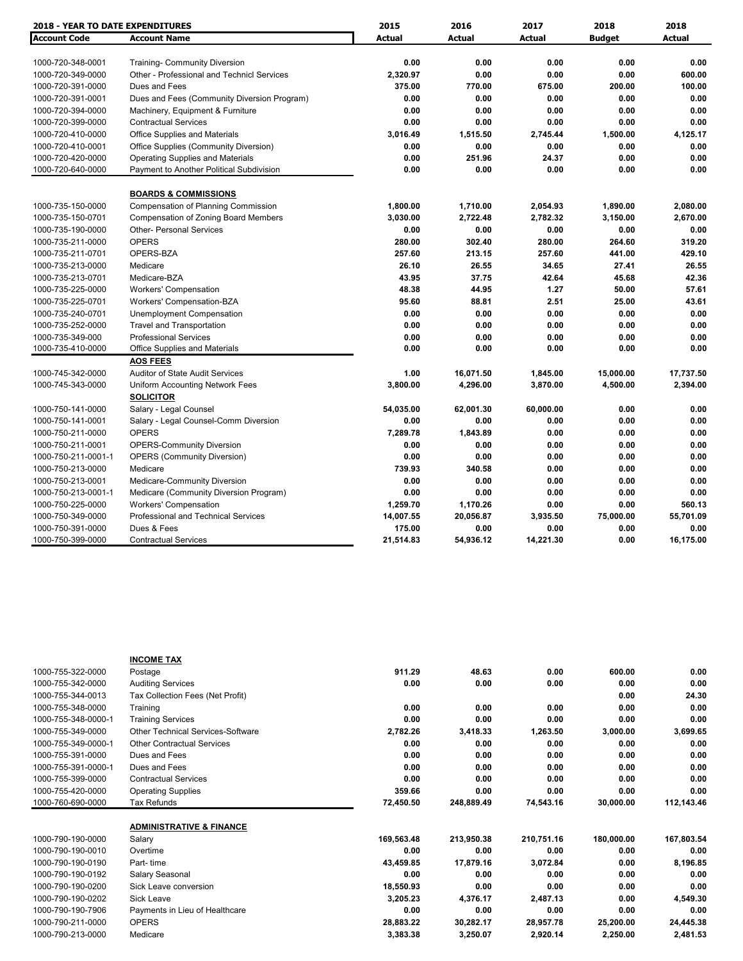| <b>2018 - YEAR TO DATE EXPENDITURES</b>  |                                                                  | 2015          | 2016          | 2017          | 2018          | 2018          |
|------------------------------------------|------------------------------------------------------------------|---------------|---------------|---------------|---------------|---------------|
| <b>Account Code</b>                      | <b>Account Name</b>                                              | <b>Actual</b> | <b>Actual</b> | <b>Actual</b> | <b>Budget</b> | <b>Actual</b> |
|                                          |                                                                  |               |               |               |               |               |
| 1000-720-348-0001                        | <b>Training- Community Diversion</b>                             | 0.00          | 0.00          | 0.00          | 0.00          | 0.00          |
| 1000-720-349-0000                        | Other - Professional and Technicl Services                       | 2,320.97      | 0.00          | 0.00          | 0.00          | 600.00        |
| 1000-720-391-0000                        | Dues and Fees                                                    | 375.00        | 770.00        | 675.00        | 200.00        | 100.00        |
| 1000-720-391-0001                        | Dues and Fees (Community Diversion Program)                      | 0.00          | 0.00          | 0.00          | 0.00          | 0.00          |
| 1000-720-394-0000                        | Machinery, Equipment & Furniture                                 | 0.00          | 0.00          | 0.00          | 0.00          | 0.00          |
| 1000-720-399-0000                        | <b>Contractual Services</b>                                      | 0.00          | 0.00          | 0.00          | 0.00          | 0.00          |
| 1000-720-410-0000                        | Office Supplies and Materials                                    | 3,016.49      | 1,515.50      | 2,745.44      | 1,500.00      | 4,125.17      |
| 1000-720-410-0001                        | Office Supplies (Community Diversion)                            | 0.00          | 0.00          | 0.00          | 0.00          | 0.00          |
| 1000-720-420-0000                        | <b>Operating Supplies and Materials</b>                          | 0.00          | 251.96        | 24.37         | 0.00          | 0.00          |
| 1000-720-640-0000                        | Payment to Another Political Subdivision                         | 0.00          | 0.00          | 0.00          | 0.00          | 0.00          |
|                                          | <b>BOARDS &amp; COMMISSIONS</b>                                  |               |               |               |               |               |
| 1000-735-150-0000                        | <b>Compensation of Planning Commission</b>                       | 1,800.00      | 1,710.00      | 2,054.93      | 1,890.00      | 2,080.00      |
| 1000-735-150-0701                        | <b>Compensation of Zoning Board Members</b>                      | 3,030.00      | 2,722.48      | 2,782.32      | 3,150.00      | 2,670.00      |
| 1000-735-190-0000                        | <b>Other- Personal Services</b>                                  | 0.00          | 0.00          | 0.00          | 0.00          | 0.00          |
| 1000-735-211-0000                        | <b>OPERS</b>                                                     | 280.00        | 302.40        | 280.00        | 264.60        | 319.20        |
| 1000-735-211-0701                        | OPERS-BZA                                                        | 257.60        | 213.15        | 257.60        | 441.00        | 429.10        |
| 1000-735-213-0000                        | Medicare                                                         | 26.10         | 26.55         | 34.65         | 27.41         | 26.55         |
| 1000-735-213-0701                        | Medicare-BZA                                                     | 43.95         | 37.75         | 42.64         | 45.68         | 42.36         |
| 1000-735-225-0000                        |                                                                  | 48.38         | 44.95         | 1.27          | 50.00         | 57.61         |
| 1000-735-225-0701                        | <b>Workers' Compensation</b><br><b>Workers' Compensation-BZA</b> | 95.60         | 88.81         | 2.51          | 25.00         | 43.61         |
| 1000-735-240-0701                        |                                                                  | 0.00          | 0.00          | 0.00          | 0.00          | 0.00          |
|                                          | Unemployment Compensation                                        | 0.00          | 0.00          | 0.00          | 0.00          | 0.00          |
| 1000-735-252-0000                        | <b>Travel and Transportation</b>                                 |               |               |               |               |               |
| 1000-735-349-000                         | <b>Professional Services</b>                                     | 0.00<br>0.00  | 0.00<br>0.00  | 0.00<br>0.00  | 0.00<br>0.00  | 0.00          |
| 1000-735-410-0000                        | Office Supplies and Materials<br><b>AOS FEES</b>                 |               |               |               |               | 0.00          |
| 1000-745-342-0000                        | Auditor of State Audit Services                                  | 1.00          | 16,071.50     | 1,845.00      | 15,000.00     | 17,737.50     |
| 1000-745-343-0000                        | Uniform Accounting Network Fees                                  | 3,800.00      | 4,296.00      | 3,870.00      | 4,500.00      | 2,394.00      |
|                                          | <b>SOLICITOR</b>                                                 |               |               |               |               |               |
| 1000-750-141-0000                        | Salary - Legal Counsel                                           | 54,035.00     | 62,001.30     | 60,000.00     | 0.00          | 0.00          |
| 1000-750-141-0001                        | Salary - Legal Counsel-Comm Diversion                            | 0.00          | 0.00          | 0.00          | 0.00          | 0.00          |
| 1000-750-211-0000                        | <b>OPERS</b>                                                     | 7,289.78      | 1,843.89      | 0.00          | 0.00          | 0.00          |
| 1000-750-211-0001                        | <b>OPERS-Community Diversion</b>                                 | 0.00          | 0.00          | 0.00          | 0.00          | 0.00          |
| 1000-750-211-0001-1                      | <b>OPERS (Community Diversion)</b>                               | 0.00          | 0.00          | 0.00          | 0.00          | 0.00          |
| 1000-750-213-0000                        | Medicare                                                         | 739.93        | 340.58        | 0.00          | 0.00          | 0.00          |
|                                          |                                                                  | 0.00          | 0.00          | 0.00          | 0.00          | 0.00          |
| 1000-750-213-0001<br>1000-750-213-0001-1 | Medicare-Community Diversion                                     | 0.00          | 0.00          | 0.00          | 0.00          | 0.00          |
|                                          | Medicare (Community Diversion Program)                           |               |               |               |               |               |
| 1000-750-225-0000                        | <b>Workers' Compensation</b>                                     | 1,259.70      | 1,170.26      | 0.00          | 0.00          | 560.13        |
| 1000-750-349-0000                        | Professional and Technical Services                              | 14,007.55     | 20,056.87     | 3,935.50      | 75,000.00     | 55,701.09     |
| 1000-750-391-0000                        | Dues & Fees                                                      | 175.00        | 0.00          | 0.00          | 0.00          | 0.00          |
| 1000-750-399-0000                        | <b>Contractual Services</b>                                      | 21,514.83     | 54,936.12     | 14,221.30     | 0.00          | 16,175.00     |

|                     | <b>INCOME TAX</b>                        |            |            |            |            |            |
|---------------------|------------------------------------------|------------|------------|------------|------------|------------|
| 1000-755-322-0000   | Postage                                  | 911.29     | 48.63      | 0.00       | 600.00     | 0.00       |
| 1000-755-342-0000   | <b>Auditing Services</b>                 | 0.00       | 0.00       | 0.00       | 0.00       | 0.00       |
| 1000-755-344-0013   | Tax Collection Fees (Net Profit)         |            |            |            | 0.00       | 24.30      |
| 1000-755-348-0000   | Training                                 | 0.00       | 0.00       | 0.00       | 0.00       | 0.00       |
| 1000-755-348-0000-1 | <b>Training Services</b>                 | 0.00       | 0.00       | 0.00       | 0.00       | 0.00       |
| 1000-755-349-0000   | <b>Other Technical Services-Software</b> | 2,782.26   | 3,418.33   | 1,263.50   | 3,000.00   | 3,699.65   |
| 1000-755-349-0000-1 | <b>Other Contractual Services</b>        | 0.00       | 0.00       | 0.00       | 0.00       | 0.00       |
| 1000-755-391-0000   | Dues and Fees                            | 0.00       | 0.00       | 0.00       | 0.00       | 0.00       |
| 1000-755-391-0000-1 | Dues and Fees                            | 0.00       | 0.00       | 0.00       | 0.00       | 0.00       |
| 1000-755-399-0000   | <b>Contractual Services</b>              | 0.00       | 0.00       | 0.00       | 0.00       | 0.00       |
| 1000-755-420-0000   | <b>Operating Supplies</b>                | 359.66     | 0.00       | 0.00       | 0.00       | 0.00       |
| 1000-760-690-0000   | <b>Tax Refunds</b>                       | 72,450.50  | 248,889.49 | 74,543.16  | 30,000.00  | 112.143.46 |
|                     | <b>ADMINISTRATIVE &amp; FINANCE</b>      |            |            |            |            |            |
| 1000-790-190-0000   | Salary                                   | 169,563.48 | 213,950.38 | 210,751.16 | 180,000.00 | 167,803.54 |
| 1000-790-190-0010   | Overtime                                 | 0.00       | 0.00       | 0.00       | 0.00       | 0.00       |
| 1000-790-190-0190   | Part-time                                | 43,459.85  | 17,879.16  | 3,072.84   | 0.00       | 8,196.85   |
| 1000-790-190-0192   | Salary Seasonal                          | 0.00       | 0.00       | 0.00       | 0.00       | 0.00       |
| 1000-790-190-0200   | Sick Leave conversion                    | 18,550.93  | 0.00       | 0.00       | 0.00       | 0.00       |
| 1000-790-190-0202   | <b>Sick Leave</b>                        | 3,205.23   | 4,376.17   | 2,487.13   | 0.00       | 4,549.30   |
| 1000-790-190-7906   | Payments in Lieu of Healthcare           | 0.00       | 0.00       | 0.00       | 0.00       | 0.00       |
| 1000-790-211-0000   | <b>OPERS</b>                             | 28,883.22  | 30,282.17  | 28,957.78  | 25,200.00  | 24,445.38  |
| 1000-790-213-0000   | Medicare                                 | 3,383.38   | 3,250.07   | 2,920.14   | 2,250.00   | 2,481.53   |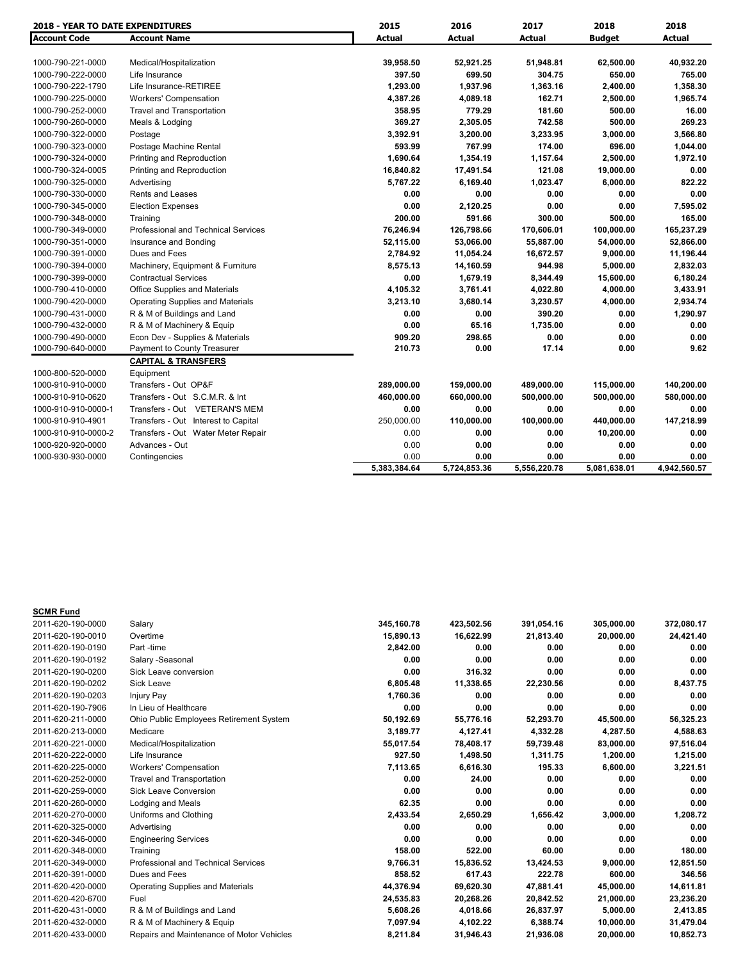| <b>2018 - YEAR TO DATE EXPENDITURES</b> |                                            | 2015         | 2016         | 2017         | 2018          | 2018         |
|-----------------------------------------|--------------------------------------------|--------------|--------------|--------------|---------------|--------------|
| <b>Account Code</b>                     | <b>Account Name</b>                        | Actual       | Actual       | Actual       | <b>Budget</b> | Actual       |
| 1000-790-221-0000                       | Medical/Hospitalization                    | 39,958.50    | 52,921.25    | 51,948.81    | 62,500.00     | 40,932.20    |
| 1000-790-222-0000                       | Life Insurance                             | 397.50       | 699.50       | 304.75       | 650.00        | 765.00       |
| 1000-790-222-1790                       | Life Insurance-RETIREE                     | 1,293.00     | 1,937.96     | 1,363.16     | 2,400.00      | 1,358.30     |
| 1000-790-225-0000                       | <b>Workers' Compensation</b>               | 4,387.26     | 4,089.18     | 162.71       | 2,500.00      | 1,965.74     |
| 1000-790-252-0000                       | <b>Travel and Transportation</b>           | 358.95       | 779.29       | 181.60       | 500.00        | 16.00        |
| 1000-790-260-0000                       | Meals & Lodging                            | 369.27       | 2,305.05     | 742.58       | 500.00        | 269.23       |
| 1000-790-322-0000                       | Postage                                    | 3,392.91     | 3,200.00     | 3,233.95     | 3,000.00      | 3,566.80     |
| 1000-790-323-0000                       | Postage Machine Rental                     | 593.99       | 767.99       | 174.00       | 696.00        | 1,044.00     |
| 1000-790-324-0000                       | Printing and Reproduction                  | 1,690.64     | 1,354.19     | 1,157.64     | 2,500.00      | 1,972.10     |
| 1000-790-324-0005                       | Printing and Reproduction                  | 16,840.82    | 17,491.54    | 121.08       | 19,000.00     | 0.00         |
| 1000-790-325-0000                       | Advertising                                | 5,767.22     | 6,169.40     | 1,023.47     | 6,000.00      | 822.22       |
| 1000-790-330-0000                       | <b>Rents and Leases</b>                    | 0.00         | 0.00         | 0.00         | 0.00          | 0.00         |
| 1000-790-345-0000                       | <b>Election Expenses</b>                   | 0.00         | 2,120.25     | 0.00         | 0.00          | 7,595.02     |
| 1000-790-348-0000                       | Training                                   | 200.00       | 591.66       | 300.00       | 500.00        | 165.00       |
| 1000-790-349-0000                       | <b>Professional and Technical Services</b> | 76,246.94    | 126,798.66   | 170,606.01   | 100,000.00    | 165,237.29   |
| 1000-790-351-0000                       | Insurance and Bonding                      | 52,115.00    | 53,066.00    | 55,887.00    | 54,000.00     | 52,866.00    |
| 1000-790-391-0000                       | Dues and Fees                              | 2,784.92     | 11,054.24    | 16,672.57    | 9,000.00      | 11,196.44    |
| 1000-790-394-0000                       | Machinery, Equipment & Furniture           | 8,575.13     | 14,160.59    | 944.98       | 5,000.00      | 2,832.03     |
| 1000-790-399-0000                       | <b>Contractual Services</b>                | 0.00         | 1,679.19     | 8,344.49     | 15,600.00     | 6,180.24     |
| 1000-790-410-0000                       | <b>Office Supplies and Materials</b>       | 4,105.32     | 3,761.41     | 4,022.80     | 4,000.00      | 3,433.91     |
| 1000-790-420-0000                       | <b>Operating Supplies and Materials</b>    | 3,213.10     | 3,680.14     | 3,230.57     | 4,000.00      | 2,934.74     |
| 1000-790-431-0000                       | R & M of Buildings and Land                | 0.00         | 0.00         | 390.20       | 0.00          | 1,290.97     |
| 1000-790-432-0000                       | R & M of Machinery & Equip                 | 0.00         | 65.16        | 1,735.00     | 0.00          | 0.00         |
| 1000-790-490-0000                       | Econ Dev - Supplies & Materials            | 909.20       | 298.65       | 0.00         | 0.00          | 0.00         |
| 1000-790-640-0000                       | Payment to County Treasurer                | 210.73       | 0.00         | 17.14        | 0.00          | 9.62         |
|                                         | <b>CAPITAL &amp; TRANSFERS</b>             |              |              |              |               |              |
| 1000-800-520-0000                       | Equipment                                  |              |              |              |               |              |
| 1000-910-910-0000                       | Transfers - Out OP&F                       | 289,000.00   | 159,000.00   | 489,000.00   | 115,000.00    | 140,200.00   |
| 1000-910-910-0620                       | Transfers - Out S.C.M.R. & Int             | 460,000.00   | 660,000.00   | 500,000.00   | 500,000.00    | 580,000.00   |
| 1000-910-910-0000-1                     | Transfers - Out VETERAN'S MEM              | 0.00         | 0.00         | 0.00         | 0.00          | 0.00         |
| 1000-910-910-4901                       | Transfers - Out Interest to Capital        | 250,000.00   | 110,000.00   | 100,000.00   | 440,000.00    | 147,218.99   |
| 1000-910-910-0000-2                     | Transfers - Out Water Meter Repair         | 0.00         | 0.00         | 0.00         | 10,200.00     | 0.00         |
| 1000-920-920-0000                       | Advances - Out                             | 0.00         | 0.00         | 0.00         | 0.00          | 0.00         |
| 1000-930-930-0000                       | Contingencies                              | 0.00         | 0.00         | 0.00         | 0.00          | 0.00         |
|                                         |                                            | 5.383.384.64 | 5.724.853.36 | 5.556.220.78 | 5,081,638.01  | 4,942,560.57 |

| <b>SCMR Fund</b>  |                                           |            |            |            |            |            |
|-------------------|-------------------------------------------|------------|------------|------------|------------|------------|
| 2011-620-190-0000 | Salary                                    | 345,160.78 | 423,502.56 | 391,054.16 | 305,000.00 | 372,080.17 |
| 2011-620-190-0010 | Overtime                                  | 15,890.13  | 16,622.99  | 21,813.40  | 20,000.00  | 24,421.40  |
| 2011-620-190-0190 | Part-time                                 | 2,842.00   | 0.00       | 0.00       | 0.00       | 0.00       |
| 2011-620-190-0192 | Salary -Seasonal                          | 0.00       | 0.00       | 0.00       | 0.00       | 0.00       |
| 2011-620-190-0200 | Sick Leave conversion                     | 0.00       | 316.32     | 0.00       | 0.00       | 0.00       |
| 2011-620-190-0202 | Sick Leave                                | 6,805.48   | 11,338.65  | 22,230.56  | 0.00       | 8,437.75   |
| 2011-620-190-0203 | <b>Injury Pay</b>                         | 1,760.36   | 0.00       | 0.00       | 0.00       | 0.00       |
| 2011-620-190-7906 | In Lieu of Healthcare                     | 0.00       | 0.00       | 0.00       | 0.00       | 0.00       |
| 2011-620-211-0000 | Ohio Public Employees Retirement System   | 50,192.69  | 55,776.16  | 52,293.70  | 45,500.00  | 56,325.23  |
| 2011-620-213-0000 | Medicare                                  | 3,189.77   | 4,127.41   | 4,332.28   | 4,287.50   | 4,588.63   |
| 2011-620-221-0000 | Medical/Hospitalization                   | 55,017.54  | 78,408.17  | 59,739.48  | 83,000.00  | 97,516.04  |
| 2011-620-222-0000 | Life Insurance                            | 927.50     | 1,498.50   | 1,311.75   | 1,200.00   | 1,215.00   |
| 2011-620-225-0000 | Workers' Compensation                     | 7,113.65   | 6,616.30   | 195.33     | 6,600.00   | 3,221.51   |
| 2011-620-252-0000 | <b>Travel and Transportation</b>          | 0.00       | 24.00      | 0.00       | 0.00       | 0.00       |
| 2011-620-259-0000 | <b>Sick Leave Conversion</b>              | 0.00       | 0.00       | 0.00       | 0.00       | 0.00       |
| 2011-620-260-0000 | Lodging and Meals                         | 62.35      | 0.00       | 0.00       | 0.00       | 0.00       |
| 2011-620-270-0000 | Uniforms and Clothing                     | 2,433.54   | 2,650.29   | 1,656.42   | 3,000.00   | 1,208.72   |
| 2011-620-325-0000 | Advertising                               | 0.00       | 0.00       | 0.00       | 0.00       | 0.00       |
| 2011-620-346-0000 | <b>Engineering Services</b>               | 0.00       | 0.00       | 0.00       | 0.00       | 0.00       |
| 2011-620-348-0000 | Training                                  | 158.00     | 522.00     | 60.00      | 0.00       | 180.00     |
| 2011-620-349-0000 | Professional and Technical Services       | 9,766.31   | 15,836.52  | 13,424.53  | 9,000.00   | 12,851.50  |
| 2011-620-391-0000 | Dues and Fees                             | 858.52     | 617.43     | 222.78     | 600.00     | 346.56     |
| 2011-620-420-0000 | <b>Operating Supplies and Materials</b>   | 44,376.94  | 69,620.30  | 47,881.41  | 45,000.00  | 14,611.81  |
| 2011-620-420-6700 | Fuel                                      | 24,535.83  | 20,268.26  | 20,842.52  | 21,000.00  | 23,236.20  |
| 2011-620-431-0000 | R & M of Buildings and Land               | 5,608.26   | 4,018.66   | 26,837.97  | 5,000.00   | 2,413.85   |
| 2011-620-432-0000 | R & M of Machinery & Equip                | 7,097.94   | 4,102.22   | 6,388.74   | 10,000.00  | 31,479.04  |
| 2011-620-433-0000 | Repairs and Maintenance of Motor Vehicles | 8,211.84   | 31,946.43  | 21,936.08  | 20,000.00  | 10,852.73  |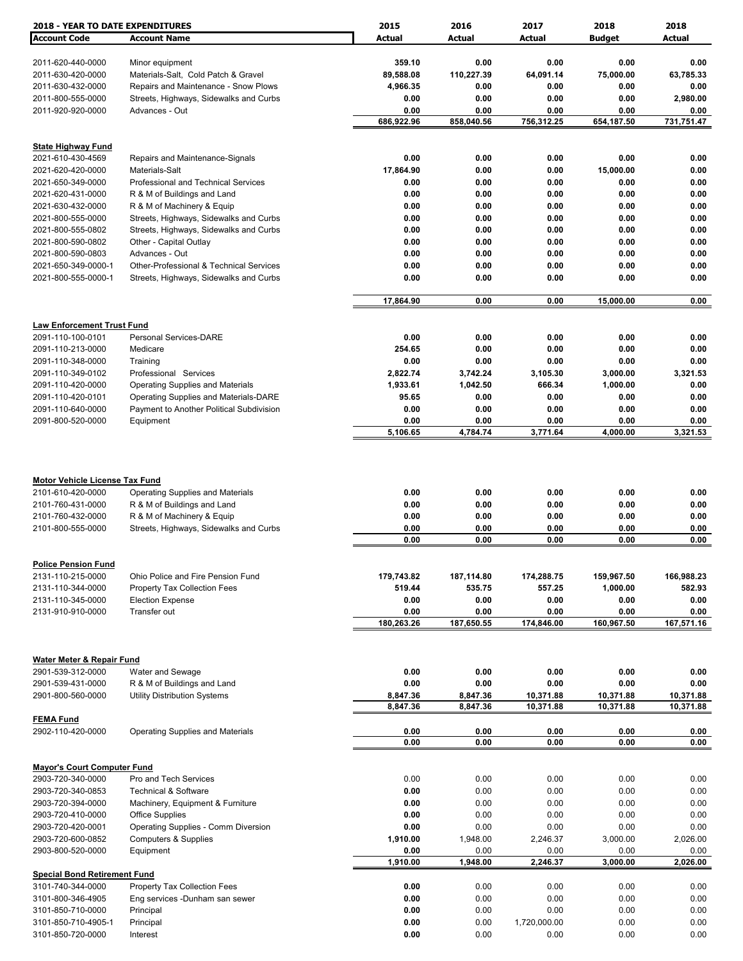| <b>2018 - YEAR TO DATE EXPENDITURES</b>                                         |                                                                        | 2015                 | 2016                 | 2017                 | 2018                   | 2018                 |
|---------------------------------------------------------------------------------|------------------------------------------------------------------------|----------------------|----------------------|----------------------|------------------------|----------------------|
| <b>Account Code</b>                                                             | <b>Account Name</b>                                                    | Actual               | Actual               | <b>Actual</b>        | <b>Budget</b>          | Actual               |
|                                                                                 |                                                                        |                      |                      |                      |                        |                      |
| 2011-620-440-0000                                                               | Minor equipment                                                        | 359.10               | 0.00                 | 0.00                 | 0.00                   | 0.00                 |
| 2011-630-420-0000                                                               | Materials-Salt, Cold Patch & Gravel                                    | 89,588.08            | 110,227.39           | 64,091.14            | 75,000.00              | 63,785.33            |
| 2011-630-432-0000                                                               | Repairs and Maintenance - Snow Plows                                   | 4,966.35             | 0.00                 | 0.00                 | 0.00                   | 0.00                 |
| 2011-800-555-0000                                                               | Streets, Highways, Sidewalks and Curbs                                 | 0.00                 | 0.00                 | 0.00                 | 0.00                   | 2,980.00             |
| 2011-920-920-0000                                                               | Advances - Out                                                         | 0.00<br>686,922.96   | 0.00<br>858,040.56   | 0.00<br>756,312.25   | 0.00<br>654,187.50     | 0.00<br>731,751.47   |
|                                                                                 |                                                                        |                      |                      |                      |                        |                      |
| <b>State Highway Fund</b>                                                       |                                                                        |                      |                      |                      |                        |                      |
| 2021-610-430-4569                                                               | Repairs and Maintenance-Signals                                        | 0.00                 | 0.00                 | 0.00                 | 0.00                   | 0.00                 |
| 2021-620-420-0000                                                               | Materials-Salt                                                         | 17,864.90            | 0.00                 | 0.00                 | 15,000.00              | 0.00                 |
| 2021-650-349-0000                                                               | Professional and Technical Services                                    | 0.00                 | 0.00                 | 0.00                 | 0.00                   | 0.00                 |
| 2021-620-431-0000                                                               | R & M of Buildings and Land                                            | 0.00                 | 0.00                 | 0.00                 | 0.00                   | 0.00                 |
| 2021-630-432-0000                                                               | R & M of Machinery & Equip                                             | 0.00                 | 0.00                 | 0.00                 | 0.00                   | 0.00                 |
| 2021-800-555-0000                                                               | Streets, Highways, Sidewalks and Curbs                                 | 0.00                 | 0.00                 | 0.00                 | 0.00                   | 0.00                 |
| 2021-800-555-0802                                                               | Streets, Highways, Sidewalks and Curbs                                 | 0.00                 | 0.00                 | 0.00                 | 0.00                   | 0.00                 |
| 2021-800-590-0802                                                               | Other - Capital Outlay                                                 | 0.00                 | 0.00                 | 0.00                 | 0.00                   | 0.00                 |
| 2021-800-590-0803<br>2021-650-349-0000-1                                        | Advances - Out<br>Other-Professional & Technical Services              | 0.00<br>0.00         | 0.00<br>0.00         | 0.00<br>0.00         | 0.00<br>0.00           | 0.00<br>0.00         |
| 2021-800-555-0000-1                                                             | Streets, Highways, Sidewalks and Curbs                                 | 0.00                 | 0.00                 | 0.00                 | 0.00                   | 0.00                 |
|                                                                                 |                                                                        |                      |                      |                      |                        |                      |
|                                                                                 |                                                                        | 17,864.90            | 0.00                 | 0.00                 | 15,000.00              | 0.00                 |
|                                                                                 |                                                                        |                      |                      |                      |                        |                      |
| <b>Law Enforcement Trust Fund</b>                                               |                                                                        |                      |                      |                      |                        |                      |
| 2091-110-100-0101                                                               | Personal Services-DARE                                                 | 0.00                 | 0.00                 | 0.00                 | 0.00                   | 0.00                 |
| 2091-110-213-0000                                                               | Medicare                                                               | 254.65               | 0.00                 | 0.00                 | 0.00                   | 0.00                 |
| 2091-110-348-0000                                                               | Training                                                               | 0.00                 | 0.00                 | 0.00                 | 0.00                   | 0.00                 |
| 2091-110-349-0102                                                               | Professional Services                                                  | 2,822.74             | 3,742.24             | 3,105.30             | 3,000.00               | 3,321.53             |
| 2091-110-420-0000                                                               | <b>Operating Supplies and Materials</b>                                | 1,933.61             | 1,042.50             | 666.34               | 1,000.00               | 0.00                 |
| 2091-110-420-0101                                                               | Operating Supplies and Materials-DARE                                  | 95.65                | 0.00                 | 0.00                 | 0.00                   | 0.00                 |
| 2091-110-640-0000<br>2091-800-520-0000                                          | Payment to Another Political Subdivision                               | 0.00<br>0.00         | 0.00<br>0.00         | 0.00<br>0.00         | 0.00<br>0.00           | 0.00<br>0.00         |
|                                                                                 | Equipment                                                              | 5,106.65             | 4,784.74             | 3,771.64             | 4,000.00               | 3,321.53             |
| <b>Motor Vehicle License Tax Fund</b><br>2101-610-420-0000<br>2101-760-431-0000 | <b>Operating Supplies and Materials</b><br>R & M of Buildings and Land | 0.00<br>0.00         | 0.00<br>0.00         | 0.00<br>0.00         | 0.00<br>0.00           | 0.00<br>0.00         |
| 2101-760-432-0000                                                               | R & M of Machinery & Equip                                             | 0.00                 | 0.00                 | 0.00                 | 0.00                   | 0.00                 |
| 2101-800-555-0000                                                               | Streets, Highways, Sidewalks and Curbs                                 | 0.00                 | 0.00                 | 0.00                 | 0.00                   | 0.00                 |
|                                                                                 |                                                                        | 0.00                 | 0.00                 | 0.00                 | 0.00                   | 0.00                 |
|                                                                                 |                                                                        |                      |                      |                      |                        |                      |
| <b>Police Pension Fund</b><br>2131-110-215-0000                                 | Ohio Police and Fire Pension Fund                                      |                      |                      |                      |                        |                      |
| 2131-110-344-0000                                                               | Property Tax Collection Fees                                           | 179,743.82<br>519.44 | 187,114.80<br>535.75 | 174,288.75<br>557.25 | 159,967.50<br>1,000.00 | 166,988.23<br>582.93 |
| 2131-110-345-0000                                                               | <b>Election Expense</b>                                                | 0.00                 | 0.00                 | 0.00                 | 0.00                   | 0.00                 |
| 2131-910-910-0000                                                               | Transfer out                                                           | 0.00                 | 0.00                 | 0.00                 | 0.00                   | 0.00                 |
|                                                                                 |                                                                        | 180,263.26           | 187,650.55           | 174,846.00           | 160,967.50             | 167,571.16           |
|                                                                                 |                                                                        |                      |                      |                      |                        |                      |
| Water Meter & Repair Fund                                                       |                                                                        |                      |                      |                      |                        |                      |
| 2901-539-312-0000                                                               | Water and Sewage                                                       | 0.00                 | 0.00                 | 0.00                 | 0.00                   | 0.00                 |
| 2901-539-431-0000                                                               | R & M of Buildings and Land                                            | 0.00                 | 0.00                 | 0.00                 | 0.00                   | 0.00                 |
| 2901-800-560-0000                                                               | <b>Utility Distribution Systems</b>                                    | 8,847.36             | 8,847.36             | 10,371.88            | 10,371.88              | 10,371.88            |
|                                                                                 |                                                                        | 8,847.36             | 8,847.36             | 10,371.88            | 10,371.88              | 10,371.88            |
| <b>FEMA Fund</b>                                                                |                                                                        |                      |                      |                      |                        |                      |
| 2902-110-420-0000                                                               | <b>Operating Supplies and Materials</b>                                | 0.00                 | 0.00                 | 0.00                 | 0.00                   | 0.00                 |
|                                                                                 |                                                                        | 0.00                 | 0.00                 | 0.00                 | 0.00                   | 0.00                 |
| <b>Mayor's Court Computer Fund</b>                                              |                                                                        |                      |                      |                      |                        |                      |
| 2903-720-340-0000                                                               | Pro and Tech Services                                                  | 0.00                 | 0.00                 | 0.00                 | 0.00                   | 0.00                 |
| 2903-720-340-0853                                                               | <b>Technical &amp; Software</b>                                        | 0.00                 | 0.00                 | 0.00                 | 0.00                   | 0.00                 |
| 2903-720-394-0000                                                               | Machinery, Equipment & Furniture                                       | 0.00                 | 0.00                 | 0.00                 | 0.00                   | 0.00                 |
| 2903-720-410-0000                                                               | <b>Office Supplies</b>                                                 | 0.00                 | 0.00                 | 0.00                 | 0.00                   | 0.00                 |
| 2903-720-420-0001                                                               | Operating Supplies - Comm Diversion                                    | 0.00                 | 0.00                 | 0.00                 | 0.00                   | 0.00                 |
| 2903-720-600-0852                                                               | <b>Computers &amp; Supplies</b>                                        | 1,910.00             | 1,948.00             | 2,246.37             | 3,000.00               | 2,026.00             |
| 2903-800-520-0000                                                               | Equipment                                                              | 0.00                 | 0.00                 | 0.00                 | 0.00                   | 0.00                 |
|                                                                                 |                                                                        | 1,910.00             | 1,948.00             | 2,246.37             | 3,000.00               | 2,026.00             |
| <b>Special Bond Retirement Fund</b><br>3101-740-344-0000                        | Property Tax Collection Fees                                           | 0.00                 | 0.00                 | 0.00                 | 0.00                   | 0.00                 |
| 3101-800-346-4905                                                               | Eng services -Dunham san sewer                                         | 0.00                 | 0.00                 | 0.00                 | 0.00                   | 0.00                 |
| 3101-850-710-0000                                                               | Principal                                                              | 0.00                 | 0.00                 | 0.00                 | 0.00                   | 0.00                 |
| 3101-850-710-4905-1                                                             | Principal                                                              | 0.00                 | 0.00                 | 1,720,000.00         | 0.00                   | 0.00                 |
| 3101-850-720-0000                                                               | Interest                                                               | 0.00                 | 0.00                 | 0.00                 | 0.00                   | 0.00                 |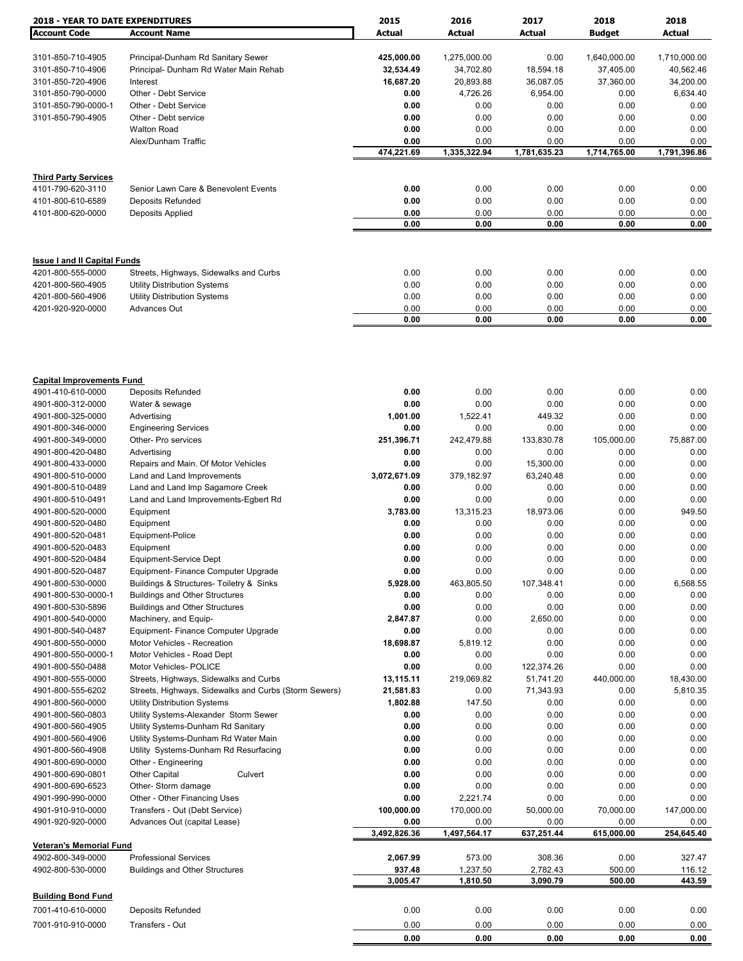| <b>2018 - YEAR TO DATE EXPENDITURES</b> |                                                                            | 2015                 | 2016                 | 2017                 | 2018                 | 2018                 |
|-----------------------------------------|----------------------------------------------------------------------------|----------------------|----------------------|----------------------|----------------------|----------------------|
| <b>Account Code</b>                     | <b>Account Name</b>                                                        | Actual               | Actual               | <b>Actual</b>        | <b>Budget</b>        | Actual               |
|                                         |                                                                            |                      |                      |                      |                      |                      |
| 3101-850-710-4905                       | Principal-Dunham Rd Sanitary Sewer                                         | 425,000.00           | 1,275,000.00         | 0.00                 | 1,640,000.00         | 1,710,000.00         |
| 3101-850-710-4906                       | Principal- Dunham Rd Water Main Rehab                                      | 32,534.49            | 34,702.80            | 18,594.18            | 37,405.00            | 40,562.46            |
| 3101-850-720-4906                       | Interest                                                                   | 16,687.20            | 20,893.88            | 36,087.05            | 37,360.00            | 34,200.00            |
| 3101-850-790-0000                       | Other - Debt Service                                                       | 0.00                 | 4,726.26             | 6,954.00             | 0.00                 | 6,634.40             |
| 3101-850-790-0000-1                     | Other - Debt Service                                                       | 0.00                 | 0.00                 | 0.00                 | 0.00                 | 0.00                 |
| 3101-850-790-4905                       | Other - Debt service                                                       | 0.00                 | 0.00                 | 0.00                 | 0.00                 | 0.00                 |
|                                         | <b>Walton Road</b>                                                         | 0.00                 | 0.00                 | 0.00                 | 0.00                 | 0.00                 |
|                                         | Alex/Dunham Traffic                                                        | 0.00<br>474,221.69   | 0.00<br>1,335,322.94 | 0.00<br>1,781,635.23 | 0.00<br>1,714,765.00 | 0.00<br>1,791,396.86 |
|                                         |                                                                            |                      |                      |                      |                      |                      |
| <b>Third Party Services</b>             |                                                                            |                      |                      |                      |                      |                      |
| 4101-790-620-3110                       | Senior Lawn Care & Benevolent Events                                       | 0.00                 | 0.00                 | 0.00                 | 0.00                 | 0.00                 |
| 4101-800-610-6589                       | <b>Deposits Refunded</b>                                                   | 0.00                 | 0.00                 | 0.00                 | 0.00                 | 0.00                 |
| 4101-800-620-0000                       | Deposits Applied                                                           | 0.00                 | 0.00                 | 0.00                 | 0.00                 | 0.00                 |
|                                         |                                                                            | 0.00                 | 0.00                 | 0.00                 | 0.00                 | 0.00                 |
|                                         |                                                                            |                      |                      |                      |                      |                      |
| <b>Issue I and II Capital Funds</b>     |                                                                            |                      |                      |                      |                      |                      |
| 4201-800-555-0000                       | Streets, Highways, Sidewalks and Curbs                                     | 0.00                 | 0.00                 | 0.00                 | 0.00                 | 0.00                 |
| 4201-800-560-4905                       |                                                                            | 0.00                 | 0.00                 | 0.00                 | 0.00                 | 0.00                 |
| 4201-800-560-4906                       | <b>Utility Distribution Systems</b><br><b>Utility Distribution Systems</b> | 0.00                 | 0.00                 | 0.00                 | 0.00                 | 0.00                 |
| 4201-920-920-0000                       | <b>Advances Out</b>                                                        | 0.00                 | 0.00                 | 0.00                 | 0.00                 | 0.00                 |
|                                         |                                                                            | 0.00                 | 0.00                 | 0.00                 | 0.00                 | 0.00                 |
|                                         |                                                                            |                      |                      |                      |                      |                      |
|                                         |                                                                            |                      |                      |                      |                      |                      |
| <b>Capital Improvements Fund</b>        |                                                                            |                      |                      |                      |                      |                      |
| 4901-410-610-0000                       | <b>Deposits Refunded</b>                                                   | 0.00                 | 0.00                 | 0.00                 | 0.00                 | 0.00                 |
| 4901-800-312-0000                       | Water & sewage                                                             | 0.00                 | 0.00                 | 0.00                 | 0.00                 | 0.00                 |
| 4901-800-325-0000                       | Advertising                                                                | 1,001.00             | 1,522.41             | 449.32               | 0.00                 | 0.00                 |
| 4901-800-346-0000                       | <b>Engineering Services</b>                                                | 0.00                 | 0.00                 | 0.00                 | 0.00                 | 0.00                 |
| 4901-800-349-0000                       | Other- Pro services                                                        | 251,396.71           | 242,479.88           | 133,830.78           | 105,000.00           | 75,887.00            |
| 4901-800-420-0480                       | Advertising                                                                | 0.00                 | 0.00                 | 0.00                 | 0.00                 | 0.00                 |
| 4901-800-433-0000                       | Repairs and Main. Of Motor Vehicles                                        | 0.00                 | 0.00                 | 15,300.00            | 0.00                 | 0.00                 |
| 4901-800-510-0000                       | Land and Land Improvements                                                 | 3,072,671.09         | 379,182.97           | 63,240.48            | 0.00                 | 0.00                 |
| 4901-800-510-0489                       | Land and Land Imp Sagamore Creek                                           | 0.00                 | 0.00                 | 0.00                 | 0.00                 | 0.00                 |
| 4901-800-510-0491                       | Land and Land Improvements-Egbert Rd                                       | 0.00                 | 0.00                 | 0.00                 | 0.00                 | 0.00                 |
| 4901-800-520-0000                       | Equipment                                                                  | 3,783.00             | 13,315.23            | 18,973.06            | 0.00                 | 949.50               |
| 4901-800-520-0480                       | Equipment                                                                  | 0.00                 | 0.00                 | 0.00                 | 0.00                 | 0.00                 |
| 4901-800-520-0481                       | Equipment-Police                                                           | 0.00                 | 0.00                 | 0.00                 | 0.00                 | 0.00                 |
| 4901-800-520-0483                       | Equipment                                                                  | 0.00                 | 0.00                 | 0.00                 | 0.00                 | 0.00                 |
| 4901-800-520-0484                       | Equipment-Service Dept                                                     | 0.00                 | 0.00                 | 0.00                 | 0.00                 | 0.00                 |
| 4901-800-520-0487                       | Equipment- Finance Computer Upgrade                                        | 0.00                 | 0.00                 | 0.00                 | 0.00                 | 0.00                 |
| 4901-800-530-0000                       | Buildings & Structures- Toiletry & Sinks                                   | 5,928.00             | 463,805.50           | 107,348.41           | 0.00                 | 6,568.55             |
| 4901-800-530-0000-1                     | <b>Buildings and Other Structures</b>                                      | 0.00                 | 0.00                 | 0.00                 | 0.00                 | 0.00                 |
| 4901-800-530-5896                       | <b>Buildings and Other Structures</b>                                      | 0.00                 | 0.00                 | 0.00                 | 0.00                 | 0.00                 |
| 4901-800-540-0000                       | Machinery, and Equip-                                                      | 2,847.87             | 0.00                 | 2,650.00             | 0.00                 | 0.00                 |
| 4901-800-540-0487                       | Equipment- Finance Computer Upgrade                                        | 0.00                 | 0.00                 | 0.00                 | 0.00                 | 0.00                 |
| 4901-800-550-0000                       | Motor Vehicles - Recreation                                                | 18,698.87            | 5,819.12             | 0.00                 | 0.00                 | 0.00                 |
| 4901-800-550-0000-1                     | Motor Vehicles - Road Dept                                                 | 0.00                 | 0.00                 | 0.00                 | 0.00                 | 0.00                 |
| 4901-800-550-0488                       | Motor Vehicles- POLICE                                                     | 0.00                 | 0.00                 | 122,374.26           | 0.00                 | 0.00                 |
| 4901-800-555-0000                       | Streets, Highways, Sidewalks and Curbs                                     | 13,115.11            | 219,069.82           | 51,741.20            | 440,000.00           | 18,430.00            |
| 4901-800-555-6202                       | Streets, Highways, Sidewalks and Curbs (Storm Sewers)                      | 21,581.83            | 0.00                 | 71,343.93            | 0.00                 | 5,810.35             |
| 4901-800-560-0000                       | <b>Utility Distribution Systems</b>                                        | 1,802.88             | 147.50               | 0.00                 | 0.00                 | 0.00                 |
| 4901-800-560-0803                       | Utility Systems-Alexander Storm Sewer                                      | 0.00                 | 0.00                 | 0.00                 | 0.00                 | 0.00                 |
| 4901-800-560-4905                       | Utility Systems-Dunham Rd Sanitary                                         | 0.00                 | 0.00                 | 0.00                 | 0.00                 | 0.00                 |
| 4901-800-560-4906                       | Utility Systems-Dunham Rd Water Main                                       | 0.00                 | 0.00                 | 0.00                 | 0.00                 | 0.00                 |
| 4901-800-560-4908                       | Utility Systems-Dunham Rd Resurfacing                                      | 0.00                 | 0.00                 | 0.00                 | 0.00                 | 0.00                 |
| 4901-800-690-0000                       | Other - Engineering                                                        | 0.00                 | 0.00                 | 0.00                 | 0.00                 | 0.00                 |
| 4901-800-690-0801                       | <b>Other Capital</b><br>Culvert                                            | 0.00                 | 0.00                 | 0.00                 | 0.00                 | 0.00                 |
| 4901-800-690-6523                       | Other- Storm damage                                                        | 0.00                 | 0.00                 | 0.00                 | 0.00                 | 0.00                 |
| 4901-990-990-0000                       | Other - Other Financing Uses                                               | 0.00                 | 2,221.74             | 0.00                 | 0.00                 | 0.00                 |
| 4901-910-910-0000                       | Transfers - Out (Debt Service)                                             | 100,000.00           | 170,000.00           | 50,000.00            | 70,000.00            | 147,000.00           |
| 4901-920-920-0000                       | Advances Out (capital Lease)                                               | 0.00<br>3,492,826.36 | 0.00<br>1,497,564.17 | 0.00<br>637,251.44   | 0.00<br>615,000.00   | 0.00<br>254,645.40   |
| <b>Veteran's Memorial Fund</b>          |                                                                            |                      |                      |                      |                      |                      |
| 4902-800-349-0000                       | <b>Professional Services</b>                                               | 2,067.99             | 573.00               | 308.36               | 0.00                 | 327.47               |
| 4902-800-530-0000                       | <b>Buildings and Other Structures</b>                                      | 937.48<br>3,005.47   | 1,237.50<br>1,810.50 | 2,782.43<br>3,090.79 | 500.00<br>500.00     | 116.12<br>443.59     |
|                                         |                                                                            |                      |                      |                      |                      |                      |
| <b>Building Bond Fund</b>               |                                                                            |                      |                      |                      |                      |                      |
| 7001-410-610-0000                       | <b>Deposits Refunded</b>                                                   | 0.00                 | 0.00                 | 0.00                 | 0.00                 | 0.00                 |
| 7001-910-910-0000                       | Transfers - Out                                                            | 0.00                 | 0.00                 | 0.00                 | 0.00                 | 0.00                 |
|                                         |                                                                            | 0.00                 | 0.00                 | 0.00                 | 0.00                 | 0.00                 |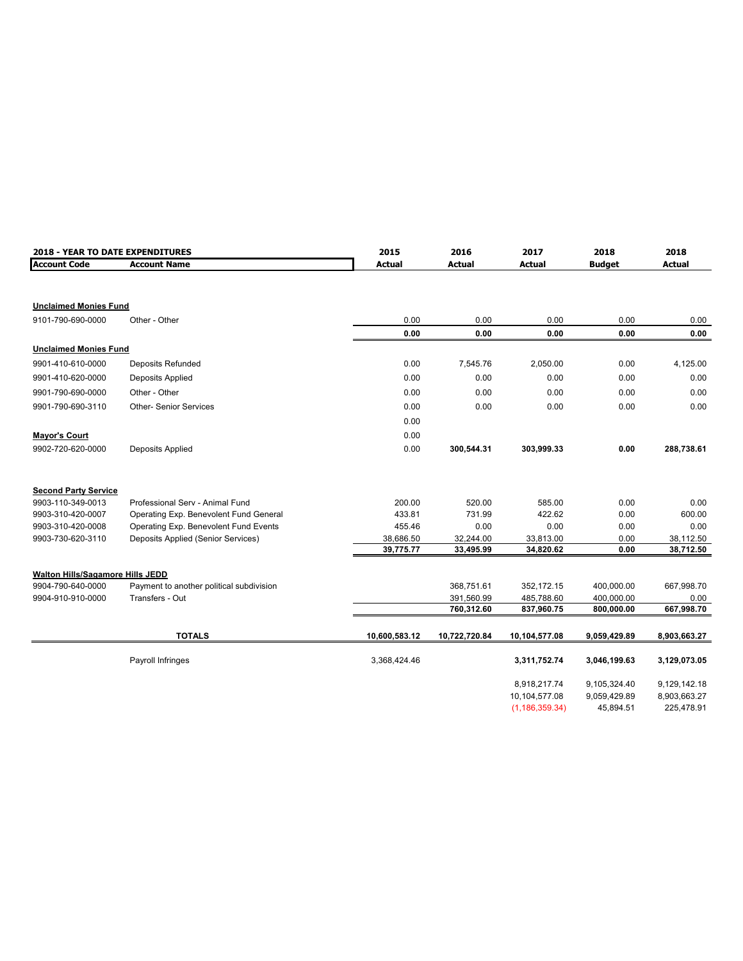| 2018 - YEAR TO DATE EXPENDITURES |                                          | 2015          | 2016          | 2017<br>2018     |               | 2018          |
|----------------------------------|------------------------------------------|---------------|---------------|------------------|---------------|---------------|
| <b>Account Code</b>              | <b>Account Name</b>                      | <b>Actual</b> | <b>Actual</b> | <b>Actual</b>    | <b>Budget</b> | <b>Actual</b> |
|                                  |                                          |               |               |                  |               |               |
| <b>Unclaimed Monies Fund</b>     |                                          |               |               |                  |               |               |
| 9101-790-690-0000                | Other - Other                            | 0.00          | 0.00          | 0.00             | 0.00          | 0.00          |
|                                  |                                          | 0.00          | 0.00          | 0.00             | 0.00          | 0.00          |
| <b>Unclaimed Monies Fund</b>     |                                          |               |               |                  |               |               |
| 9901-410-610-0000                | <b>Deposits Refunded</b>                 | 0.00          | 7,545.76      | 2,050.00         | 0.00          | 4,125.00      |
| 9901-410-620-0000                | Deposits Applied                         | 0.00          | 0.00          | 0.00             | 0.00          | 0.00          |
| 9901-790-690-0000                | Other - Other                            | 0.00          | 0.00          | 0.00             | 0.00          | 0.00          |
| 9901-790-690-3110                | <b>Other-Senior Services</b>             | 0.00          | 0.00          | 0.00             | 0.00          | 0.00          |
|                                  |                                          | 0.00          |               |                  |               |               |
| <b>Mayor's Court</b>             |                                          | 0.00          |               |                  |               |               |
| 9902-720-620-0000                | Deposits Applied                         | 0.00          | 300,544.31    | 303,999.33       | 0.00          | 288,738.61    |
| <b>Second Party Service</b>      |                                          |               |               |                  |               |               |
| 9903-110-349-0013                | Professional Serv - Animal Fund          | 200.00        | 520.00        | 585.00           | 0.00          | 0.00          |
| 9903-310-420-0007                | Operating Exp. Benevolent Fund General   | 433.81        | 731.99        | 422.62           | 0.00          | 600.00        |
| 9903-310-420-0008                | Operating Exp. Benevolent Fund Events    | 455.46        | 0.00          | 0.00             | 0.00          | 0.00          |
| 9903-730-620-3110                | Deposits Applied (Senior Services)       | 38,686.50     | 32,244.00     | 33,813.00        | 0.00          | 38,112.50     |
|                                  |                                          | 39,775.77     | 33,495.99     | 34,820.62        | 0.00          | 38,712.50     |
| Walton Hills/Sagamore Hills JEDD |                                          |               |               |                  |               |               |
| 9904-790-640-0000                | Payment to another political subdivision |               | 368.751.61    | 352,172.15       | 400,000.00    | 667,998.70    |
| 9904-910-910-0000                | Transfers - Out                          |               | 391,560.99    | 485,788.60       | 400,000.00    | 0.00          |
|                                  |                                          |               | 760,312.60    | 837,960.75       | 800,000.00    | 667,998.70    |
|                                  |                                          |               |               |                  |               |               |
|                                  | <b>TOTALS</b>                            | 10,600,583.12 | 10,722,720.84 | 10,104,577.08    | 9,059,429.89  | 8,903,663.27  |
|                                  | Payroll Infringes                        | 3,368,424.46  |               | 3,311,752.74     | 3,046,199.63  | 3,129,073.05  |
|                                  |                                          |               |               | 8,918,217.74     | 9,105,324.40  | 9,129,142.18  |
|                                  |                                          |               |               | 10,104,577.08    | 9,059,429.89  | 8,903,663.27  |
|                                  |                                          |               |               | (1, 186, 359.34) | 45,894.51     | 225,478.91    |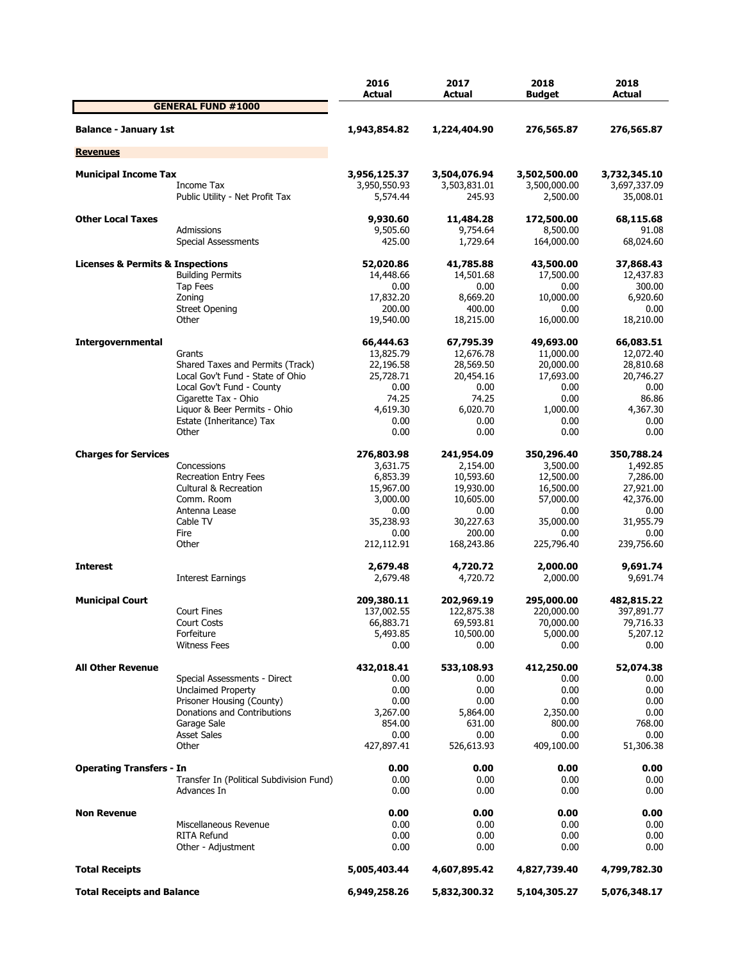|                                                 |                                          | 2016<br>Actual | 2017<br>Actual | 2018<br><b>Budget</b> | 2018<br><b>Actual</b> |
|-------------------------------------------------|------------------------------------------|----------------|----------------|-----------------------|-----------------------|
|                                                 | <b>GENERAL FUND #1000</b>                |                |                |                       |                       |
| <b>Balance - January 1st</b>                    |                                          | 1,943,854.82   | 1,224,404.90   | 276,565.87            | 276,565.87            |
| <b>Revenues</b>                                 |                                          |                |                |                       |                       |
| <b>Municipal Income Tax</b>                     |                                          | 3,956,125.37   | 3,504,076.94   | 3,502,500.00          | 3,732,345.10          |
|                                                 | Income Tax                               | 3,950,550.93   | 3,503,831.01   | 3,500,000.00          | 3,697,337.09          |
|                                                 | Public Utility - Net Profit Tax          | 5,574.44       | 245.93         | 2,500.00              | 35,008.01             |
| <b>Other Local Taxes</b>                        |                                          | 9,930.60       | 11,484.28      | 172,500.00            | 68,115.68             |
|                                                 | Admissions                               | 9,505.60       | 9,754.64       | 8,500.00              | 91.08                 |
|                                                 | Special Assessments                      | 425.00         | 1,729.64       | 164,000.00            | 68,024.60             |
| <b>Licenses &amp; Permits &amp; Inspections</b> |                                          | 52,020.86      | 41,785.88      | 43,500.00             | 37,868.43             |
|                                                 | <b>Building Permits</b>                  | 14,448.66      | 14,501.68      | 17,500.00             | 12,437.83             |
|                                                 | Tap Fees                                 | 0.00           | 0.00           | 0.00                  | 300.00                |
|                                                 | Zoning                                   | 17,832.20      | 8,669.20       | 10,000.00             | 6,920.60              |
|                                                 | <b>Street Opening</b>                    | 200.00         | 400.00         | 0.00                  | 0.00                  |
|                                                 | Other                                    | 19,540.00      | 18,215.00      | 16,000.00             | 18,210.00             |
| <b>Intergovernmental</b>                        |                                          | 66,444.63      | 67,795.39      | 49,693.00             | 66,083.51             |
|                                                 | Grants                                   | 13,825.79      | 12,676.78      | 11,000.00             | 12,072.40             |
|                                                 | Shared Taxes and Permits (Track)         | 22,196.58      | 28,569.50      | 20,000.00             | 28,810.68             |
|                                                 | Local Gov't Fund - State of Ohio         | 25,728.71      | 20,454.16      | 17,693.00             | 20,746.27             |
|                                                 | Local Gov't Fund - County                | 0.00           | 0.00           | 0.00                  | 0.00                  |
|                                                 | Cigarette Tax - Ohio                     | 74.25          | 74.25          | 0.00                  | 86.86                 |
|                                                 | Liquor & Beer Permits - Ohio             | 4,619.30       | 6,020.70       | 1,000.00              | 4,367.30              |
|                                                 | Estate (Inheritance) Tax                 | 0.00           | 0.00           | 0.00                  | 0.00                  |
|                                                 | Other                                    | 0.00           | 0.00           | 0.00                  | 0.00                  |
| <b>Charges for Services</b>                     |                                          | 276,803.98     | 241,954.09     | 350,296.40            | 350,788.24            |
|                                                 | Concessions                              | 3,631.75       | 2,154.00       | 3,500.00              | 1,492.85              |
|                                                 | <b>Recreation Entry Fees</b>             | 6,853.39       | 10,593.60      | 12,500.00             | 7,286.00              |
|                                                 | <b>Cultural &amp; Recreation</b>         | 15,967.00      | 19,930.00      | 16,500.00             | 27,921.00             |
|                                                 | Comm. Room                               | 3,000.00       | 10,605.00      | 57,000.00             | 42,376.00             |
|                                                 | Antenna Lease                            | 0.00           | 0.00           | 0.00                  | 0.00                  |
|                                                 | Cable TV                                 | 35,238.93      | 30,227.63      | 35,000.00             | 31,955.79             |
|                                                 | Fire                                     | 0.00           | 200.00         | 0.00                  | 0.00                  |
|                                                 | Other                                    | 212,112.91     | 168,243.86     | 225,796.40            | 239,756.60            |
| <b>Interest</b>                                 |                                          | 2,679.48       | 4,720.72       | 2,000.00              | 9,691.74              |
|                                                 | <b>Interest Earnings</b>                 | 2,679.48       | 4,720.72       | 2,000.00              | 9,691.74              |
| <b>Municipal Court</b>                          |                                          | 209,380.11     | 202,969.19     | 295,000.00            | 482,815.22            |
|                                                 | <b>Court Fines</b>                       | 137,002.55     | 122,875.38     | 220,000.00            | 397,891.77            |
|                                                 | Court Costs                              | 66,883.71      | 69,593.81      | 70,000.00             | 79,716.33             |
|                                                 | Forfeiture                               | 5,493.85       | 10,500.00      | 5,000.00              | 5,207.12              |
|                                                 | <b>Witness Fees</b>                      | 0.00           | 0.00           | 0.00                  | 0.00                  |
| <b>All Other Revenue</b>                        |                                          | 432,018.41     | 533,108.93     | 412,250.00            | 52,074.38             |
|                                                 | Special Assessments - Direct             | 0.00           | 0.00           | 0.00                  | 0.00                  |
|                                                 | <b>Unclaimed Property</b>                | 0.00           | 0.00           | 0.00                  | 0.00                  |
|                                                 | Prisoner Housing (County)                | 0.00           | 0.00           | 0.00                  | 0.00                  |
|                                                 | Donations and Contributions              | 3,267.00       | 5,864.00       | 2,350.00              | 0.00                  |
|                                                 | Garage Sale                              | 854.00         | 631.00         | 800.00                | 768.00                |
|                                                 | <b>Asset Sales</b>                       | 0.00           | 0.00           | 0.00                  | 0.00                  |
|                                                 | Other                                    | 427,897.41     | 526,613.93     | 409,100.00            | 51,306.38             |
| <b>Operating Transfers - In</b>                 |                                          | 0.00           | 0.00           | 0.00                  | 0.00                  |
|                                                 | Transfer In (Political Subdivision Fund) | 0.00           | 0.00           | 0.00                  | 0.00                  |
|                                                 | Advances In                              | 0.00           | 0.00           | 0.00                  | 0.00                  |
| <b>Non Revenue</b>                              |                                          | 0.00           | 0.00           | 0.00                  | 0.00                  |
|                                                 | Miscellaneous Revenue                    | 0.00           | 0.00           | 0.00                  | 0.00                  |
|                                                 | RITA Refund                              | 0.00           | 0.00           | 0.00                  | 0.00                  |
|                                                 | Other - Adjustment                       | 0.00           | 0.00           | 0.00                  | 0.00                  |
| <b>Total Receipts</b>                           |                                          | 5,005,403.44   | 4,607,895.42   | 4,827,739.40          | 4,799,782.30          |
| <b>Total Receipts and Balance</b>               |                                          | 6,949,258.26   | 5,832,300.32   | 5,104,305.27          | 5,076,348.17          |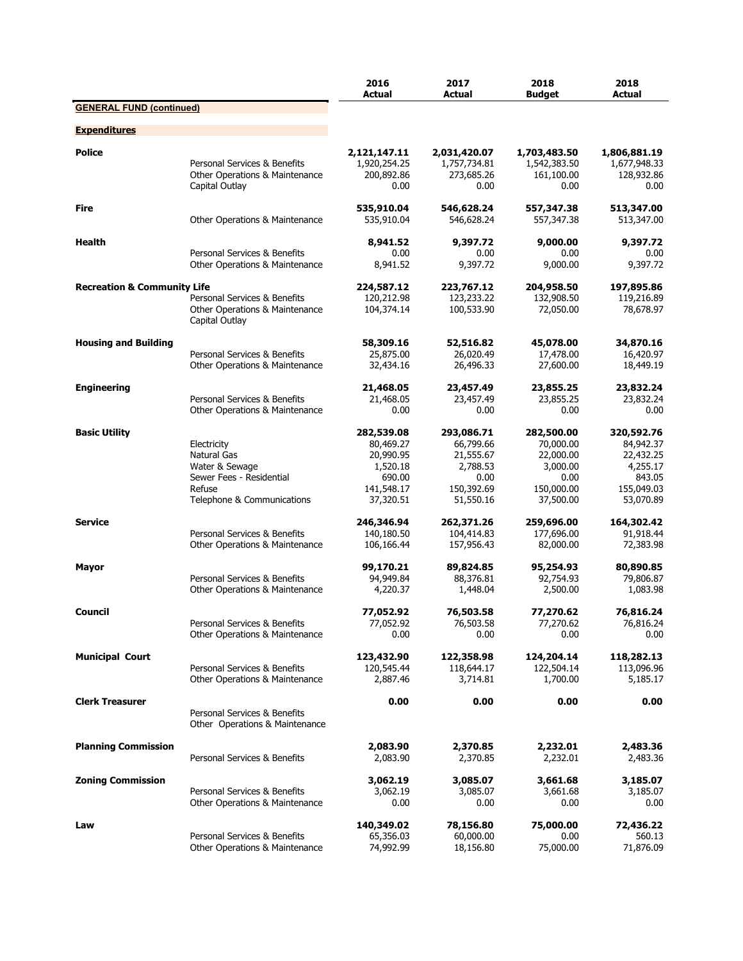|                                        |                                                                | 2016<br><b>Actual</b>                      | 2017<br>Actual                             | 2018<br><b>Budaet</b>                      | 2018<br>Actual                             |
|----------------------------------------|----------------------------------------------------------------|--------------------------------------------|--------------------------------------------|--------------------------------------------|--------------------------------------------|
| <b>GENERAL FUND (continued)</b>        |                                                                |                                            |                                            |                                            |                                            |
| <b>Expenditures</b>                    |                                                                |                                            |                                            |                                            |                                            |
| <b>Police</b>                          | Personal Services & Benefits<br>Other Operations & Maintenance | 2,121,147.11<br>1,920,254.25<br>200,892.86 | 2,031,420.07<br>1,757,734.81<br>273,685.26 | 1,703,483.50<br>1,542,383.50<br>161,100.00 | 1,806,881.19<br>1,677,948.33<br>128,932.86 |
|                                        | Capital Outlay                                                 | 0.00                                       | 0.00                                       | 0.00                                       | 0.00                                       |
| Fire                                   | Other Operations & Maintenance                                 | 535,910.04<br>535,910.04                   | 546,628.24<br>546,628.24                   | 557,347.38<br>557,347.38                   | 513,347.00<br>513,347.00                   |
| Health                                 |                                                                | 8,941.52                                   | 9,397.72                                   | 9,000.00                                   | 9,397.72                                   |
|                                        | Personal Services & Benefits<br>Other Operations & Maintenance | 0.00<br>8,941.52                           | 0.00<br>9,397.72                           | 0.00<br>9,000.00                           | 0.00<br>9,397.72                           |
| <b>Recreation &amp; Community Life</b> |                                                                | 224,587.12                                 | 223,767.12                                 | 204,958.50                                 | 197,895.86                                 |
|                                        | Personal Services & Benefits                                   | 120,212.98                                 | 123,233.22                                 | 132,908.50                                 | 119,216.89                                 |
|                                        | Other Operations & Maintenance<br>Capital Outlay               | 104,374.14                                 | 100,533.90                                 | 72,050.00                                  | 78,678.97                                  |
| <b>Housing and Building</b>            |                                                                | 58,309.16                                  | 52,516.82                                  | 45,078.00                                  | 34,870.16                                  |
|                                        | Personal Services & Benefits<br>Other Operations & Maintenance | 25,875.00<br>32,434.16                     | 26,020.49<br>26,496.33                     | 17,478.00<br>27,600.00                     | 16,420.97<br>18,449.19                     |
|                                        |                                                                |                                            |                                            |                                            |                                            |
| <b>Engineering</b>                     | Personal Services & Benefits                                   | 21,468.05<br>21,468.05                     | 23,457.49<br>23,457.49                     | 23,855.25<br>23,855.25                     | 23,832.24<br>23,832.24                     |
|                                        | Other Operations & Maintenance                                 | 0.00                                       | 0.00                                       | 0.00                                       | 0.00                                       |
| <b>Basic Utility</b>                   |                                                                | 282,539.08                                 | 293,086.71                                 | 282,500.00                                 | 320,592.76                                 |
|                                        | Electricity                                                    | 80,469.27                                  | 66,799.66                                  | 70,000.00                                  | 84,942.37                                  |
|                                        | Natural Gas<br>Water & Sewage                                  | 20,990.95<br>1,520.18                      | 21,555.67<br>2,788.53                      | 22,000.00<br>3,000.00                      | 22,432.25<br>4,255.17                      |
|                                        | Sewer Fees - Residential                                       | 690.00                                     | 0.00                                       | 0.00                                       | 843.05                                     |
|                                        | Refuse                                                         | 141,548.17                                 | 150,392.69                                 | 150,000.00                                 | 155,049.03                                 |
|                                        | Telephone & Communications                                     | 37,320.51                                  | 51,550.16                                  | 37,500.00                                  | 53,070.89                                  |
| <b>Service</b>                         |                                                                | 246,346.94                                 | 262,371.26                                 | 259,696.00                                 | 164,302.42                                 |
|                                        | Personal Services & Benefits<br>Other Operations & Maintenance | 140,180.50<br>106,166.44                   | 104,414.83<br>157,956.43                   | 177,696.00<br>82,000.00                    | 91,918.44<br>72,383.98                     |
|                                        |                                                                |                                            |                                            |                                            |                                            |
| Mayor                                  | Personal Services & Benefits                                   | 99,170.21<br>94,949.84                     | 89,824.85<br>88,376.81                     | 95,254.93<br>92,754.93                     | 80,890.85<br>79,806.87                     |
|                                        | Other Operations & Maintenance                                 | 4,220.37                                   | 1,448.04                                   | 2,500.00                                   | 1,083.98                                   |
| Council                                |                                                                | 77,052.92                                  | 76,503.58                                  | 77,270.62                                  | 76,816.24                                  |
|                                        | Personal Services & Benefits                                   | 77,052.92                                  | 76,503.58                                  | 77,270.62                                  | 76,816.24                                  |
|                                        | Other Operations & Maintenance                                 | 0.00                                       | 0.00                                       | 0.00                                       | 0.00                                       |
| <b>Municipal Court</b>                 |                                                                | 123,432.90                                 | 122,358.98                                 | 124,204.14                                 | 118,282.13                                 |
|                                        | Personal Services & Benefits<br>Other Operations & Maintenance | 120,545.44<br>2,887.46                     | 118,644.17<br>3,714.81                     | 122,504.14<br>1,700.00                     | 113,096.96<br>5,185.17                     |
| <b>Clerk Treasurer</b>                 |                                                                | 0.00                                       | 0.00                                       | 0.00                                       | 0.00                                       |
|                                        | Personal Services & Benefits<br>Other Operations & Maintenance |                                            |                                            |                                            |                                            |
| <b>Planning Commission</b>             |                                                                | 2,083.90                                   | 2,370.85                                   | 2,232.01                                   | 2,483.36                                   |
|                                        | Personal Services & Benefits                                   | 2,083.90                                   | 2,370.85                                   | 2,232.01                                   | 2,483.36                                   |
| <b>Zoning Commission</b>               |                                                                | 3,062.19                                   | 3,085.07                                   | 3,661.68                                   | 3,185.07                                   |
|                                        | Personal Services & Benefits<br>Other Operations & Maintenance | 3,062.19<br>0.00                           | 3,085.07<br>0.00                           | 3,661.68<br>0.00                           | 3,185.07<br>0.00                           |
|                                        |                                                                |                                            |                                            |                                            |                                            |
| Law                                    | Personal Services & Benefits                                   | 140,349.02<br>65,356.03                    | 78,156.80<br>60,000.00                     | 75,000.00<br>0.00                          | 72,436.22<br>560.13                        |
|                                        | Other Operations & Maintenance                                 | 74,992.99                                  | 18,156.80                                  | 75,000.00                                  | 71,876.09                                  |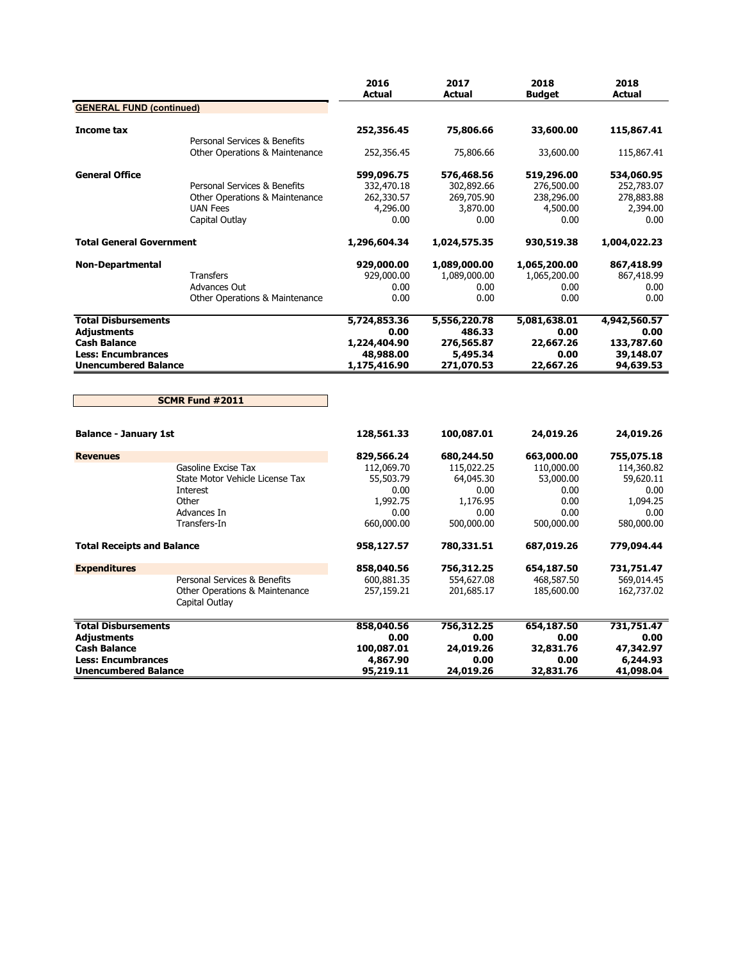|                                   |                                                  | 2016<br><b>Actual</b> | 2017<br><b>Actual</b> | 2018<br><b>Budget</b> | 2018<br><b>Actual</b> |
|-----------------------------------|--------------------------------------------------|-----------------------|-----------------------|-----------------------|-----------------------|
| <b>GENERAL FUND (continued)</b>   |                                                  |                       |                       |                       |                       |
| Income tax                        | Personal Services & Benefits                     | 252,356.45            | 75,806.66             | 33,600.00             | 115,867.41            |
|                                   | Other Operations & Maintenance                   | 252,356.45            | 75,806.66             | 33,600.00             | 115,867.41            |
| <b>General Office</b>             |                                                  | 599,096.75            | 576,468.56            | 519,296.00            | 534,060.95            |
|                                   | Personal Services & Benefits                     | 332,470.18            | 302,892.66            | 276,500.00            | 252,783.07            |
|                                   | Other Operations & Maintenance                   | 262,330.57            | 269,705.90            | 238,296.00            | 278,883.88            |
|                                   | <b>UAN Fees</b>                                  | 4,296.00              | 3,870.00              | 4,500.00              | 2,394.00              |
|                                   | Capital Outlay                                   | 0.00                  | 0.00                  | 0.00                  | 0.00                  |
| <b>Total General Government</b>   |                                                  | 1,296,604.34          | 1,024,575.35          | 930,519.38            | 1,004,022.23          |
| <b>Non-Departmental</b>           |                                                  | 929,000.00            | 1,089,000.00          | 1,065,200.00          | 867,418.99            |
|                                   | <b>Transfers</b>                                 | 929,000.00            | 1,089,000.00          | 1,065,200.00          | 867,418.99            |
|                                   | Advances Out                                     | 0.00                  | 0.00                  | 0.00                  | 0.00                  |
|                                   | Other Operations & Maintenance                   | 0.00                  | 0.00                  | 0.00                  | 0.00                  |
| <b>Total Disbursements</b>        |                                                  | 5,724,853.36          | 5,556,220.78          | 5,081,638.01          | 4,942,560.57          |
| <b>Adjustments</b>                |                                                  | 0.00                  | 486.33                | 0.00                  | 0.00                  |
| <b>Cash Balance</b>               |                                                  | 1,224,404.90          | 276,565.87            | 22,667.26             | 133,787.60            |
| <b>Less: Encumbrances</b>         |                                                  | 48,988.00             | 5,495.34              | 0.00                  | 39,148.07             |
| <b>Unencumbered Balance</b>       |                                                  | 1,175,416.90          | 271,070.53            | 22,667.26             | 94,639.53             |
|                                   | SCMR Fund #2011                                  |                       |                       |                       |                       |
| <b>Balance - January 1st</b>      |                                                  | 128,561.33            | 100,087.01            | 24,019.26             | 24,019.26             |
| <b>Revenues</b>                   |                                                  | 829,566.24            | 680,244.50            | 663,000.00            | 755,075.18            |
|                                   | Gasoline Excise Tax                              | 112,069.70            | 115,022.25            | 110,000.00            | 114,360.82            |
|                                   | State Motor Vehicle License Tax                  | 55,503.79             | 64,045.30             | 53,000.00             | 59,620.11             |
|                                   | Interest                                         | 0.00                  | 0.00                  | 0.00                  | 0.00                  |
|                                   | Other                                            | 1,992.75              | 1,176.95              | 0.00                  | 1.094.25              |
|                                   | Advances In                                      | 0.00                  | 0.00                  | 0.00                  | 0.00                  |
|                                   | Transfers-In                                     | 660,000.00            | 500,000.00            | 500,000.00            | 580,000.00            |
| <b>Total Receipts and Balance</b> |                                                  | 958,127.57            | 780,331.51            | 687,019.26            | 779,094.44            |
| <b>Expenditures</b>               |                                                  | 858,040.56            | 756,312.25            | 654,187.50            | 731,751.47            |
|                                   | Personal Services & Benefits                     | 600,881.35            | 554,627.08            | 468,587.50            | 569,014.45            |
|                                   | Other Operations & Maintenance<br>Capital Outlay | 257,159.21            | 201,685.17            | 185,600.00            | 162,737.02            |
| <b>Total Disbursements</b>        |                                                  | 858,040.56            | 756,312.25            | 654,187.50            | 731,751.47            |
| <b>Adjustments</b>                |                                                  | 0.00                  | 0.00                  | 0.00                  | 0.00                  |
| <b>Cash Balance</b>               |                                                  | 100,087.01            | 24,019.26             | 32,831.76             | 47,342.97             |
| <b>Less: Encumbrances</b>         |                                                  | 4,867.90              | 0.00                  | 0.00                  | 6,244.93              |
| <b>Unencumbered Balance</b>       |                                                  | 95,219.11             | 24,019.26             | 32,831.76             | 41,098.04             |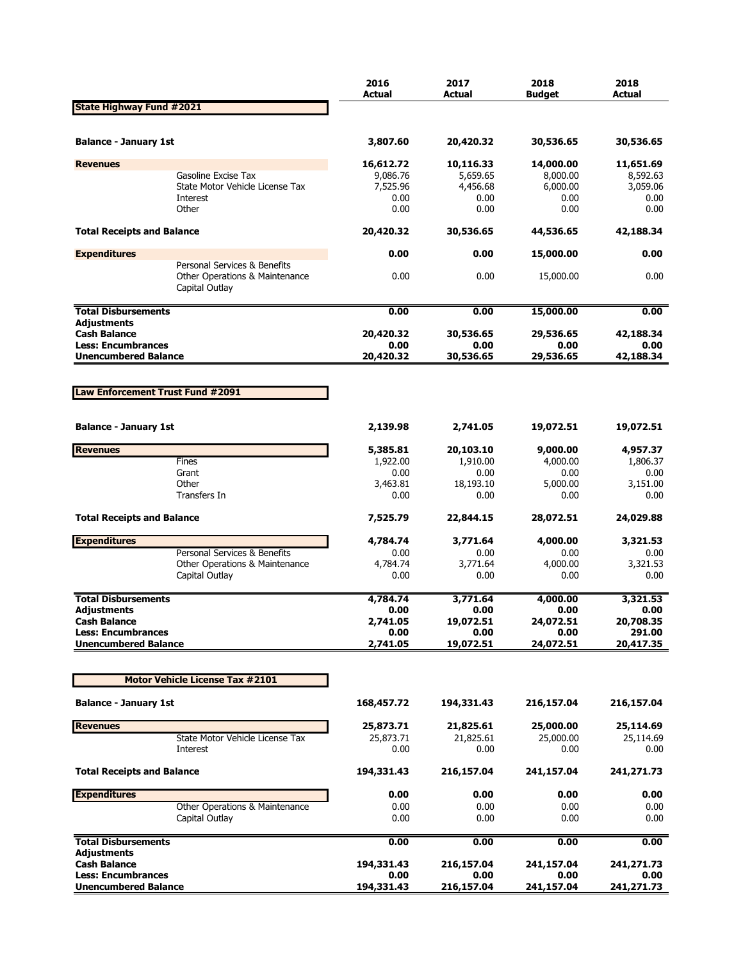|                                                          |                                                                                  | 2016<br><b>Actual</b> | 2017<br><b>Actual</b> | 2018<br><b>Budget</b> | 2018<br><b>Actual</b> |
|----------------------------------------------------------|----------------------------------------------------------------------------------|-----------------------|-----------------------|-----------------------|-----------------------|
| <b>State Highway Fund #2021</b>                          |                                                                                  |                       |                       |                       |                       |
| <b>Balance - January 1st</b>                             |                                                                                  | 3,807.60              | 20,420.32             | 30,536.65             | 30,536.65             |
| <b>Revenues</b>                                          |                                                                                  | 16,612.72             | 10,116.33             | 14,000.00             | 11,651.69             |
|                                                          | Gasoline Excise Tax                                                              | 9,086.76              | 5,659.65              | 8,000.00              | 8,592.63              |
|                                                          | State Motor Vehicle License Tax                                                  | 7,525.96              | 4,456.68              | 6,000.00              | 3,059.06              |
|                                                          | Interest<br>Other                                                                | 0.00<br>0.00          | 0.00<br>0.00          | 0.00<br>0.00          | 0.00<br>0.00          |
|                                                          |                                                                                  |                       |                       |                       |                       |
| <b>Total Receipts and Balance</b>                        |                                                                                  | 20,420.32             | 30,536.65             | 44,536.65             | 42,188.34             |
| <b>Expenditures</b>                                      |                                                                                  | 0.00                  | 0.00                  | 15,000.00             | 0.00                  |
|                                                          | Personal Services & Benefits<br>Other Operations & Maintenance<br>Capital Outlay | 0.00                  | 0.00                  | 15,000.00             | 0.00                  |
| <b>Total Disbursements</b>                               |                                                                                  | 0.00                  | 0.00                  | 15,000.00             | 0.00                  |
| <b>Adjustments</b>                                       |                                                                                  |                       |                       |                       |                       |
| <b>Cash Balance</b><br><b>Less: Encumbrances</b>         |                                                                                  | 20,420.32<br>0.00     | 30,536.65<br>0.00     | 29,536.65<br>0.00     | 42,188.34<br>0.00     |
| <b>Unencumbered Balance</b>                              |                                                                                  | 20,420.32             | 30,536.65             | 29,536.65             | 42,188.34             |
|                                                          |                                                                                  |                       |                       |                       |                       |
| Law Enforcement Trust Fund #2091                         |                                                                                  |                       |                       |                       |                       |
| <b>Balance - January 1st</b>                             |                                                                                  | 2,139.98              | 2,741.05              | 19,072.51             | 19,072.51             |
| <b>Revenues</b>                                          |                                                                                  | 5,385.81              | 20,103.10             | 9,000.00              | 4,957.37              |
|                                                          | Fines                                                                            | 1,922.00              | 1,910.00              | 4,000.00              | 1,806.37              |
|                                                          | Grant                                                                            | 0.00                  | 0.00                  | 0.00                  | 0.00                  |
|                                                          | Other                                                                            | 3,463.81              | 18,193.10             | 5,000.00              | 3,151.00              |
|                                                          | Transfers In                                                                     | 0.00                  | 0.00                  | 0.00                  | 0.00                  |
| <b>Total Receipts and Balance</b>                        |                                                                                  | 7,525.79              | 22,844.15             | 28,072.51             | 24,029.88             |
| <b>Expenditures</b>                                      |                                                                                  | 4,784.74              | 3,771.64              | 4,000.00              | 3,321.53              |
|                                                          | Personal Services & Benefits                                                     | 0.00                  | 0.00                  | 0.00                  | 0.00                  |
|                                                          | Other Operations & Maintenance                                                   | 4,784.74              | 3,771.64              | 4,000.00              | 3,321.53              |
|                                                          | Capital Outlay                                                                   | 0.00                  | 0.00                  | 0.00                  | 0.00                  |
| <b>Total Disbursements</b>                               |                                                                                  | 4,784.74              | 3,771.64              | 4,000.00              | 3,321.53              |
| <b>Adjustments</b>                                       |                                                                                  | 0.00                  | 0.00                  | 0.00                  | 0.00                  |
| <b>Cash Balance</b>                                      |                                                                                  | 2,741.05              | 19,072.51             | 24,072.51             | 20,708.35             |
| <b>Less: Encumbrances</b><br><b>Unencumbered Balance</b> |                                                                                  | 0.00                  | 0.00<br>19,072.51     | 0.00<br>24,072.51     | 291.00<br>20,417.35   |
|                                                          |                                                                                  | 2,741.05              |                       |                       |                       |
|                                                          | <b>Motor Vehicle License Tax #2101</b>                                           |                       |                       |                       |                       |
| <b>Balance - January 1st</b>                             |                                                                                  | 168,457.72            | 194,331.43            | 216,157.04            | 216,157.04            |
| <b>Revenues</b>                                          |                                                                                  | 25,873.71             | 21,825.61             | 25,000.00             | 25,114.69             |
|                                                          | State Motor Vehicle License Tax                                                  | 25,873.71             | 21,825.61             | 25,000.00             | 25,114.69             |
|                                                          | Interest                                                                         | 0.00                  | 0.00                  | 0.00                  | 0.00                  |
| <b>Total Receipts and Balance</b>                        |                                                                                  | 194,331.43            | 216,157.04            | 241,157.04            | 241,271.73            |
| <b>Expenditures</b>                                      |                                                                                  | 0.00                  | 0.00                  | 0.00                  | 0.00                  |
|                                                          | Other Operations & Maintenance                                                   | 0.00                  | 0.00                  | 0.00                  | 0.00                  |
|                                                          | Capital Outlay                                                                   | 0.00                  | 0.00                  | 0.00                  | $0.00\,$              |
| <b>Total Disbursements</b><br><b>Adjustments</b>         |                                                                                  | 0.00                  | 0.00                  | 0.00                  | 0.00                  |
| <b>Cash Balance</b>                                      |                                                                                  | 194,331.43            | 216,157.04            | 241,157.04            | 241,271.73            |
| <b>Less: Encumbrances</b>                                |                                                                                  | 0.00                  | 0.00                  | 0.00                  | 0.00                  |
| <b>Unencumbered Balance</b>                              |                                                                                  | 194,331.43            | 216,157.04            | 241,157.04            | 241,271.73            |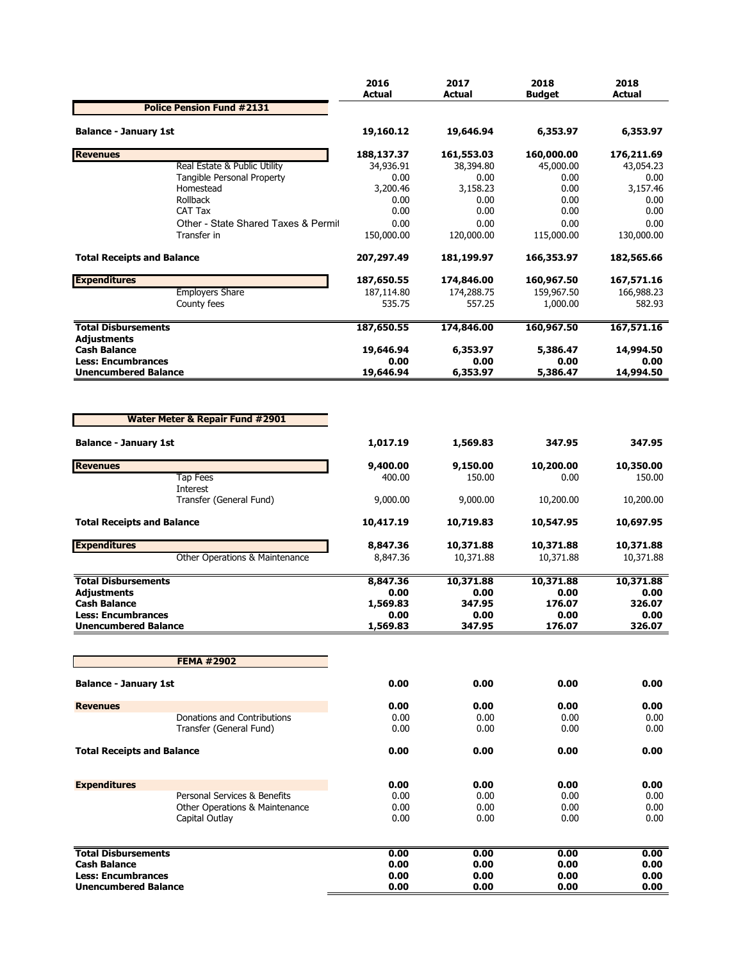|                                           |                                     | 2016<br><b>Actual</b> | 2017<br>Actual | 2018<br>Budget | 2018<br><b>Actual</b> |
|-------------------------------------------|-------------------------------------|-----------------------|----------------|----------------|-----------------------|
|                                           | <b>Police Pension Fund #2131</b>    |                       |                |                |                       |
| <b>Balance - January 1st</b>              |                                     | 19,160.12             | 19,646.94      | 6,353.97       | 6,353.97              |
| <b>Revenues</b>                           |                                     | 188,137.37            | 161,553.03     | 160,000.00     | 176,211.69            |
|                                           | Real Estate & Public Utility        | 34,936.91             | 38,394.80      | 45,000.00      | 43,054.23             |
|                                           | Tangible Personal Property          | 0.00                  | 0.00           | 0.00           | 0.00                  |
|                                           | Homestead                           | 3,200.46              | 3,158.23       | 0.00           | 3,157.46              |
|                                           | Rollback                            | 0.00                  | 0.00           | 0.00           | 0.00                  |
|                                           | CAT Tax                             | 0.00                  | 0.00           | 0.00           | 0.00                  |
|                                           | Other - State Shared Taxes & Permit | 0.00                  | 0.00           | 0.00           | 0.00                  |
|                                           | Transfer in                         | 150,000.00            | 120,000.00     | 115,000.00     | 130,000.00            |
| <b>Total Receipts and Balance</b>         |                                     | 207,297.49            | 181,199.97     | 166,353.97     | 182,565.66            |
| <b>Expenditures</b>                       |                                     | 187,650.55            | 174,846.00     | 160,967.50     | 167,571.16            |
|                                           | <b>Employers Share</b>              | 187,114.80            | 174,288.75     | 159,967.50     | 166,988.23            |
|                                           | County fees                         | 535.75                | 557.25         | 1,000.00       | 582.93                |
| <b>Total Disbursements</b>                |                                     | 187,650.55            | 174,846.00     | 160,967.50     | 167,571.16            |
| <b>Adjustments</b><br><b>Cash Balance</b> |                                     | 19,646.94             | 6,353.97       | 5,386.47       | 14,994.50             |
| <b>Less: Encumbrances</b>                 |                                     | 0.00                  | 0.00           | 0.00           | 0.00                  |
| <b>Unencumbered Balance</b>               |                                     | 19,646.94             | 6,353.97       | 5,386.47       | 14,994.50             |
| <b>Balance - January 1st</b>              |                                     | 1,017.19              | 1,569.83       | 347.95         | 347.95                |
| <b>Revenues</b>                           |                                     | 9,400.00              | 9,150.00       | 10,200.00      | 10,350.00             |
|                                           | <b>Tap Fees</b>                     | 400.00                | 150.00         | 0.00           | 150.00                |
|                                           | Interest<br>Transfer (General Fund) | 9,000.00              | 9,000.00       | 10,200.00      | 10,200.00             |
| <b>Total Receipts and Balance</b>         |                                     | 10,417.19             | 10,719.83      | 10,547.95      | 10,697.95             |
| <b>Expenditures</b>                       |                                     | 8,847.36              | 10,371.88      | 10,371.88      | 10,371.88             |
|                                           | Other Operations & Maintenance      | 8,847.36              | 10,371.88      | 10,371.88      | 10,371.88             |
| <b>Total Disbursements</b>                |                                     | 8,847.36              | 10,371.88      | 10,371.88      | 10,371.88             |
| <b>Adjustments</b>                        |                                     | 0.00                  | 0.00           | 0.00           | 0.00                  |
| <b>Cash Balance</b>                       |                                     | 1,569.83              | 347.95         | 176.07         | 326.07                |
| <b>Less: Encumbrances</b>                 |                                     | 0.00                  | 0.00           | 0.00           | 0.00                  |
| <b>Unencumbered Balance</b>               |                                     | 1,569.83              | 347.95         | 176.07         | 326.07                |
|                                           |                                     |                       |                |                |                       |
|                                           | <b>FEMA #2902</b>                   |                       |                |                |                       |
| <b>Balance - January 1st</b>              |                                     | 0.00                  | 0.00           | 0.00           | 0.00                  |
| <b>Revenues</b>                           |                                     | 0.00                  | 0.00           | 0.00           | 0.00                  |
|                                           | Donations and Contributions         | 0.00                  | 0.00           | 0.00           | 0.00                  |
|                                           | Transfer (General Fund)             | 0.00                  | 0.00           | 0.00           | 0.00                  |
| <b>Total Receipts and Balance</b>         |                                     | 0.00                  | 0.00           | 0.00           | 0.00                  |
| <b>Expenditures</b>                       |                                     | 0.00                  | 0.00           | 0.00           | 0.00                  |
|                                           | Personal Services & Benefits        | 0.00                  | 0.00           | 0.00           | 0.00                  |
|                                           | Other Operations & Maintenance      | 0.00                  | 0.00           | 0.00           | 0.00                  |
|                                           | Capital Outlay                      | 0.00                  | 0.00           | 0.00           | 0.00                  |
|                                           |                                     |                       |                |                |                       |
| <b>Total Disbursements</b>                |                                     | 0.00                  | 0.00           | 0.00           | 0.00                  |
| <b>Cash Balance</b>                       |                                     | 0.00                  | 0.00           | 0.00           | 0.00                  |
| <b>Less: Encumbrances</b>                 |                                     | 0.00                  | 0.00           | 0.00           | 0.00                  |
| <b>Unencumbered Balance</b>               |                                     | 0.00                  | 0.00           | 0.00           | 0.00                  |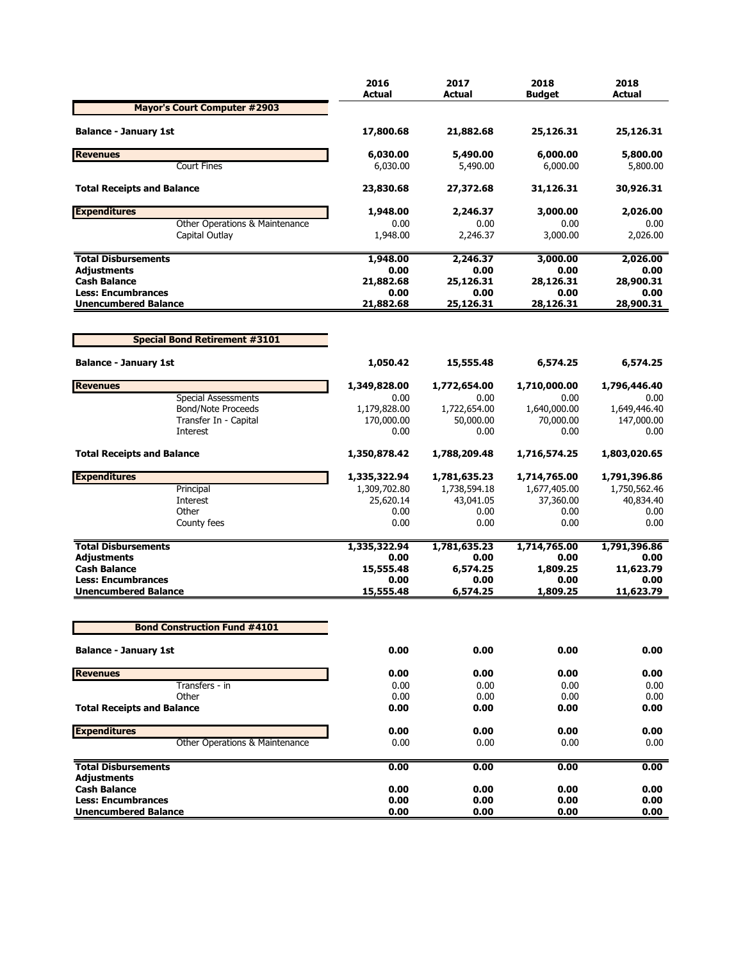|                                                          | 2016<br><b>Actual</b> | 2017<br><b>Actual</b> | 2018<br><b>Budget</b> | 2018<br><b>Actual</b> |
|----------------------------------------------------------|-----------------------|-----------------------|-----------------------|-----------------------|
| <b>Mayor's Court Computer #2903</b>                      |                       |                       |                       |                       |
| <b>Balance - January 1st</b>                             | 17,800.68             | 21,882.68             | 25,126.31             | 25,126.31             |
| <b>Revenues</b>                                          | 6,030.00              | 5,490.00              | 6,000.00              | 5,800.00              |
| <b>Court Fines</b>                                       | 6,030.00              | 5,490.00              | 6,000.00              | 5,800.00              |
| <b>Total Receipts and Balance</b>                        | 23,830.68             | 27,372.68             | 31,126.31             | 30,926.31             |
| <b>Expenditures</b>                                      | 1,948.00              | 2,246.37              | 3,000.00              | 2,026.00              |
| Other Operations & Maintenance                           | 0.00                  | 0.00                  | 0.00                  | 0.00                  |
| Capital Outlay                                           | 1,948.00              | 2,246.37              | 3,000.00              | 2,026.00              |
| <b>Total Disbursements</b>                               | 1,948.00              | 2,246.37              | 3,000.00              | 2,026.00              |
| <b>Adjustments</b>                                       | 0.00                  | 0.00                  | 0.00                  | 0.00                  |
| <b>Cash Balance</b><br><b>Less: Encumbrances</b>         | 21,882.68<br>0.00     | 25,126.31<br>0.00     | 28,126.31<br>0.00     | 28,900.31<br>0.00     |
| <b>Unencumbered Balance</b>                              | 21,882.68             | 25,126.31             | 28,126.31             | 28,900.31             |
|                                                          |                       |                       |                       |                       |
| <b>Special Bond Retirement #3101</b>                     |                       |                       |                       |                       |
| <b>Balance - January 1st</b>                             | 1,050.42              | 15,555.48             | 6,574.25              | 6,574.25              |
| <b>Revenues</b>                                          | 1,349,828.00          | 1,772,654.00          | 1,710,000.00          | 1,796,446.40          |
| <b>Special Assessments</b>                               | 0.00                  | 0.00                  | 0.00                  | 0.00                  |
| <b>Bond/Note Proceeds</b>                                | 1,179,828.00          | 1,722,654.00          | 1,640,000.00          | 1,649,446.40          |
| Transfer In - Capital                                    | 170,000.00            | 50,000.00             | 70,000.00             | 147,000.00            |
| Interest                                                 | 0.00                  | 0.00                  | 0.00                  | 0.00                  |
| <b>Total Receipts and Balance</b>                        | 1,350,878.42          | 1,788,209.48          | 1,716,574.25          | 1,803,020.65          |
| <b>Expenditures</b>                                      | 1,335,322.94          | 1,781,635.23          | 1,714,765.00          | 1,791,396.86          |
| Principal                                                | 1,309,702.80          | 1,738,594.18          | 1,677,405.00          | 1,750,562.46          |
| Interest                                                 | 25,620.14             | 43,041.05             | 37,360.00             | 40,834.40             |
| Other                                                    | 0.00                  | 0.00                  | 0.00                  | 0.00                  |
| County fees                                              | 0.00                  | 0.00                  | 0.00                  | 0.00                  |
| <b>Total Disbursements</b>                               | 1,335,322.94          | 1,781,635.23          | 1,714,765.00          | 1,791,396.86          |
| <b>Adjustments</b>                                       | 0.00                  | 0.00                  | 0.00                  | 0.00                  |
| <b>Cash Balance</b>                                      | 15,555.48             | 6,574.25              | 1,809.25              | 11,623.79             |
| <b>Less: Encumbrances</b><br><b>Unencumbered Balance</b> | 0.00<br>15,555.48     | 0.00<br>6,574.25      | 0.00<br>1,809.25      | 0.00<br>11,623.79     |
| <b>Bond Construction Fund #4101</b>                      |                       |                       |                       |                       |
|                                                          |                       |                       |                       |                       |
| <b>Balance - January 1st</b>                             | 0.00                  | 0.00                  | 0.00                  | 0.00                  |
| <b>Revenues</b>                                          | 0.00                  | 0.00                  | 0.00                  | 0.00                  |
| Transfers - in                                           | 0.00                  | 0.00                  | 0.00                  | 0.00                  |
| Other                                                    | 0.00                  | 0.00                  | 0.00                  | 0.00                  |
| <b>Total Receipts and Balance</b>                        | 0.00                  | 0.00                  | 0.00                  | 0.00                  |
| <b>Expenditures</b>                                      | 0.00                  | 0.00                  | 0.00                  | 0.00                  |
| Other Operations & Maintenance                           | 0.00                  | 0.00                  | 0.00                  | 0.00                  |
| <b>Total Disbursements</b>                               | 0.00                  | 0.00                  | 0.00                  | 0.00                  |
| Adjustments<br><b>Cash Balance</b>                       | 0.00                  | 0.00                  | 0.00                  | 0.00                  |
| <b>Less: Encumbrances</b>                                | 0.00                  | 0.00                  | 0.00                  | 0.00                  |
| <b>Unencumbered Balance</b>                              | 0.00                  | 0.00                  | 0.00                  | 0.00                  |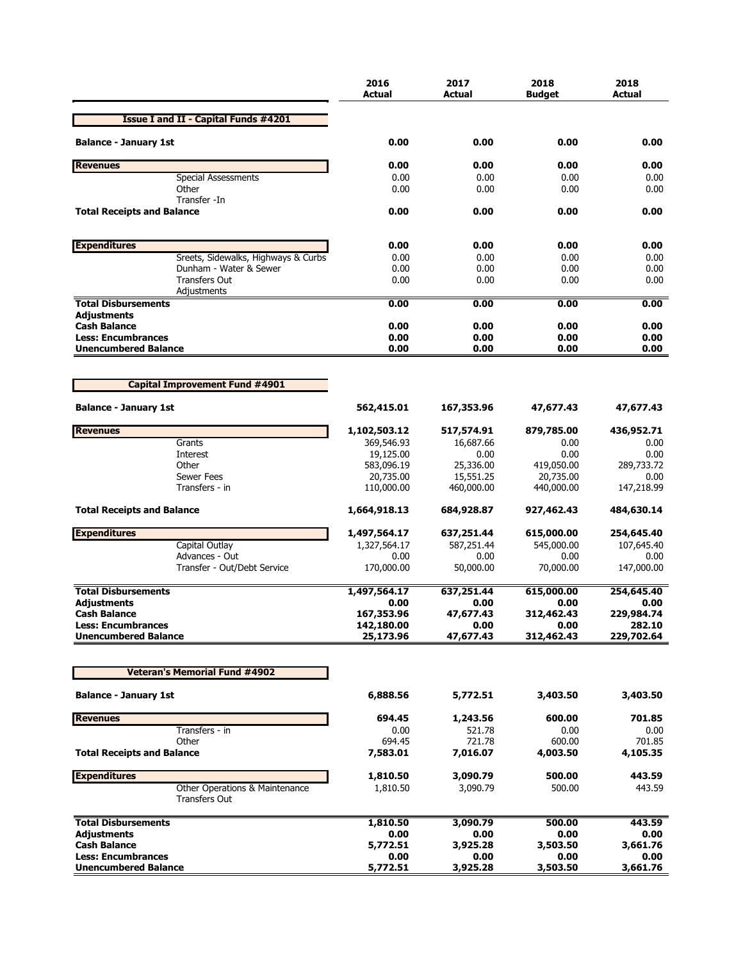|                                                        | 2016<br><b>Actual</b>    | 2017<br><b>Actual</b> | 2018<br><b>Budget</b> | 2018<br><b>Actual</b> |
|--------------------------------------------------------|--------------------------|-----------------------|-----------------------|-----------------------|
| <b>Issue I and II - Capital Funds #4201</b>            |                          |                       |                       |                       |
| <b>Balance - January 1st</b>                           | 0.00                     | 0.00                  | 0.00                  | 0.00                  |
| <b>Revenues</b>                                        | 0.00                     | 0.00                  | 0.00                  | 0.00                  |
| <b>Special Assessments</b>                             | 0.00                     | 0.00                  | 0.00                  | 0.00                  |
| Other                                                  | 0.00                     | 0.00                  | 0.00                  | 0.00                  |
| Transfer -In                                           |                          |                       |                       |                       |
| <b>Total Receipts and Balance</b>                      | 0.00                     | 0.00                  | 0.00                  | 0.00                  |
| <b>Expenditures</b>                                    | 0.00                     | 0.00                  | 0.00                  | 0.00                  |
| Sreets, Sidewalks, Highways & Curbs                    | 0.00                     | 0.00                  | 0.00                  | 0.00                  |
| Dunham - Water & Sewer                                 | 0.00                     | 0.00                  | 0.00                  | 0.00                  |
| <b>Transfers Out</b>                                   | 0.00                     | 0.00                  | 0.00                  | 0.00                  |
| Adjustments                                            |                          |                       |                       |                       |
| <b>Total Disbursements</b>                             | 0.00                     | 0.00                  | 0.00                  | 0.00                  |
| <b>Adjustments</b>                                     |                          |                       |                       |                       |
| <b>Cash Balance</b><br><b>Less: Encumbrances</b>       | 0.00<br>0.00             | 0.00<br>0.00          | 0.00<br>0.00          | 0.00<br>0.00          |
| <b>Unencumbered Balance</b>                            | 0.00                     | 0.00                  | 0.00                  | 0.00                  |
|                                                        |                          |                       |                       |                       |
| <b>Capital Improvement Fund #4901</b>                  |                          |                       |                       |                       |
| <b>Balance - January 1st</b>                           | 562,415.01               | 167,353.96            | 47,677.43             | 47,677.43             |
| <b>Revenues</b>                                        | 1,102,503.12             | 517,574.91            | 879,785.00            | 436,952.71            |
| Grants                                                 | 369,546.93               | 16,687.66             | 0.00                  | $0.00\,$              |
| Interest                                               | 19,125.00                | 0.00                  | 0.00                  | 0.00                  |
| Other                                                  | 583,096.19               | 25,336.00             | 419,050.00            | 289,733.72            |
| Sewer Fees                                             | 20,735.00                | 15,551.25             | 20,735.00             | 0.00                  |
| Transfers - in                                         | 110,000.00               | 460,000.00            | 440,000.00            | 147,218.99            |
| <b>Total Receipts and Balance</b>                      | 1,664,918.13             | 684,928.87            | 927,462.43            | 484,630.14            |
| <b>Expenditures</b>                                    | 1,497,564.17             | 637,251.44            | 615,000.00            | 254,645.40            |
| Capital Outlay                                         | 1,327,564.17             | 587,251.44            | 545,000.00            | 107,645.40            |
| Advances - Out                                         | 0.00                     | 0.00                  | 0.00                  | 0.00                  |
| Transfer - Out/Debt Service                            | 170,000.00               | 50,000.00             | 70,000.00             | 147,000.00            |
| <b>Total Disbursements</b>                             | 1,497,564.17             | 637,251.44            | 615,000.00            | 254,645.40            |
| <b>Adjustments</b><br><b>Cash Balance</b>              | 0.00                     | 0.00<br>47,677.43     | 0.00<br>312,462.43    | 0.00                  |
| <b>Less: Encumbrances</b>                              | 167,353.96<br>142,180.00 | 0.00                  | 0.00                  | 229,984.74<br>282.10  |
| <b>Unencumbered Balance</b>                            | 25,173.96                | 47,677.43             | 312,462.43            | 229,702.64            |
|                                                        |                          |                       |                       |                       |
| <b>Veteran's Memorial Fund #4902</b>                   |                          |                       |                       |                       |
| <b>Balance - January 1st</b>                           | 6,888.56                 | 5,772.51              | 3,403.50              | 3,403.50              |
| <b>Revenues</b>                                        | 694.45                   | 1,243.56              | 600.00                | 701.85                |
| Transfers - in                                         | 0.00                     | 521.78                | 0.00                  | 0.00                  |
| Other                                                  | 694.45                   | 721.78                | 600.00                | 701.85                |
| <b>Total Receipts and Balance</b>                      | 7,583.01                 | 7,016.07              | 4,003.50              | 4,105.35              |
| <b>Expenditures</b>                                    | 1,810.50                 | 3,090.79              | 500.00                | 443.59                |
| Other Operations & Maintenance<br><b>Transfers Out</b> | 1,810.50                 | 3,090.79              | 500.00                | 443.59                |
| <b>Total Disbursements</b>                             | 1,810.50                 | 3,090.79              | 500.00                | 443.59                |
| <b>Adjustments</b>                                     | 0.00                     | 0.00                  | 0.00                  | 0.00                  |
| <b>Cash Balance</b>                                    | 5,772.51                 | 3,925.28              | 3,503.50              | 3,661.76              |
| <b>Less: Encumbrances</b>                              | 0.00                     | 0.00                  | 0.00                  | 0.00                  |
| <b>Unencumbered Balance</b>                            | 5,772.51                 | 3,925.28              | 3,503.50              | 3,661.76              |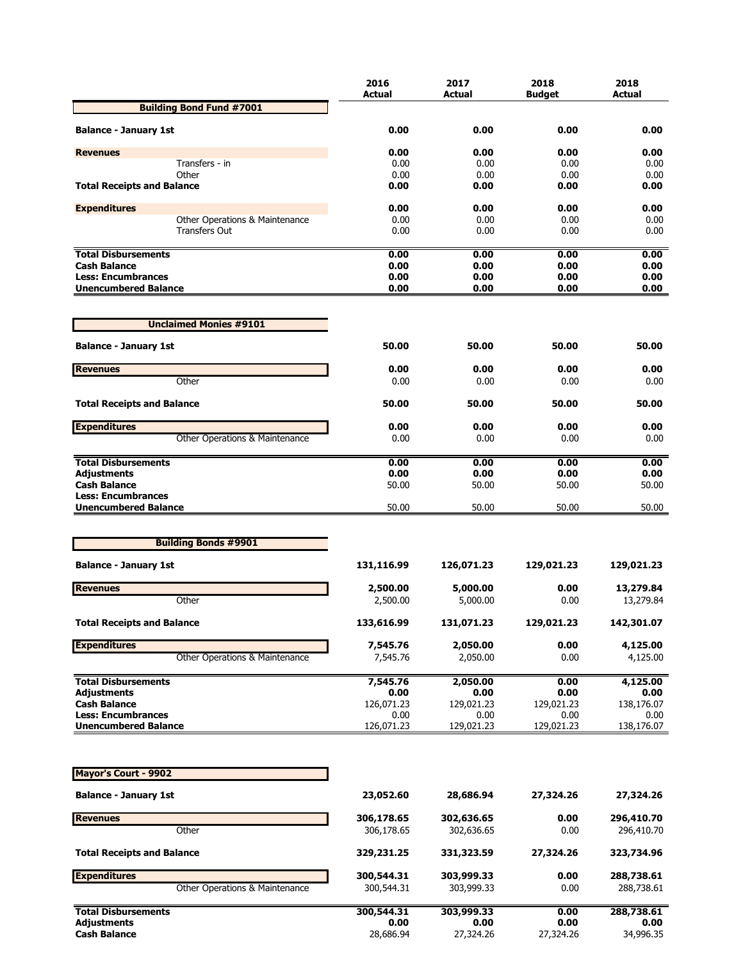|                                   | 2016             | 2017             | 2018          | 2018             |
|-----------------------------------|------------------|------------------|---------------|------------------|
| <b>Building Bond Fund #7001</b>   | <b>Actual</b>    | Actual           | <b>Budget</b> | Actual           |
|                                   |                  |                  |               |                  |
| <b>Balance - January 1st</b>      | 0.00             | 0.00             | 0.00          | 0.00             |
| <b>Revenues</b>                   | 0.00             | 0.00             | 0.00          | 0.00             |
| Transfers - in                    | 0.00             | 0.00             | 0.00          | 0.00             |
| Other                             | 0.00             | 0.00             | 0.00          | 0.00             |
| <b>Total Receipts and Balance</b> | 0.00             | 0.00             | 0.00          | 0.00             |
| <b>Expenditures</b>               | 0.00             | 0.00             | 0.00          | 0.00             |
| Other Operations & Maintenance    | 0.00             | 0.00             | 0.00          | 0.00             |
| <b>Transfers Out</b>              | 0.00             | 0.00             | 0.00          | 0.00             |
| <b>Total Disbursements</b>        | 0.00             | 0.00             | 0.00          | 0.00             |
| <b>Cash Balance</b>               | 0.00             | 0.00             | 0.00          | 0.00             |
| <b>Less: Encumbrances</b>         | 0.00             | 0.00             | 0.00          | 0.00             |
| <b>Unencumbered Balance</b>       | 0.00             | 0.00             | 0.00          | 0.00             |
|                                   |                  |                  |               |                  |
| <b>Unclaimed Monies #9101</b>     |                  |                  |               |                  |
| <b>Balance - January 1st</b>      | 50.00            | 50.00            | 50.00         | 50.00            |
| <b>Revenues</b>                   | 0.00             | 0.00             | 0.00          | 0.00             |
| Other                             | 0.00             | 0.00             | 0.00          | 0.00             |
| <b>Total Receipts and Balance</b> | 50.00            | 50.00            | 50.00         | 50.00            |
| <b>Expenditures</b>               | 0.00             | 0.00             | 0.00          | 0.00             |
| Other Operations & Maintenance    | 0.00             | 0.00             | 0.00          | 0.00             |
| <b>Total Disbursements</b>        | 0.00             | 0.00             | 0.00          | 0.00             |
| <b>Adjustments</b>                | 0.00             | 0.00             | 0.00          | 0.00             |
| <b>Cash Balance</b>               | 50.00            | 50.00            | 50.00         | 50.00            |
| <b>Less: Encumbrances</b>         |                  |                  |               |                  |
| <b>Unencumbered Balance</b>       | 50.00            | 50.00            | 50.00         | 50.00            |
|                                   |                  |                  |               |                  |
| <b>Building Bonds #9901</b>       |                  |                  |               |                  |
| <b>Balance - January 1st</b>      | 131,116.99       | 126,071.23       | 129,021.23    | 129,021.23       |
| <b>Revenues</b>                   | 2,500.00         | 5,000.00         | 0.00          | 13,279.84        |
| Other                             | 2,500.00         | 5,000.00         | 0.00          | 13,279.84        |
| <b>Total Receipts and Balance</b> | 133,616.99       | 131,071.23       | 129,021.23    | 142,301.07       |
| <b>Expenditures</b>               | 7,545.76         | 2,050.00         | 0.00          | 4,125.00         |
| Other Operations & Maintenance    | 7,545.76         | 2,050.00         | 0.00          | 4,125.00         |
| <b>Total Disbursements</b>        |                  |                  |               |                  |
| <b>Adjustments</b>                | 7,545.76<br>0.00 | 2,050.00<br>0.00 | 0.00<br>0.00  | 4,125.00<br>0.00 |
| <b>Cash Balance</b>               | 126,071.23       | 129,021.23       | 129,021.23    | 138,176.07       |
| <b>Less: Encumbrances</b>         | 0.00             | 0.00             | 0.00          | 0.00             |
| <b>Unencumbered Balance</b>       | 126,071.23       | 129,021.23       | 129,021.23    | 138,176.07       |
|                                   |                  |                  |               |                  |
| Mayor's Court - 9902              |                  |                  |               |                  |
| <b>Balance - January 1st</b>      | 23,052.60        | 28,686.94        | 27,324.26     | 27,324.26        |
| <b>Revenues</b>                   | 306,178.65       | 302,636.65       | 0.00          | 296,410.70       |
| Other                             | 306,178.65       | 302,636.65       | 0.00          | 296,410.70       |
| <b>Total Receipts and Balance</b> | 329,231.25       | 331,323.59       | 27,324.26     | 323,734.96       |
|                                   |                  |                  |               |                  |
| <b>Expenditures</b>               | 300,544.31       | 303,999.33       | 0.00          | 288,738.61       |
| Other Operations & Maintenance    | 300,544.31       | 303,999.33       | 0.00          | 288,738.61       |
| <b>Total Disbursements</b>        | 300,544.31       | 303,999.33       | 0.00          | 288,738.61       |
| <b>Adjustments</b>                | 0.00             | 0.00             | 0.00          | 0.00             |
| <b>Cash Balance</b>               | 28,686.94        | 27,324.26        | 27,324.26     | 34,996.35        |